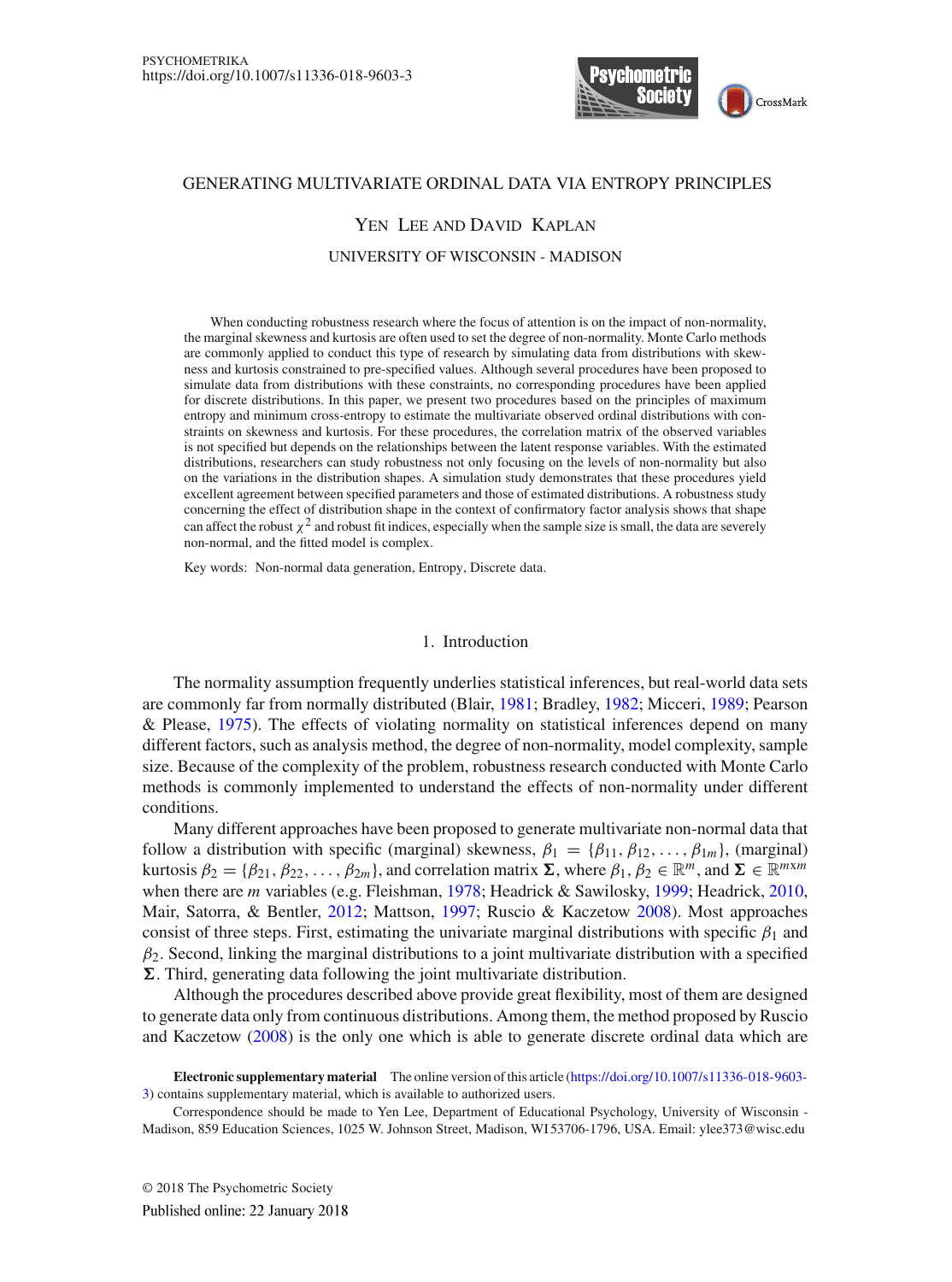

## GENERATING MULTIVARIATE ORDINAL DATA VIA ENTROPY PRINCIPLES

# Yen Lee and David Kaplan

## UNIVERSITY OF WISCONSIN - MADISON

When conducting robustness research where the focus of attention is on the impact of non-normality, the marginal skewness and kurtosis are often used to set the degree of non-normality. Monte Carlo methods are commonly applied to conduct this type of research by simulating data from distributions with skewness and kurtosis constrained to pre-specified values. Although several procedures have been proposed to simulate data from distributions with these constraints, no corresponding procedures have been applied for discrete distributions. In this paper, we present two procedures based on the principles of maximum entropy and minimum cross-entropy to estimate the multivariate observed ordinal distributions with constraints on skewness and kurtosis. For these procedures, the correlation matrix of the observed variables is not specified but depends on the relationships between the latent response variables. With the estimated distributions, researchers can study robustness not only focusing on the levels of non-normality but also on the variations in the distribution shapes. A simulation study demonstrates that these procedures yield excellent agreement between specified parameters and those of estimated distributions. A robustness study concerning the effect of distribution shape in the context of confirmatory factor analysis shows that shape can affect the robust  $\chi^2$  and robust fit indices, especially when the sample size is small, the data are severely non-normal, and the fitted model is complex.

Key words: Non-normal data generation, Entropy, Discrete data.

## 1. Introduction

The normality assumption frequently underlies statistical inferences, but real-world data sets are commonly far from normally distributed (Blair, [1981;](#page-24-0) Bradley, [1982](#page-24-1); Micceri, [1989;](#page-25-0) Pearson & Please, [1975\)](#page-25-1). The effects of violating normality on statistical inferences depend on many different factors, such as analysis method, the degree of non-normality, model complexity, sample size. Because of the complexity of the problem, robustness research conducted with Monte Carlo methods is commonly implemented to understand the effects of non-normality under different conditions.

Many different approaches have been proposed to generate multivariate non-normal data that follow a distribution with specific (marginal) skewness,  $\beta_1 = {\beta_{11}, \beta_{12}, \dots, \beta_{1m}}$ , (marginal) kurtosis  $\beta_2 = {\beta_{21}, \beta_{22}, \dots, \beta_{2m}}$ , and correlation matrix  $\Sigma$ , where  $\beta_1, \beta_2 \in \mathbb{R}^m$ , and  $\Sigma \in \mathbb{R}^{m \times m}$ when there are *m* variables (e.g. Fleishman, [1978;](#page-24-2) Headrick & Sawilosky, [1999;](#page-24-3) Headrick, [2010](#page-24-4), Mair, Satorra, & Bentler, [2012](#page-24-5); Mattson, [1997;](#page-25-2) Ruscio & Kaczetow [2008](#page-25-3)). Most approaches consist of three steps. First, estimating the univariate marginal distributions with specific  $\beta_1$  and  $\beta_2$ . Second, linking the marginal distributions to a joint multivariate distribution with a specified *-*. Third, generating data following the joint multivariate distribution.

Although the procedures described above provide great flexibility, most of them are designed to generate data only from continuous distributions. Among them, the method proposed by Ruscio and Kaczetow [\(2008](#page-25-3)) is the only one which is able to generate discrete ordinal data which are

**Electronic supplementary material** The online version of this article [\(https://doi.org/10.1007/s11336-018-9603-](https://doi.org/10.1007/s11336-018-9603-3) [3\)](https://doi.org/10.1007/s11336-018-9603-3) contains supplementary material, which is available to authorized users.

Correspondence should be made to Yen Lee, Department of Educational Psychology, University of Wisconsin - Madison, 859 Education Sciences, 1025 W. Johnson Street, Madison, WI 53706-1796, USA. Email: ylee373@wisc.edu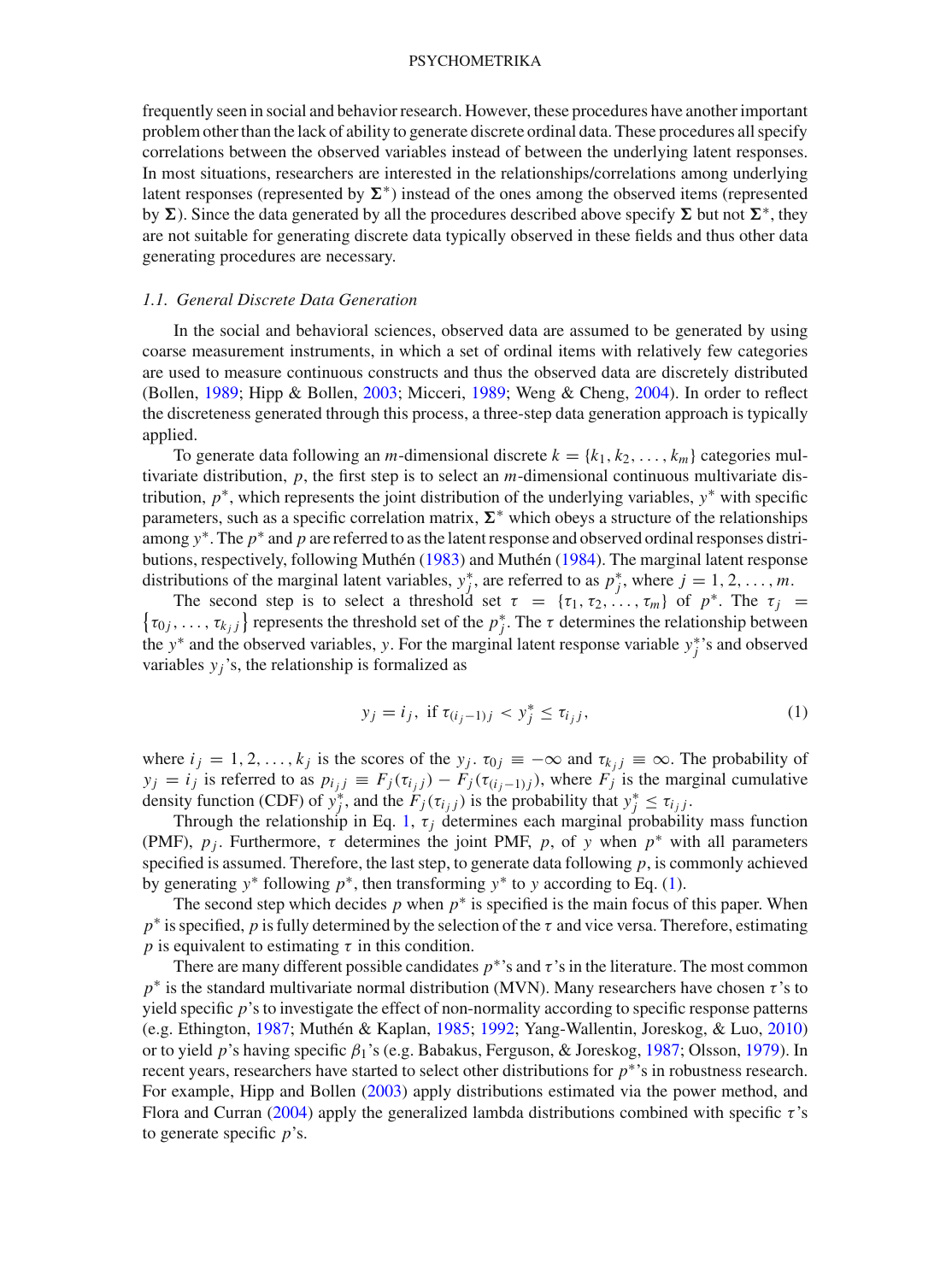frequently seen in social and behavior research. However, these procedures have another important problem other than the lack of ability to generate discrete ordinal data. These procedures all specify correlations between the observed variables instead of between the underlying latent responses. In most situations, researchers are interested in the relationships/correlations among underlying latent responses (represented by  $\Sigma^*$ ) instead of the ones among the observed items (represented by  $\Sigma$ ). Since the data generated by all the procedures described above specify  $\Sigma$  but not  $\Sigma^*$ , they are not suitable for generating discrete data typically observed in these fields and thus other data generating procedures are necessary.

## *1.1. General Discrete Data Generation*

In the social and behavioral sciences, observed data are assumed to be generated by using coarse measurement instruments, in which a set of ordinal items with relatively few categories are used to measure continuous constructs and thus the observed data are discretely distributed (Bollen, [1989](#page-24-6); Hipp & Bollen, [2003;](#page-24-7) Micceri, [1989;](#page-25-0) Weng & Cheng, [2004\)](#page-25-4). In order to reflect the discreteness generated through this process, a three-step data generation approach is typically applied.

To generate data following an *m*-dimensional discrete  $k = \{k_1, k_2, \ldots, k_m\}$  categories multivariate distribution, *p*, the first step is to select an *m*-dimensional continuous multivariate distribution, *p*∗, which represents the joint distribution of the underlying variables, *y*∗ with specific parameters, such as a specific correlation matrix,  $\Sigma^*$  which obeys a structure of the relationships among *y*∗. The *p*∗ and *p* are referred to as the latent response and observed ordinal responses distributions, respectively, following Muthén [\(1983](#page-25-5)) and Muthén [\(1984\)](#page-25-6). The marginal latent response distributions of the marginal latent variables,  $y_j^*$ , are referred to as  $p_j^*$ , where  $j = 1, 2, \ldots, m$ .

The second step is to select a threshold set  $\tau = {\tau_1, \tau_2, ..., \tau_m}$  of  $p^*$ . The  $\tau_j$  $\{\tau_{0j}, \ldots, \tau_{k_j j}\}\$  represents the threshold set of the  $p_j^*$ . The  $\tau$  determines the relationship between the *y*∗ and the observed variables, *y*. For the marginal latent response variable *y*∗ *<sup>j</sup>* 's and observed variables  $y_i$ 's, the relationship is formalized as

<span id="page-1-0"></span>
$$
y_j = i_j
$$
, if  $\tau_{(i_j-1)j} < y_j^* \le \tau_{i_jj}$ , (1)

where  $i_j = 1, 2, \ldots, k_j$  is the scores of the  $y_j$ .  $\tau_{0j} \equiv -\infty$  and  $\tau_{k,j} \equiv \infty$ . The probability of  $y_j = i_j$  is referred to as  $p_{i_j j} \equiv F_j(\tau_{i_j j}) - F_j(\tau_{(i_j-1) j})$ , where  $F_j$  is the marginal cumulative density function (CDF) of  $y_j^*$ , and the  $F_j(\tau_{i_jj})$  is the probability that  $y_j^* \leq \tau_{i_jj}$ .

Through the relationship in Eq. [1,](#page-1-0)  $\tau_j$  determines each marginal probability mass function (PMF),  $p_i$ . Furthermore,  $\tau$  determines the joint PMF,  $p$ , of  $y$  when  $p^*$  with all parameters specified is assumed. Therefore, the last step, to generate data following *p*, is commonly achieved by generating *y*∗ following *p*∗, then transforming *y*∗ to *y* according to Eq. [\(1\)](#page-1-0).

The second step which decides  $p$  when  $p^*$  is specified is the main focus of this paper. When  $p^*$  is specified, *p* is fully determined by the selection of the  $\tau$  and vice versa. Therefore, estimating *p* is equivalent to estimating  $\tau$  in this condition.

There are many different possible candidates  $p^*$ 's and  $\tau$ 's in the literature. The most common *p*<sup>∗</sup> is the standard multivariate normal distribution (MVN). Many researchers have chosen τ's to yield specific *p*'s to investigate the effect of non-normality according to specific response patterns (e.g. Ethington, [1987;](#page-24-8) Muthén & Kaplan, [1985](#page-25-7); [1992;](#page-25-8) Yang-Wallentin, Joreskog, & Luo, [2010](#page-25-9)) or to yield *p*'s having specific β1's (e.g. Babakus, Ferguson, & Joreskog, [1987;](#page-24-9) Olsson, [1979](#page-25-10)). In recent years, researchers have started to select other distributions for *p*∗'s in robustness research. For example, Hipp and Bollen [\(2003](#page-24-7)) apply distributions estimated via the power method, and Flora and Curran [\(2004\)](#page-24-10) apply the generalized lambda distributions combined with specific  $\tau$ 's to generate specific *p*'s.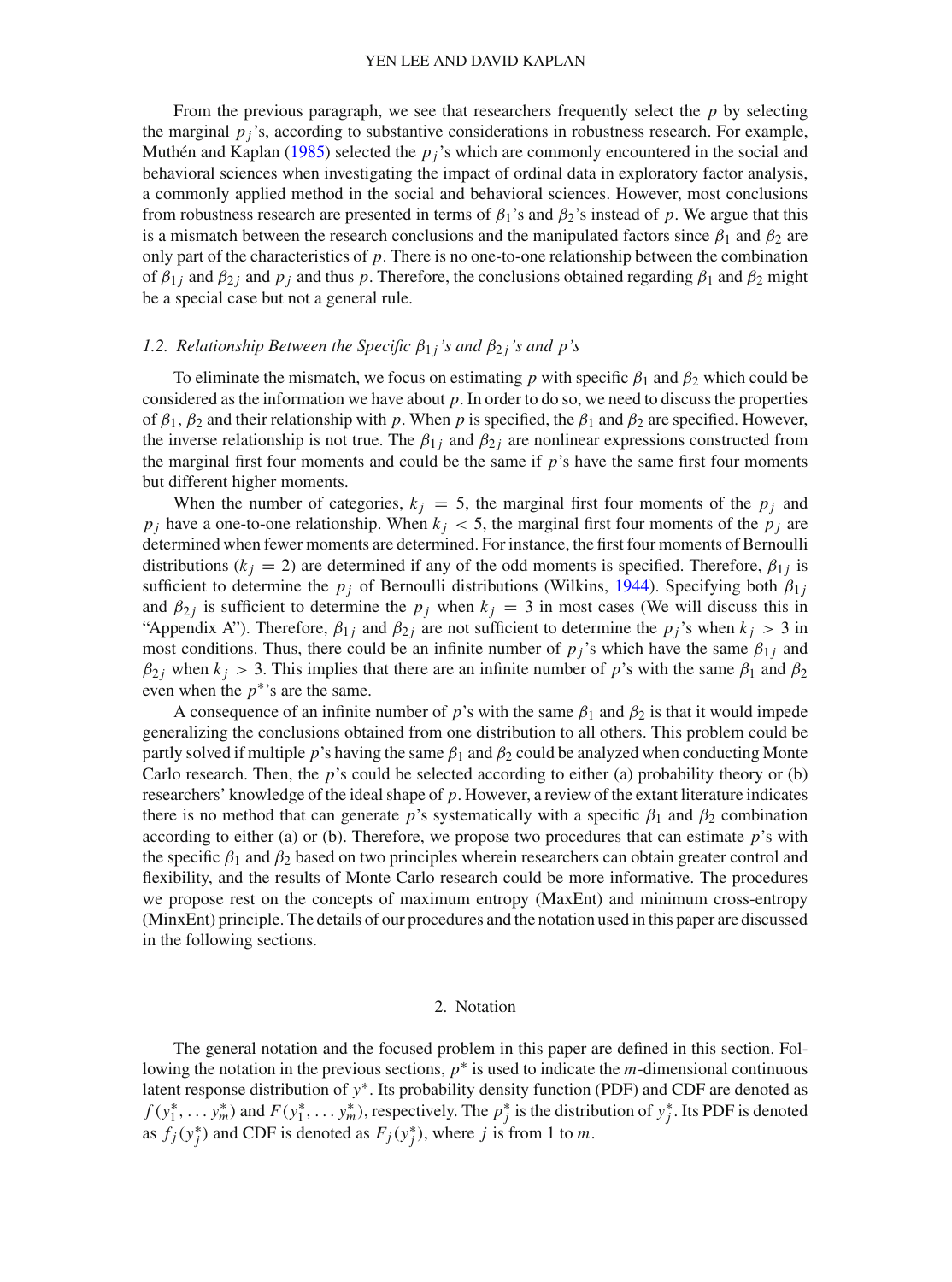From the previous paragraph, we see that researchers frequently select the *p* by selecting the marginal  $p_j$ 's, according to substantive considerations in robustness research. For example, Muthén and Kaplan [\(1985\)](#page-25-7) selected the  $p_j$ 's which are commonly encountered in the social and behavioral sciences when investigating the impact of ordinal data in exploratory factor analysis, a commonly applied method in the social and behavioral sciences. However, most conclusions from robustness research are presented in terms of  $\beta_1$ 's and  $\beta_2$ 's instead of *p*. We argue that this is a mismatch between the research conclusions and the manipulated factors since  $\beta_1$  and  $\beta_2$  are only part of the characteristics of  $p$ . There is no one-to-one relationship between the combination of  $\beta_{1j}$  and  $\beta_{2j}$  and  $p_j$  and thus p. Therefore, the conclusions obtained regarding  $\beta_1$  and  $\beta_2$  might be a special case but not a general rule.

# *1.2. Relationship Between the Specific*  $\beta_{1j}$ 's and  $\beta_{2j}$ 's and p's

To eliminate the mismatch, we focus on estimating *p* with specific  $\beta_1$  and  $\beta_2$  which could be considered as the information we have about *p*. In order to do so, we need to discuss the properties of  $\beta_1$ ,  $\beta_2$  and their relationship with *p*. When *p* is specified, the  $\beta_1$  and  $\beta_2$  are specified. However, the inverse relationship is not true. The  $\beta_{1i}$  and  $\beta_{2i}$  are nonlinear expressions constructed from the marginal first four moments and could be the same if *p*'s have the same first four moments but different higher moments.

When the number of categories,  $k_j = 5$ , the marginal first four moments of the  $p_j$  and  $p_j$  have a one-to-one relationship. When  $k_j < 5$ , the marginal first four moments of the  $p_j$  are determined when fewer moments are determined. For instance, the first four moments of Bernoulli distributions ( $k_j = 2$ ) are determined if any of the odd moments is specified. Therefore,  $\beta_{1j}$  is sufficient to determine the  $p_j$  of Bernoulli distributions (Wilkins, [1944](#page-25-11)). Specifying both  $\beta_{1j}$ and  $\beta_{2j}$  is sufficient to determine the  $p_j$  when  $k_j = 3$  in most cases (We will discuss this in "Appendix A"). Therefore,  $\beta_{1j}$  and  $\beta_{2j}$  are not sufficient to determine the  $p_j$ 's when  $k_j > 3$  in most conditions. Thus, there could be an infinite number of  $p_j$ 's which have the same  $\beta_{1j}$  and  $\beta_{2}$ *j* when  $k_j > 3$ . This implies that there are an infinite number of *p*'s with the same  $\beta_1$  and  $\beta_2$ even when the  $p^*$ 's are the same.

A consequence of an infinite number of *p*'s with the same  $\beta_1$  and  $\beta_2$  is that it would impede generalizing the conclusions obtained from one distribution to all others. This problem could be partly solved if multiple *p*'s having the same  $\beta_1$  and  $\beta_2$  could be analyzed when conducting Monte Carlo research. Then, the *p*'s could be selected according to either (a) probability theory or (b) researchers' knowledge of the ideal shape of *p*. However, a review of the extant literature indicates there is no method that can generate *p*'s systematically with a specific  $\beta_1$  and  $\beta_2$  combination according to either (a) or (b). Therefore, we propose two procedures that can estimate *p*'s with the specific  $\beta_1$  and  $\beta_2$  based on two principles wherein researchers can obtain greater control and flexibility, and the results of Monte Carlo research could be more informative. The procedures we propose rest on the concepts of maximum entropy (MaxEnt) and minimum cross-entropy (MinxEnt) principle. The details of our procedures and the notation used in this paper are discussed in the following sections.

## 2. Notation

The general notation and the focused problem in this paper are defined in this section. Following the notation in the previous sections, *p*∗ is used to indicate the *m*-dimensional continuous latent response distribution of *y*∗. Its probability density function (PDF) and CDF are denoted as  $f(y_1^*, \ldots, y_m^*)$  and  $F(y_1^*, \ldots, y_m^*)$ , respectively. The  $p_j^*$  is the distribution of  $y_j^*$ . Its PDF is denoted as  $f_j(y_j^*)$  and CDF is denoted as  $F_j(y_j^*)$ , where *j* is from 1 to *m*.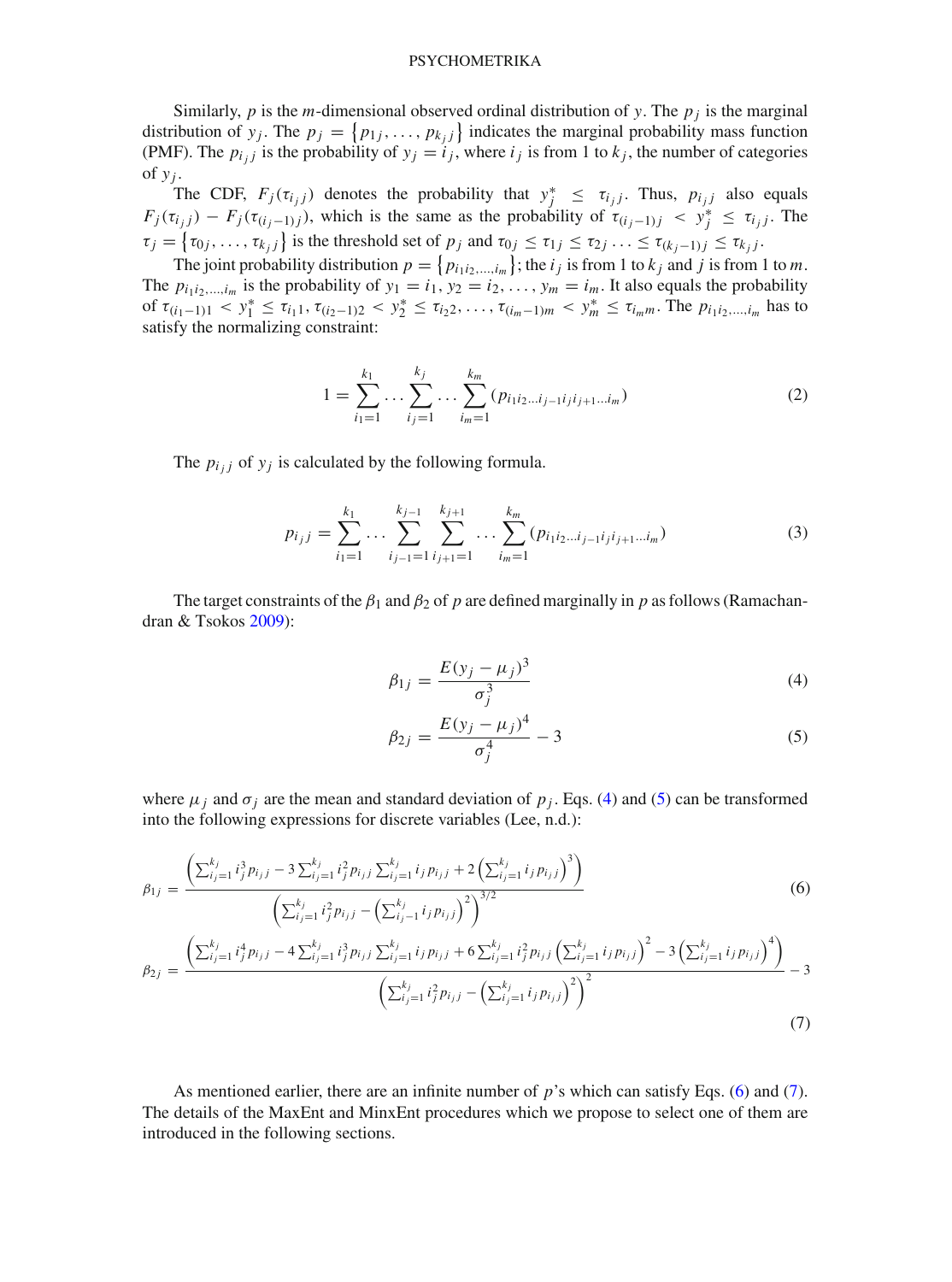Similarly, *p* is the *m*-dimensional observed ordinal distribution of *y*. The  $p_i$  is the marginal distribution of *y<sub>j</sub>*. The  $p_j = \{p_{1j}, \ldots, p_{k_j j}\}\$  indicates the marginal probability mass function (PMF). The  $p_{i,j}$  is the probability of  $y_j = i_j$ , where  $i_j$  is from 1 to  $k_j$ , the number of categories of  $y_i$ .

The CDF,  $F_j(\tau_{i_jj})$  denotes the probability that  $y_j^* \leq \tau_{i_jj}$ . Thus,  $p_{i_jj}$  also equals  $F_j(\tau_{i_j,j}) - F_j(\tau_{(i_j-1)j})$ , which is the same as the probability of  $\tau_{(i_j-1)j} < y_j^* \leq \tau_{i_jj}$ . The  $\tau_j = \{\tau_{0j}, \ldots, \tau_{k_j j}\}\$  is the threshold set of  $p_j$  and  $\tau_{0j} \leq \tau_{1j} \leq \tau_{2j} \ldots \leq \tau_{(k_j-1)j} \leq \tau_{k_j j}$ .

The joint probability distribution  $p = \{p_{i_1 i_2, \dots, i_m}\}\;$ ; the  $i_j$  is from 1 to  $k_j$  and  $j$  is from 1 to  $m$ . The  $p_{i_1 i_2,...,i_m}$  is the probability of  $y_1 = i_1, y_2 = i_2,..., y_m = i_m$ . It also equals the probability of  $\tau_{(i_1-1)1} < y_1^* \le \tau_{i_11}, \tau_{(i_2-1)2} < y_2^* \le \tau_{i_22}, \ldots, \tau_{(i_m-1)m} < y_m^* \le \tau_{i_m m}$ . The  $p_{i_1 i_2,\ldots,i_m}$  has to satisfy the normalizing constraint:

$$
1 = \sum_{i_1=1}^{k_1} \dots \sum_{i_j=1}^{k_j} \dots \sum_{i_m=1}^{k_m} (p_{i_1 i_2 \dots i_{j-1} i_j i_{j+1} \dots i_m})
$$
(2)

The  $p_{i,j}$  of  $y_j$  is calculated by the following formula.

$$
p_{i_j j} = \sum_{i_1=1}^{k_1} \dots \sum_{i_{j-1}=1}^{k_{j-1}} \sum_{i_{j+1}=1}^{k_{j+1}} \dots \sum_{i_m=1}^{k_m} (p_{i_1 i_2 \dots i_{j-1} i_j i_{j+1} \dots i_m}) \tag{3}
$$

The target constraints of the  $\beta_1$  and  $\beta_2$  of p are defined marginally in p as follows (Ramachandran & Tsokos [2009](#page-25-12)):

<span id="page-3-0"></span>
$$
\beta_{1j} = \frac{E(y_j - \mu_j)^3}{\sigma_j^3} \tag{4}
$$

$$
\beta_{2j} = \frac{E(y_j - \mu_j)^4}{\sigma_j^4} - 3\tag{5}
$$

where  $\mu_j$  and  $\sigma_j$  are the mean and standard deviation of  $p_j$ . Eqs. [\(4\)](#page-3-0) and [\(5\)](#page-3-0) can be transformed into the following expressions for discrete variables (Lee, n.d.):

<span id="page-3-1"></span>
$$
\beta_{1j} = \frac{\left(\sum_{i_j=1}^{k_j} i_j^3 p_{i_j j} - 3 \sum_{i_j=1}^{k_j} i_j^2 p_{i_j j} \sum_{i_j=1}^{k_j} i_j p_{i_j j} + 2 \left(\sum_{i_j=1}^{k_j} i_j p_{i_j j}\right)^3\right)}{\left(\sum_{i_j=1}^{k_j} i_j^2 p_{i_j j} - \left(\sum_{i_j=1}^{k_j} i_j p_{i_j j}\right)^2\right)^{3/2}}
$$
\n
$$
\left(\sum_{j=1}^{k_j} i_j^4 p_{i_j j} - 4 \sum_{i_j=1}^{k_j} i_j^3 p_{i_j j} \sum_{i_j=1}^{k_j} i_j p_{i_j j} + 6 \sum_{i_j=1}^{k_j} i_j^2 p_{i_j j} \left(\sum_{i_j=1}^{k_j} i_j p_{i_j j}\right)^2 - 3 \left(\sum_{i_j=1}^{k_j} i_j p_{i_j j}\right)^4\right)}
$$
\n(6)

$$
\beta_{2j} = \frac{\left(\sum_{i_j=1}^{k_j} i_j^4 p_{i_j j} - 4 \sum_{i_j=1}^{k_j} i_j^3 p_{i_j j} \sum_{i_j=1}^{k_j} i_j p_{i_j j} + 6 \sum_{i_j=1}^{k_j} i_j^2 p_{i_j j} \left(\sum_{i_j=1}^{k_j} i_j p_{i_j j}\right)^2 - 3 \left(\sum_{i_j=1}^{k_j} i_j p_{i_j j}\right)^4\right)}{\left(\sum_{i_j=1}^{k_j} i_j^2 p_{i_j j} - \left(\sum_{i_j=1}^{k_j} i_j p_{i_j j}\right)^2\right)^2} - 3 \tag{7}
$$

As mentioned earlier, there are an infinite number of *p*'s which can satisfy Eqs. [\(6\)](#page-3-1) and [\(7\)](#page-3-1). The details of the MaxEnt and MinxEnt procedures which we propose to select one of them are introduced in the following sections.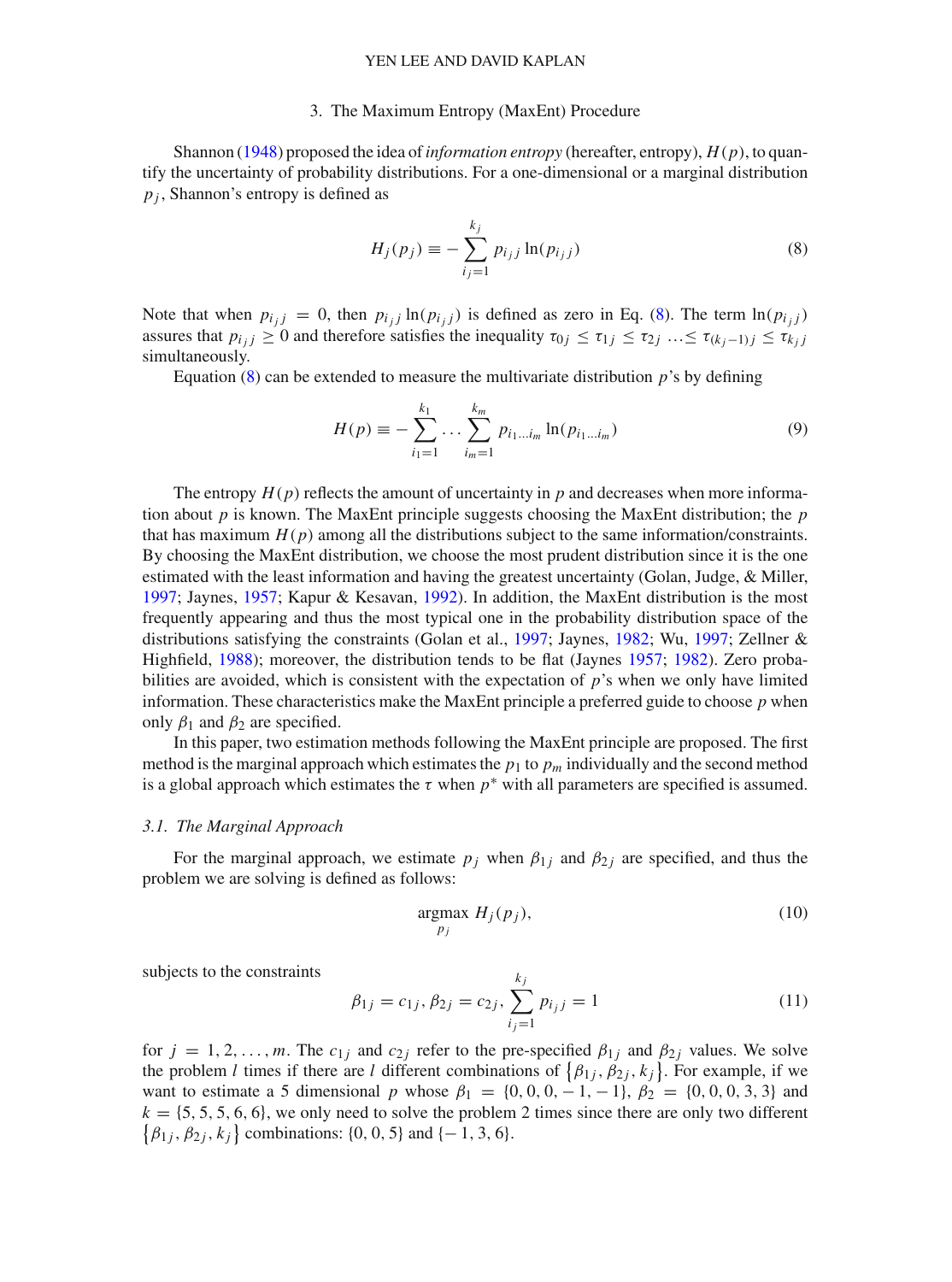### 3. The Maximum Entropy (MaxEnt) Procedure

Shannon [\(1948\)](#page-25-13) proposed the idea of*information entropy* (hereafter, entropy), *H*(*p*), to quantify the uncertainty of probability distributions. For a one-dimensional or a marginal distribution *p <sup>j</sup>* , Shannon's entropy is defined as

<span id="page-4-0"></span>
$$
H_j(p_j) \equiv -\sum_{i_j=1}^{k_j} p_{i_jj} \ln(p_{i_jj})
$$
 (8)

Note that when  $p_{i_j j} = 0$ , then  $p_{i_j j} \ln(p_{i_j j})$  is defined as zero in Eq. [\(8\)](#page-4-0). The term  $\ln(p_{i_j j})$ assures that  $p_{i,j} \geq 0$  and therefore satisfies the inequality  $\tau_{0j} \leq \tau_{1j} \leq \tau_{2j} \ldots \leq \tau_{(k_i-1)j} \leq \tau_{k_jj}$ simultaneously.

Equation  $(8)$  can be extended to measure the multivariate distribution *p*'s by defining

<span id="page-4-1"></span>
$$
H(p) \equiv -\sum_{i_1=1}^{k_1} \dots \sum_{i_m=1}^{k_m} p_{i_1 \dots i_m} \ln(p_{i_1 \dots i_m}) \tag{9}
$$

The entropy  $H(p)$  reflects the amount of uncertainty in  $p$  and decreases when more information about *p* is known. The MaxEnt principle suggests choosing the MaxEnt distribution; the *p* that has maximum  $H(p)$  among all the distributions subject to the same information/constraints. By choosing the MaxEnt distribution, we choose the most prudent distribution since it is the one estimated with the least information and having the greatest uncertainty (Golan, Judge, & Miller, [1997;](#page-24-11) Jaynes, [1957;](#page-24-12) Kapur & Kesavan, [1992](#page-24-13)). In addition, the MaxEnt distribution is the most frequently appearing and thus the most typical one in the probability distribution space of the distributions satisfying the constraints (Golan et al., [1997](#page-24-11); Jaynes, [1982](#page-24-14); Wu, [1997;](#page-25-14) Zellner & Highfield, [1988](#page-25-15)); moreover, the distribution tends to be flat (Jaynes [1957;](#page-24-12) [1982](#page-24-14)). Zero probabilities are avoided, which is consistent with the expectation of *p*'s when we only have limited information. These characteristics make the MaxEnt principle a preferred guide to choose *p* when only  $\beta_1$  and  $\beta_2$  are specified.

In this paper, two estimation methods following the MaxEnt principle are proposed. The first method is the marginal approach which estimates the  $p_1$  to  $p_m$  individually and the second method is a global approach which estimates the  $\tau$  when  $p^*$  with all parameters are specified is assumed.

#### *3.1. The Marginal Approach*

For the marginal approach, we estimate  $p_j$  when  $\beta_{1j}$  and  $\beta_{2j}$  are specified, and thus the problem we are solving is defined as follows:

<span id="page-4-3"></span>
$$
\underset{p_j}{\text{argmax}} H_j(p_j),\tag{10}
$$

subjects to the constraints

<span id="page-4-2"></span>
$$
\beta_{1j} = c_{1j}, \beta_{2j} = c_{2j}, \sum_{i_j=1}^{k_j} p_{i_j j} = 1
$$
\n(11)

for  $j = 1, 2, ..., m$ . The  $c_{1j}$  and  $c_{2j}$  refer to the pre-specified  $\beta_{1j}$  and  $\beta_{2j}$  values. We solve the problem *l* times if there are *l* different combinations of  $\{\beta_{1j}, \beta_{2j}, k_j\}$ . For example, if we want to estimate a 5 dimensional *p* whose  $\beta_1 = \{0, 0, 0, -1, -1\}$ ,  $\beta_2 = \{0, 0, 0, 3, 3\}$  and  $k = \{5, 5, 5, 6, 6\}$ , we only need to solve the problem 2 times since there are only two different  $\{\beta_{1j}, \beta_{2j}, k_j\}$  combinations: {0, 0, 5} and {– 1, 3, 6}.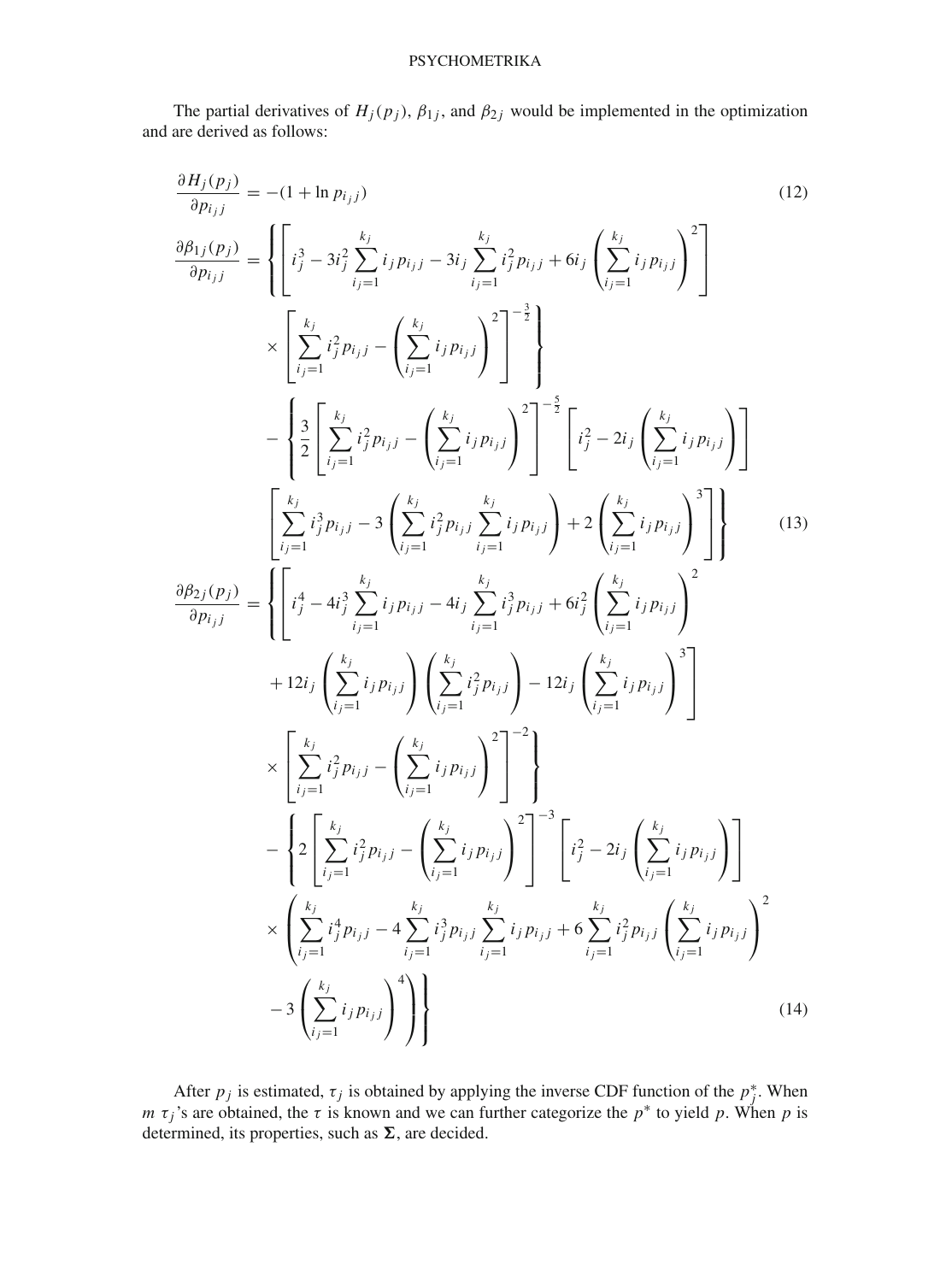The partial derivatives of  $H_j(p_j)$ ,  $\beta_{1j}$ , and  $\beta_{2j}$  would be implemented in the optimization and are derived as follows:

<span id="page-5-0"></span>
$$
\frac{\partial H_j(p_j)}{\partial p_{i,j}} = -(1 + \ln p_{i,j})
$$
\n
$$
\frac{\partial h_j(p_j)}{\partial p_{i,j}} = \left\{ \left[ i_j^3 - 3i_j^2 \sum_{i,j=1}^{k_j} i_j p_{i,j} - 3i_j \sum_{i,j=1}^{k_j} i_j^2 p_{i,j} + 6i_j \left( \sum_{i,j=1}^{k_j} i_j p_{i,j} \right)^2 \right] \right\}
$$
\n
$$
\times \left[ \sum_{i,j=1}^{k_j} i_j^2 p_{i,j} - \left( \sum_{i,j=1}^{k_j} i_j p_{i,j} \right)^2 \right]^{-\frac{3}{2}} \right\}
$$
\n
$$
- \left\{ \frac{3}{2} \left[ \sum_{i,j=1}^{k_j} i_j^2 p_{i,j} - \left( \sum_{i,j=1}^{k_j} i_j p_{i,j} \right)^2 \right]^{-\frac{3}{2}} \left[ i_j^2 - 2i_j \left( \sum_{i,j=1}^{k_j} i_j p_{i,j} \right) \right] \right\}
$$
\n
$$
- \left[ \sum_{i,j=1}^{k_j} i_j^3 p_{i,j} - 3 \left( \sum_{i,j=1}^{k_j} i_j^2 p_{i,j} \right)^2 \right]^{-\frac{5}{2}} \left[ i_j^2 - 2i_j \left( \sum_{i,j=1}^{k_j} i_j p_{i,j} \right)^3 \right]
$$
\n
$$
\frac{\partial h_{2j}(p_j)}{\partial p_{i,j}} = \left\{ \left[ i_j^4 - 4i_j^3 \sum_{i,j=1}^{k_j} i_j p_{i,j} - 4i_j \sum_{i,j=1}^{k_j} i_j^3 p_{i,j} + 6i_j^2 \left( \sum_{i,j=1}^{k_j} i_j p_{i,j} \right)^2 \right] + 12i_j \left( \sum_{i,j=1}^{k_j} i_j p_{i,j} \right) \left( \sum_{i,j=1}^{k_j} i_j^2 p_{i,j} \right) - 12i_j \left( \sum_{i,j=1}^{k_j} i_j p_{i,j} \right)^3 \right]
$$
\n
$$
\times \left[ \sum_{i,j=1}^{k_j} i_j^2 p_{i,j} - \left( \sum_{i,j=1}^{k_j} i_j p_{i,j} \right)^2 \right]^{-2
$$

After  $p_j$  is estimated,  $\tau_j$  is obtained by applying the inverse CDF function of the  $p_j^*$ . When *m*  $\tau_j$ 's are obtained, the  $\tau$  is known and we can further categorize the  $p^*$  to yield p. When p is determined, its properties, such as  $\Sigma$ , are decided.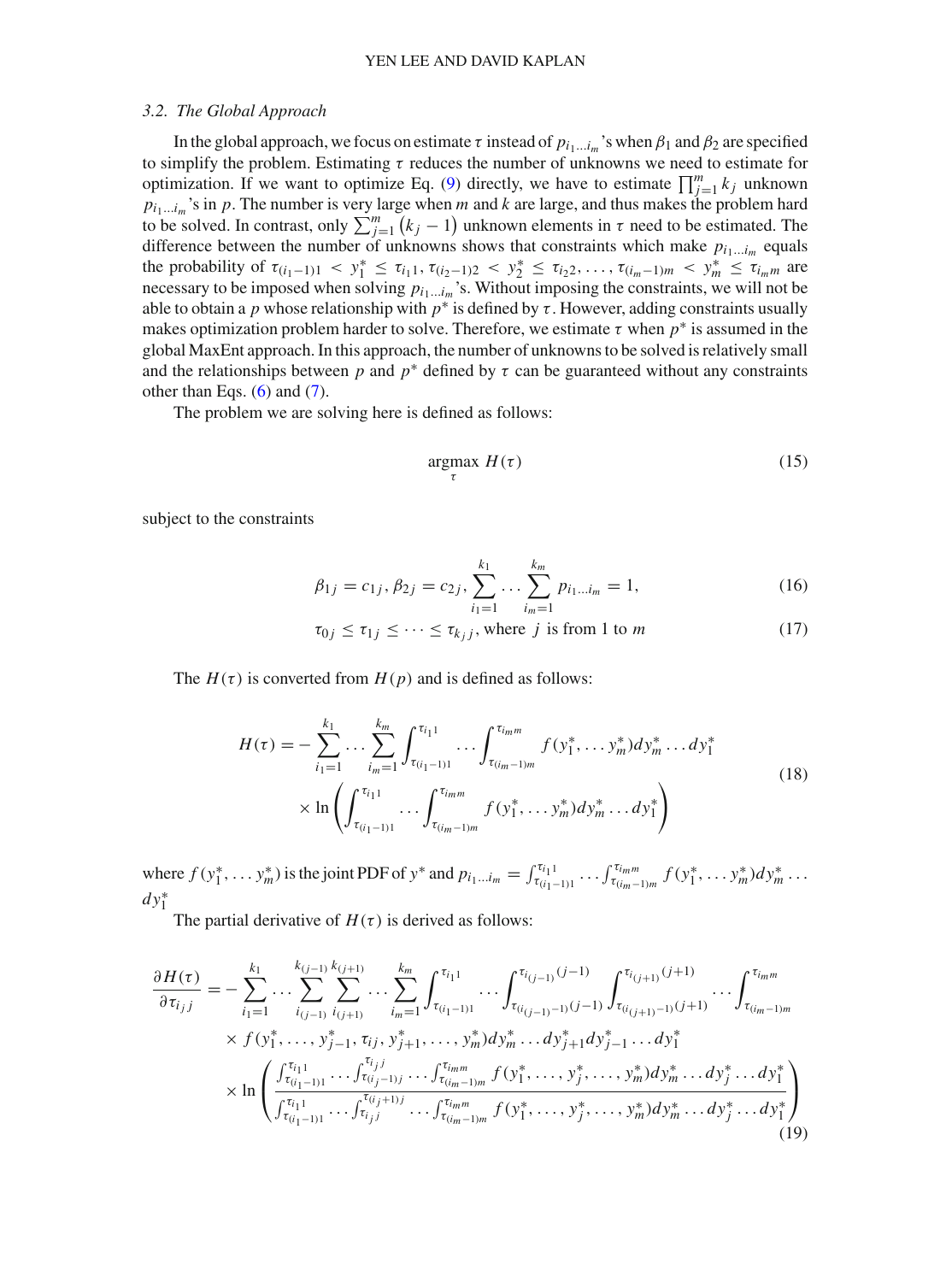### *3.2. The Global Approach*

In the global approach, we focus on estimate  $\tau$  instead of  $p_{i_1...i_m}$ 's when  $\beta_1$  and  $\beta_2$  are specified to simplify the problem. Estimating  $\tau$  reduces the number of unknowns we need to estimate for optimization. If we want to optimize Eq. [\(9\)](#page-4-1) directly, we have to estimate  $\prod_{j=1}^{m} k_j$  unknown  $p_{i_1...i_m}$ 's in *p*. The number is very large when *m* and *k* are large, and thus makes the problem hard to be solved. In contrast, only  $\sum_{j=1}^{m} (k_j - 1)$  unknown elements in  $\tau$  need to be estimated. The difference between the number of unknowns shows that constraints which make  $p_{i_1...i_m}$  equals the probability of  $\tau_{(i_1-1)1} < y_1^* \leq \tau_{i_1 1}, \tau_{(i_2-1)2} < y_2^* \leq \tau_{i_2 2}, \ldots, \tau_{(i_m-1)m} < y_m^* \leq \tau_{i_m m}$  are necessary to be imposed when solving  $p_{i_1...i_m}$ 's. Without imposing the constraints, we will not be able to obtain a *p* whose relationship with  $p^*$  is defined by  $\tau$ . However, adding constraints usually makes optimization problem harder to solve. Therefore, we estimate  $\tau$  when  $p^*$  is assumed in the global MaxEnt approach. In this approach, the number of unknowns to be solved is relatively small and the relationships between *p* and  $p^*$  defined by  $\tau$  can be guaranteed without any constraints other than Eqs.  $(6)$  and  $(7)$ .

The problem we are solving here is defined as follows:

$$
\underset{\tau}{\text{argmax}} \ H(\tau) \tag{15}
$$

subject to the constraints

<span id="page-6-1"></span>
$$
\beta_{1j} = c_{1j}, \beta_{2j} = c_{2j}, \sum_{i_1=1}^{k_1} \dots \sum_{i_m=1}^{k_m} p_{i_1 \dots i_m} = 1, \qquad (16)
$$

$$
\tau_{0j} \le \tau_{1j} \le \cdots \le \tau_{k_jj}, \text{ where } j \text{ is from 1 to } m \tag{17}
$$

The  $H(\tau)$  is converted from  $H(p)$  and is defined as follows:

<span id="page-6-0"></span>
$$
H(\tau) = -\sum_{i_1=1}^{k_1} \cdots \sum_{i_m=1}^{k_m} \int_{\tau_{(i_1-1)1}}^{\tau_{i_1 1}} \cdots \int_{\tau_{(i_m-1)m}}^{\tau_{i_m m}} f(y_1^*, \dots y_m^*) dy_m^* \dots dy_1^*
$$
  
 
$$
\times \ln \left( \int_{\tau_{(i_1-1)1}}^{\tau_{i_1 1}} \cdots \int_{\tau_{(i_m-1)m}}^{\tau_{i_m m}} f(y_1^*, \dots y_m^*) dy_m^* \dots dy_1^* \right)
$$
(18)

where  $f(y_1^*, \ldots, y_m^*)$  is the joint PDF of  $y^*$  and  $p_{i_1 \ldots i_m} = \int_{\tau_{(i_1-1)1}}^{\tau_{i_1 1}} \ldots \int_{\tau_{(i_m-1)m}}^{\tau_{i_m m}} f(y_1^*, \ldots, y_m^*) dy_m^* \ldots$ *dy*∗ 1

The partial derivative of  $H(\tau)$  is derived as follows:

$$
\frac{\partial H(\tau)}{\partial \tau_{i j j}} = -\sum_{i_1=1}^{k_1} \dots \sum_{i_{(j-1)}}^{k_{(j-1)}} \sum_{i_{(j+1)}}^{k_{(j+1)}} \dots \sum_{i_m=1}^{k_m} \int_{\tau_{(i_1-1)1}}^{\tau_{i_1}} \dots \int_{\tau_{(i_{(j-1)}-1)}(j-1)}^{\tau_{i_{(j-1)}}(j-1)} \int_{\tau_{(i_{(j+1)}-1)}(j+1)}^{\tau_{i_{(j+1)}}(j+1)} \dots \int_{\tau_{(i_m-1)m}}^{\tau_{i_m m}} \\ \times f(y_1^*, \dots, y_{j-1}^*, \tau_{i j}, y_{j+1}^*, \dots, y_m^*) dy_m^* \dots dy_{j+1}^* dy_{j-1}^* \dots dy_1^* \\ \times \ln \left( \frac{\int_{\tau_{(i_1-1)1}}^{\tau_{i_1 1}} \dots \int_{\tau_{(i_j-1)j}}^{\tau_{i_{j}}(j-1)} \dots \int_{\tau_{(i_m-1)m}}^{\tau_{i_m m}} f(y_1^*, \dots, y_j^*, \dots, y_m^*) dy_m^* \dots dy_j^* \dots dy_1^*}{\int_{\tau_{(i_1-1)1}}^{\tau_{i_1 1}} \dots \int_{\tau_{i_j}j}^{\tau_{i_{(j+1)j}}} \dots \int_{\tau_{(i_m-1)m}}^{\tau_{i_{m m}}} f(y_1^*, \dots, y_j^*, \dots, y_m^*) dy_m^* \dots dy_j^* \dots dy_1^*} \right) \tag{19}
$$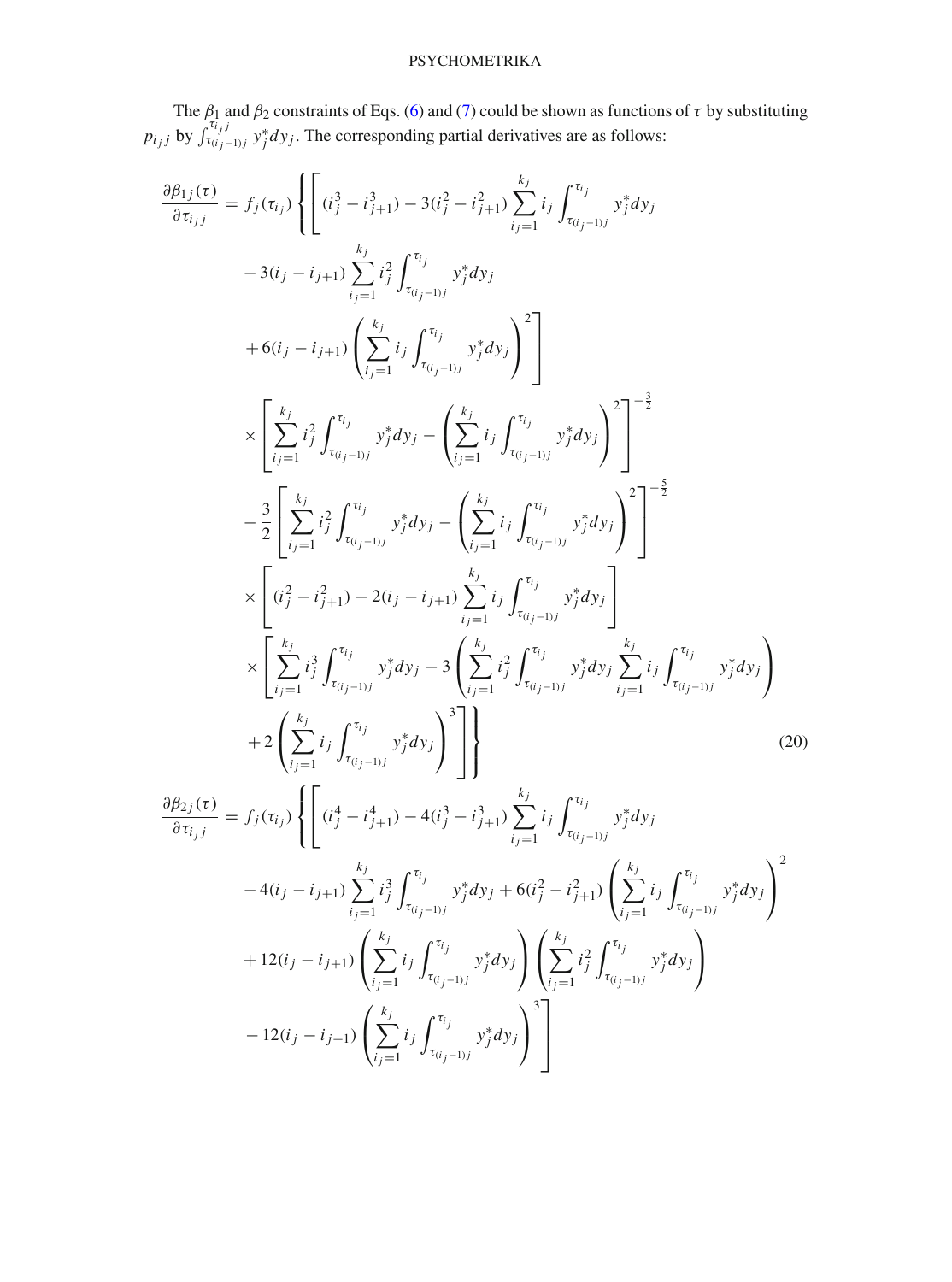The  $\beta_1$  and  $\beta_2$  constraints of Eqs. [\(6\)](#page-3-1) and [\(7\)](#page-3-1) could be shown as functions of  $\tau$  by substituting *p*<sub>*i*</sup></sub>*j* by  $\int_{\tau(i_j-1)j}^{\tau(i_j)} y_j^* dy_j$ . The corresponding partial derivatives are as follows:

<span id="page-7-0"></span>
$$
\frac{\partial \beta_{1j}(\tau)}{\partial \tau_{ij}} = f_j(\tau_{ij}) \left\{ \left[ (i_j^3 - i_{j+1}^3) - 3(i_j^2 - i_{j+1}^2) \sum_{i_j=1}^{k_j} i_j \int_{\tau_{(i_j-1)j}}^{\tau_{ij}} y_j^* dy_j \right. \\ - 3(i_j - i_{j+1}) \sum_{i_j=1}^{k_j} i_j^2 \int_{\tau_{(i_j-1)j}}^{\tau_{ij}} y_j^* dy_j \right\}^2 + 6(i_j - i_{j+1}) \left( \sum_{i_j=1}^{k_j} i_j \int_{\tau_{(i_j-1)j}}^{\tau_{ij}} y_j^* dy_j \right)^2 \right] \\ \times \left[ \sum_{i_j=1}^{k_j} i_j^2 \int_{\tau_{(i_j-1)j}}^{\tau_{i_j}} y_j^* dy_j - \left( \sum_{i_j=1}^{k_j} i_j \int_{\tau_{(i_j-1)j}}^{\tau_{i_j}} y_j^* dy_j \right)^2 \right]^{-\frac{3}{2}} \\ - \frac{3}{2} \left[ \sum_{i_j=1}^{k_j} i_j^2 \int_{\tau_{(i_j-1)j}}^{\tau_{i_j}} y_j^* dy_j - \left( \sum_{i_j=1}^{k_j} i_j \int_{\tau_{(i_j-1)j}}^{\tau_{i_j}} y_j^* dy_j \right)^2 \right]^{-\frac{5}{2}} \\ \times \left[ (i_j^2 - i_{j+1}^2) - 2(i_j - i_{j+1}) \sum_{i_j=1}^{k_j} i_j \int_{\tau_{(i_j-1)j}}^{\tau_{i_j}} y_j^* dy_j \right] \\ \times \left[ \sum_{i_j=1}^{k_j} i_j^3 \int_{\tau_{(i_j-1)j}}^{\tau_{i_j}} y_j^* dy_j - 3 \left( \sum_{i_j=1}^{k_j} i_j^2 \int_{\tau_{(i_j-1)j}}^{\tau_{i_j}} y_j^* dy_j \right) \sum_{i_j=1}^{k_j} i_j \int_{\tau_{(i_j-1)j}}^{\tau_{i_j}} y_j^* dy_j \right) \\ + 2 \left( \sum_{i_j=1}^{k_j} i_j \int_{\tau_{(i_j-1)j}}^{\tau_{i_j}} y_j^* dy_j \right)^3 \right] \right\} \tag{20}
$$

$$
-4(i_j - i_{j+1}) \sum_{i_j=1}^{k_j} i_j^3 \int_{\tau_{(i_j-1)j}}^{\tau_{i_j}} y_j^* dy_j + 6(i_j^2 - i_{j+1}^2) \left( \sum_{i_j=1}^{k_j} i_j \int_{\tau_{(i_j-1)j}}^{\tau_{i_j}} y_j^* dy_j \right)
$$
  
+ 12(i\_j - i\_{j+1}) \left( \sum\_{i\_j=1}^{k\_j} i\_j \int\_{\tau\_{(i\_j-1)j}}^{\tau\_{i\_j}} y\_j^\* dy\_j \right) \left( \sum\_{i\_j=1}^{k\_j} i\_j^2 \int\_{\tau\_{(i\_j-1)j}}^{\tau\_{i\_j}} y\_j^\* dy\_j \right)  
- 12(i\_j - i\_{j+1}) \left( \sum\_{i\_j=1}^{k\_j} i\_j \int\_{\tau\_{(i\_j-1)j}}^{\tau\_{i\_j}} y\_j^\* dy\_j \right)^3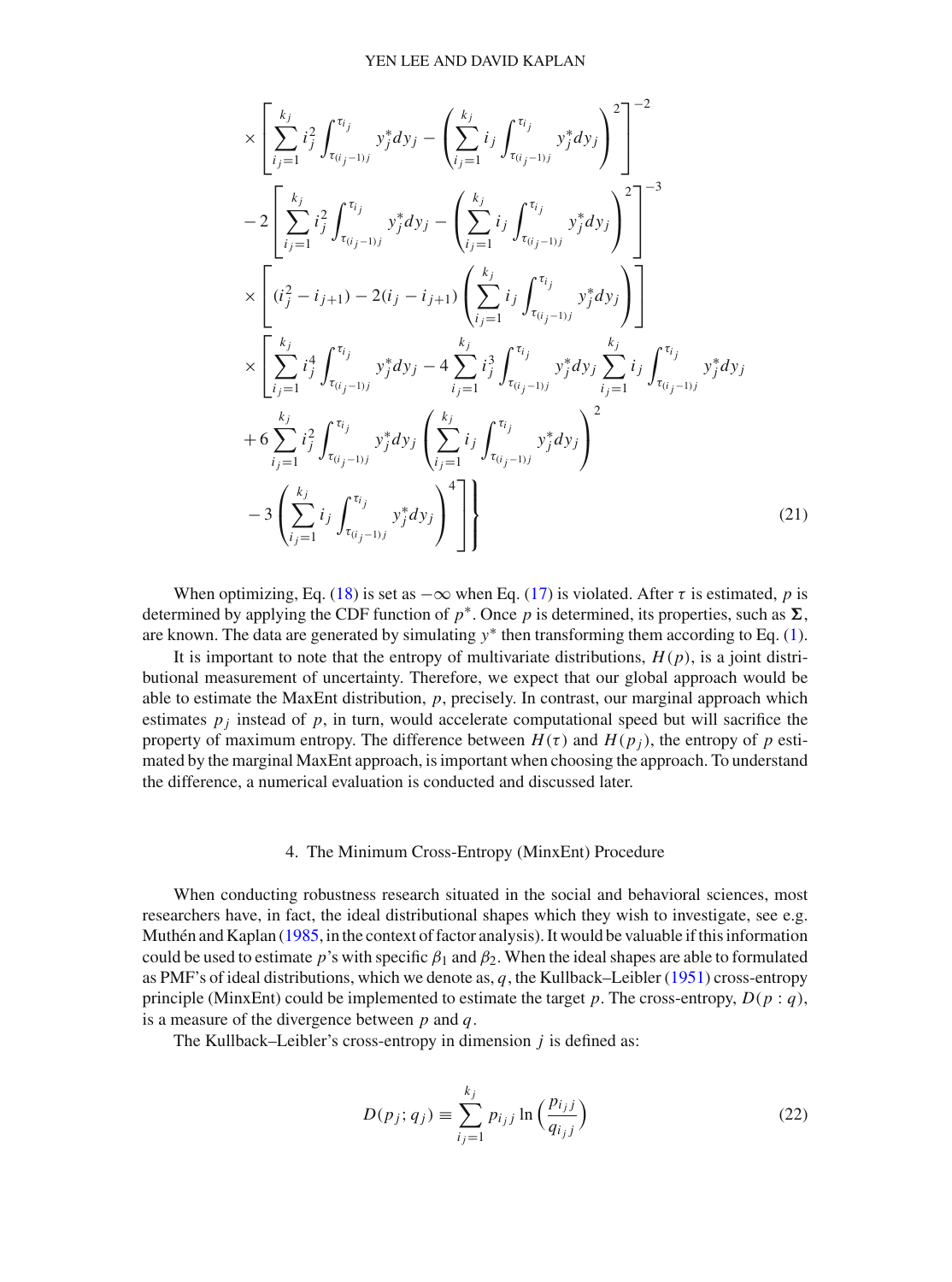$$
\times \left[ \sum_{i_{j}=1}^{k_{j}} i_{j}^{2} \int_{\tau_{(i_{j}-1)j}}^{\tau_{i_{j}}} y_{j}^{*} dy_{j} - \left( \sum_{i_{j}=1}^{k_{j}} i_{j} \int_{\tau_{(i_{j}-1)j}}^{\tau_{i_{j}}} y_{j}^{*} dy_{j} \right)^{2} \right]^{-2}
$$
  
\n
$$
-2 \left[ \sum_{i_{j}=1}^{k_{j}} i_{j}^{2} \int_{\tau_{(i_{j}-1)j}}^{\tau_{i_{j}}} y_{j}^{*} dy_{j} - \left( \sum_{i_{j}=1}^{k_{j}} i_{j} \int_{\tau_{(i_{j}-1)j}}^{\tau_{i_{j}}} y_{j}^{*} dy_{j} \right)^{2} \right]^{-3}
$$
  
\n
$$
\times \left[ (i_{j}^{2} - i_{j+1}) - 2(i_{j} - i_{j+1}) \left( \sum_{i_{j}=1}^{k_{j}} i_{j} \int_{\tau_{(i_{j}-1)j}}^{\tau_{i_{j}}} y_{j}^{*} dy_{j} \right) \right]
$$
  
\n
$$
\times \left[ \sum_{i_{j}=1}^{k_{j}} i_{j}^{4} \int_{\tau_{(i_{j}-1)j}}^{\tau_{i_{j}}} y_{j}^{*} dy_{j} - 4 \sum_{i_{j}=1}^{k_{j}} i_{j}^{3} \int_{\tau_{(i_{j}-1)j}}^{\tau_{i_{j}}} y_{j}^{*} dy_{j} \sum_{i_{j}=1}^{k_{j}} i_{j} \int_{\tau_{(i_{j}-1)j}}^{\tau_{i_{j}}} y_{j}^{*} dy_{j} \right]
$$
  
\n
$$
+ 6 \sum_{i_{j}=1}^{k_{j}} i_{j}^{2} \int_{\tau_{(i_{j}-1)j}}^{\tau_{i_{j}}} y_{j}^{*} dy_{j} \left( \sum_{i_{j}=1}^{k_{j}} i_{j} \int_{\tau_{(i_{j}-1)j}}^{\tau_{i_{j}}} y_{j}^{*} dy_{j} \right)^{2}
$$
  
\n
$$
-3 \left( \sum_{i_{j}=1}^{k_{j}} i_{j} \int_{\tau_{(i_{j}-1)j}}^{\tau_{i_{j}}} y_{j}^{*} dy_{j} \right)^{4} \
$$

When optimizing, Eq. [\(18\)](#page-6-0) is set as  $-\infty$  when Eq. [\(17\)](#page-6-1) is violated. After  $\tau$  is estimated, *p* is determined by applying the CDF function of  $p^*$ . Once p is determined, its properties, such as  $\Sigma$ , are known. The data are generated by simulating  $y^*$  then transforming them according to Eq. [\(1\)](#page-1-0).

It is important to note that the entropy of multivariate distributions,  $H(p)$ , is a joint distributional measurement of uncertainty. Therefore, we expect that our global approach would be able to estimate the MaxEnt distribution, *p*, precisely. In contrast, our marginal approach which estimates  $p_i$  instead of  $p$ , in turn, would accelerate computational speed but will sacrifice the property of maximum entropy. The difference between  $H(\tau)$  and  $H(p_i)$ , the entropy of p estimated by the marginal MaxEnt approach, is important when choosing the approach. To understand the difference, a numerical evaluation is conducted and discussed later.

# 4. The Minimum Cross-Entropy (MinxEnt) Procedure

When conducting robustness research situated in the social and behavioral sciences, most researchers have, in fact, the ideal distributional shapes which they wish to investigate, see e.g. Muthén and Kaplan [\(1985,](#page-25-7) in the context of factor analysis). It would be valuable if this information could be used to estimate *p*'s with specific  $\beta_1$  and  $\beta_2$ . When the ideal shapes are able to formulated as PMF's of ideal distributions, which we denote as, *q*, the Kullback–Leibler [\(1951](#page-24-15)) cross-entropy principle (MinxEnt) could be implemented to estimate the target *p*. The cross-entropy,  $D(p:q)$ , is a measure of the divergence between *p* and *q*.

The Kullback–Leibler's cross-entropy in dimension *j* is defined as:

<span id="page-8-0"></span>
$$
D(p_j; q_j) \equiv \sum_{i_j=1}^{k_j} p_{i_j j} \ln \left( \frac{p_{i_j j}}{q_{i_j j}} \right)
$$
 (22)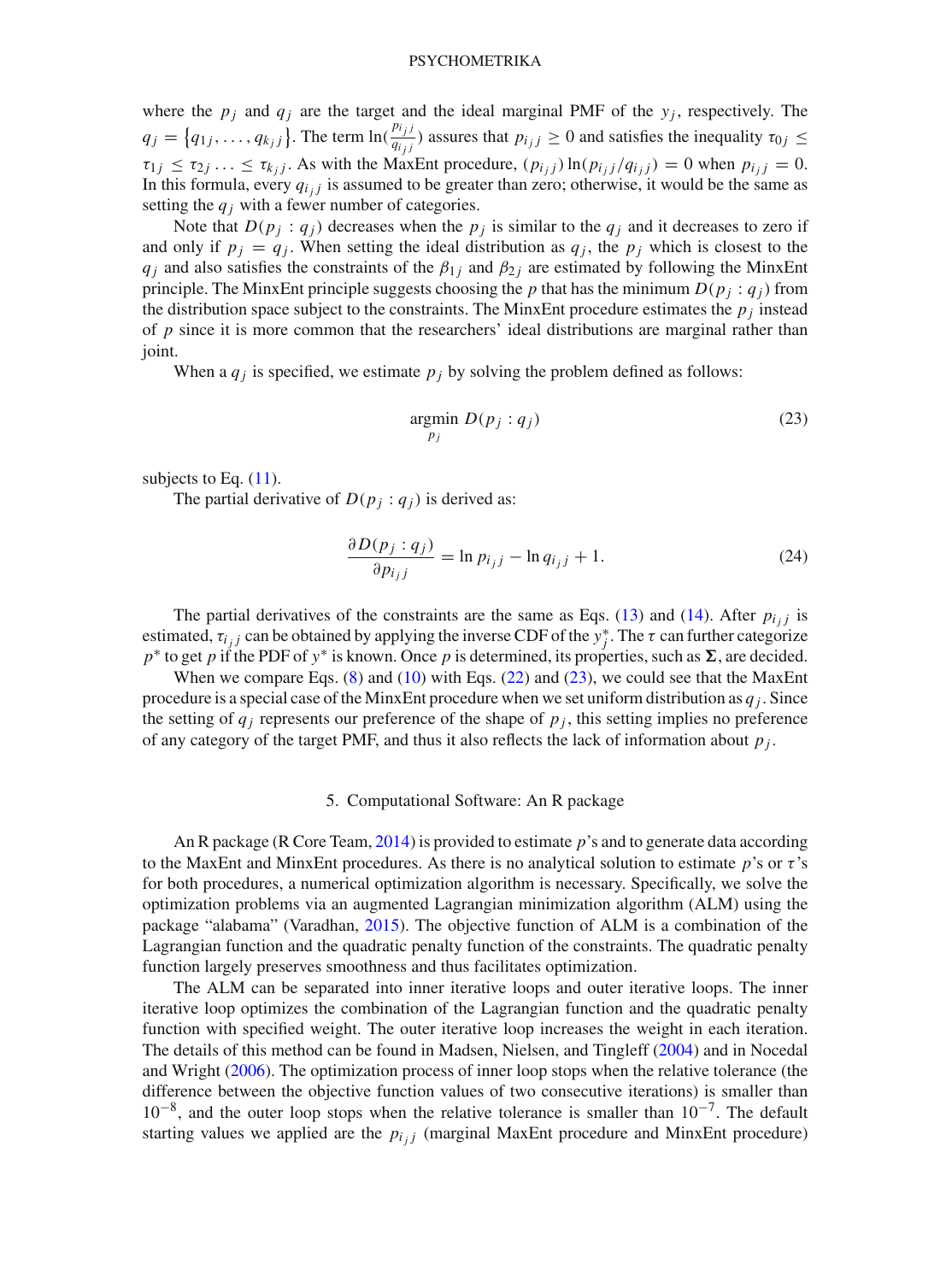where the  $p_i$  and  $q_i$  are the target and the ideal marginal PMF of the  $y_i$ , respectively. The  $q_j = \{q_{1j}, \ldots, q_{k_j j}\}\.$  The term  $\ln(\frac{p_{i_j j}}{q_{i_j j}})$  $\frac{f(y)}{q_{ij}}$  assures that  $p_{ij} \ge 0$  and satisfies the inequality  $\tau_{0j} \le$  $\tau_{1j} \leq \tau_{2j} \ldots \leq \tau_{k_jj}$ . As with the MaxEnt procedure,  $(p_{i_jj}) \ln(p_{i_jj}/q_{i_jj}) = 0$  when  $p_{i_jj} = 0$ . In this formula, every  $q_{i j}$  is assumed to be greater than zero; otherwise, it would be the same as setting the  $q_i$  with a fewer number of categories.

Note that  $D(p_j : q_j)$  decreases when the  $p_j$  is similar to the  $q_j$  and it decreases to zero if and only if  $p_j = q_j$ . When setting the ideal distribution as  $q_j$ , the  $p_j$  which is closest to the *q*<sub>*j*</sub> and also satisfies the constraints of the  $\beta_{1j}$  and  $\beta_{2j}$  are estimated by following the MinxEnt principle. The MinxEnt principle suggests choosing the *p* that has the minimum  $D(p_j : q_j)$  from the distribution space subject to the constraints. The MinxEnt procedure estimates the  $p_i$  instead of *p* since it is more common that the researchers' ideal distributions are marginal rather than joint.

When a  $q_i$  is specified, we estimate  $p_i$  by solving the problem defined as follows:

<span id="page-9-0"></span>
$$
\underset{p_j}{\text{argmin}} \ D(p_j : q_j) \tag{23}
$$

subjects to Eq.  $(11)$ .

The partial derivative of  $D(p_i : q_i)$  is derived as:

$$
\frac{\partial D(p_j : q_j)}{\partial p_{i_j j}} = \ln p_{i_j j} - \ln q_{i_j j} + 1.
$$
 (24)

The partial derivatives of the constraints are the same as Eqs. [\(13\)](#page-5-0) and [\(14\)](#page-5-0). After  $p_{i,j}$  is estimated,  $\tau_{i_j j}$  can be obtained by applying the inverse CDF of the  $y_j^*$ . The  $\tau$  can further categorize *p*\* to get *p* if the PDF of *y*\* is known. Once *p* is determined, its properties, such as ∑, are decided.

When we compare Eqs.  $(8)$  and  $(10)$  with Eqs.  $(22)$  and  $(23)$ , we could see that the MaxEnt procedure is a special case of the MinxEnt procedure when we set uniform distribution as *q <sup>j</sup>* . Since the setting of  $q_i$  represents our preference of the shape of  $p_i$ , this setting implies no preference of any category of the target PMF, and thus it also reflects the lack of information about  $p_j$ .

## 5. Computational Software: An R package

An R package (R Core Team, [2014\)](#page-25-16) is provided to estimate *p*'s and to generate data according to the MaxEnt and MinxEnt procedures. As there is no analytical solution to estimate  $p$ 's or  $\tau$ 's for both procedures, a numerical optimization algorithm is necessary. Specifically, we solve the optimization problems via an augmented Lagrangian minimization algorithm (ALM) using the package "alabama" (Varadhan, [2015\)](#page-25-17). The objective function of ALM is a combination of the Lagrangian function and the quadratic penalty function of the constraints. The quadratic penalty function largely preserves smoothness and thus facilitates optimization.

The ALM can be separated into inner iterative loops and outer iterative loops. The inner iterative loop optimizes the combination of the Lagrangian function and the quadratic penalty function with specified weight. The outer iterative loop increases the weight in each iteration. The details of this method can be found in Madsen, Nielsen, and Tingleff [\(2004\)](#page-24-16) and in Nocedal and Wright [\(2006](#page-25-18)). The optimization process of inner loop stops when the relative tolerance (the difference between the objective function values of two consecutive iterations) is smaller than  $10^{-8}$ , and the outer loop stops when the relative tolerance is smaller than  $10^{-7}$ . The default starting values we applied are the  $p_{i,j}$  (marginal MaxEnt procedure and MinxEnt procedure)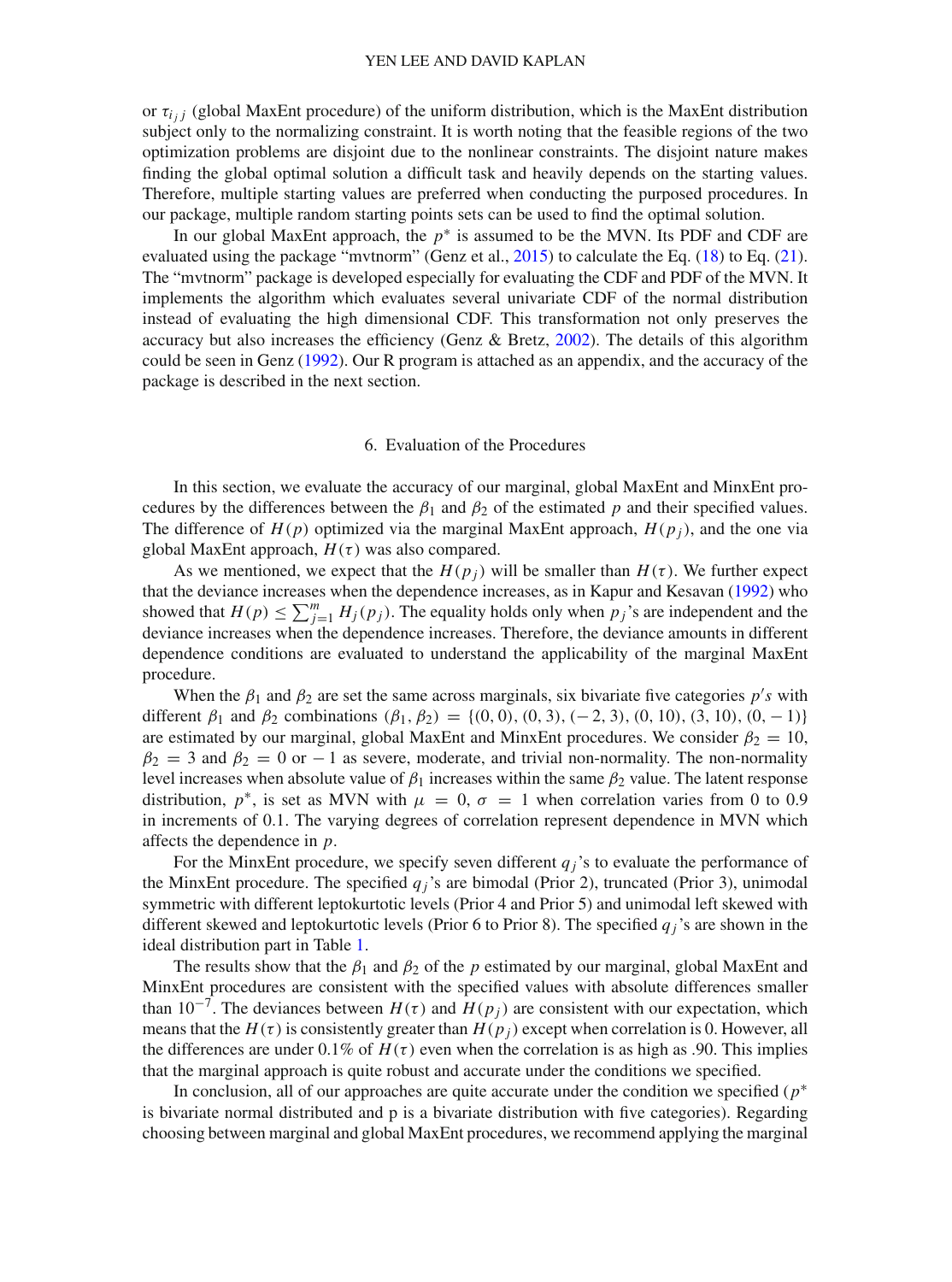or  $\tau_{i,j}$  (global MaxEnt procedure) of the uniform distribution, which is the MaxEnt distribution subject only to the normalizing constraint. It is worth noting that the feasible regions of the two optimization problems are disjoint due to the nonlinear constraints. The disjoint nature makes finding the global optimal solution a difficult task and heavily depends on the starting values. Therefore, multiple starting values are preferred when conducting the purposed procedures. In our package, multiple random starting points sets can be used to find the optimal solution.

In our global MaxEnt approach, the *p*∗ is assumed to be the MVN. Its PDF and CDF are evaluated using the package "mvtnorm" (Genz et al., [2015](#page-24-17)) to calculate the Eq. [\(18\)](#page-6-0) to Eq. [\(21\)](#page-7-0). The "mvtnorm" package is developed especially for evaluating the CDF and PDF of the MVN. It implements the algorithm which evaluates several univariate CDF of the normal distribution instead of evaluating the high dimensional CDF. This transformation not only preserves the accuracy but also increases the efficiency (Genz & Bretz, [2002](#page-24-18)). The details of this algorithm could be seen in Genz [\(1992\)](#page-24-19). Our R program is attached as an appendix, and the accuracy of the package is described in the next section.

# 6. Evaluation of the Procedures

In this section, we evaluate the accuracy of our marginal, global MaxEnt and MinxEnt procedures by the differences between the  $\beta_1$  and  $\beta_2$  of the estimated *p* and their specified values. The difference of  $H(p)$  optimized via the marginal MaxEnt approach,  $H(p_i)$ , and the one via global MaxEnt approach,  $H(\tau)$  was also compared.

As we mentioned, we expect that the  $H(p_i)$  will be smaller than  $H(\tau)$ . We further expect that the deviance increases when the dependence increases, as in Kapur and Kesavan [\(1992\)](#page-24-13) who showed that  $H(p) \le \sum_{j=1}^{m} H_j(p_j)$ . The equality holds only when  $p_j$ 's are independent and the deviance increases when the dependence increases. Therefore, the deviance amounts in different dependence conditions are evaluated to understand the applicability of the marginal MaxEnt procedure.

When the  $\beta_1$  and  $\beta_2$  are set the same across marginals, six bivariate five categories  $p$ 's with different  $\beta_1$  and  $\beta_2$  combinations  $(\beta_1, \beta_2) = \{(0, 0), (0, 3), (-2, 3), (0, 10), (3, 10), (0, -1)\}\$ are estimated by our marginal, global MaxEnt and MinxEnt procedures. We consider  $\beta_2 = 10$ ,  $\beta_2 = 3$  and  $\beta_2 = 0$  or  $-1$  as severe, moderate, and trivial non-normality. The non-normality level increases when absolute value of  $\beta_1$  increases within the same  $\beta_2$  value. The latent response distribution,  $p^*$ , is set as MVN with  $\mu = 0$ ,  $\sigma = 1$  when correlation varies from 0 to 0.9 in increments of 0.1. The varying degrees of correlation represent dependence in MVN which affects the dependence in *p*.

For the MinxEnt procedure, we specify seven different  $q_j$ 's to evaluate the performance of the MinxEnt procedure. The specified  $q_i$ 's are bimodal (Prior 2), truncated (Prior 3), unimodal symmetric with different leptokurtotic levels (Prior 4 and Prior 5) and unimodal left skewed with different skewed and leptokurtotic levels (Prior 6 to Prior 8). The specified  $q_i$ 's are shown in the ideal distribution part in Table [1.](#page-11-0)

The results show that the  $\beta_1$  and  $\beta_2$  of the *p* estimated by our marginal, global MaxEnt and MinxEnt procedures are consistent with the specified values with absolute differences smaller than  $10^{-7}$ . The deviances between  $H(\tau)$  and  $H(p_i)$  are consistent with our expectation, which means that the  $H(\tau)$  is consistently greater than  $H(p_i)$  except when correlation is 0. However, all the differences are under  $0.1\%$  of  $H(\tau)$  even when the correlation is as high as .90. This implies that the marginal approach is quite robust and accurate under the conditions we specified.

In conclusion, all of our approaches are quite accurate under the condition we specified (*p*∗ is bivariate normal distributed and p is a bivariate distribution with five categories). Regarding choosing between marginal and global MaxEnt procedures, we recommend applying the marginal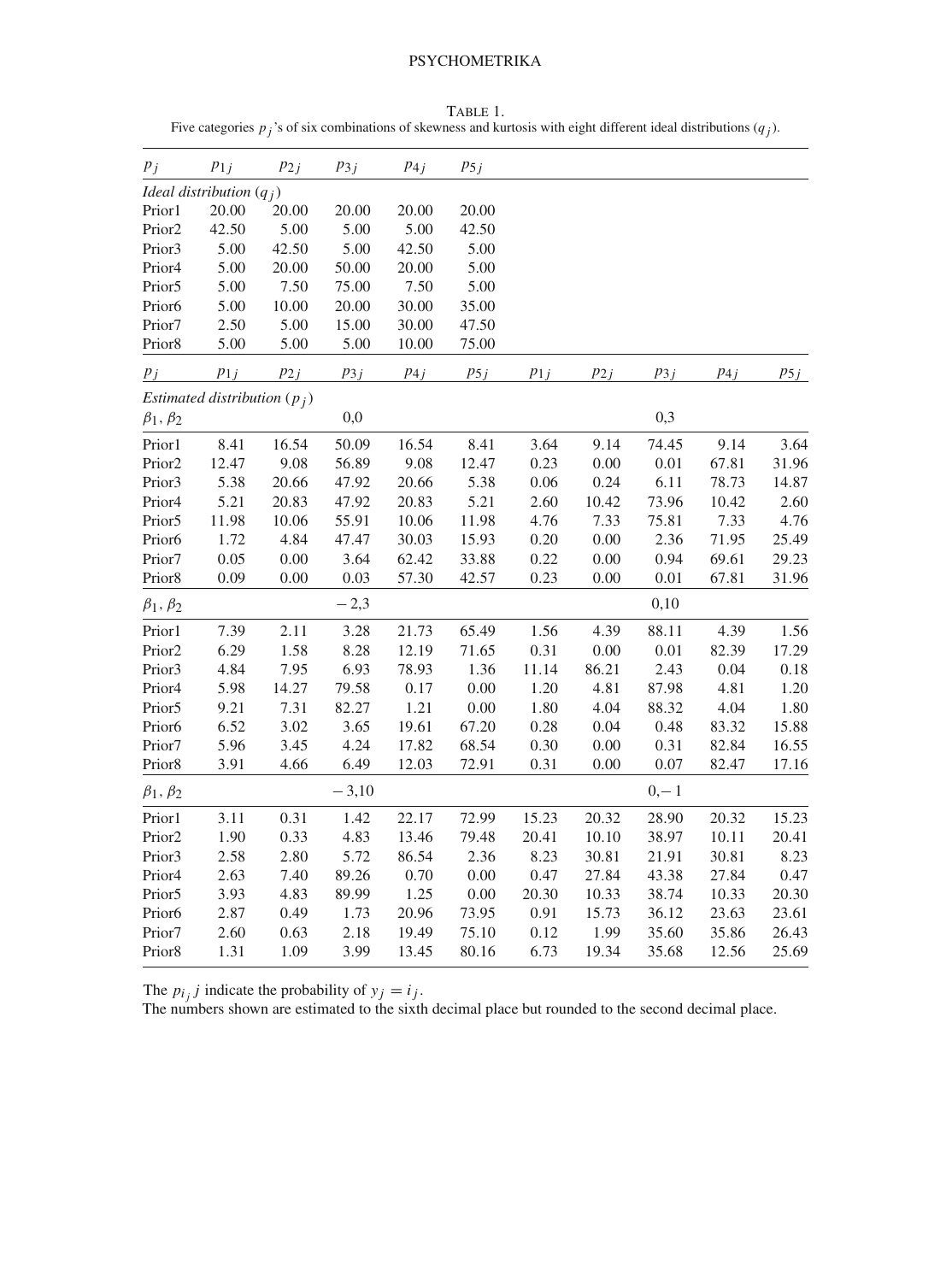<span id="page-11-0"></span>TABLE 1. Five categories  $p_j$ 's of six combinations of skewness and kurtosis with eight different ideal distributions  $(q_j)$ .

| $p_j$              | $p_{1j}$                       | $p_{2j}$ | $p_{3j}$ | $p_{4j}$ | $p_{5j}$ |          |          |          |          |          |
|--------------------|--------------------------------|----------|----------|----------|----------|----------|----------|----------|----------|----------|
|                    | Ideal distribution $(q_i)$     |          |          |          |          |          |          |          |          |          |
| Prior1             | 20.00                          | 20.00    | 20.00    | 20.00    | 20.00    |          |          |          |          |          |
| Prior <sub>2</sub> | 42.50                          | 5.00     | 5.00     | 5.00     | 42.50    |          |          |          |          |          |
| Prior3             | 5.00                           | 42.50    | 5.00     | 42.50    | 5.00     |          |          |          |          |          |
| Prior <sub>4</sub> | 5.00                           | 20.00    | 50.00    | 20.00    | 5.00     |          |          |          |          |          |
| Prior <sub>5</sub> | 5.00                           | 7.50     | 75.00    | 7.50     | 5.00     |          |          |          |          |          |
| Prior <sub>6</sub> | 5.00                           | 10.00    | 20.00    | 30.00    | 35.00    |          |          |          |          |          |
| Prior7             | 2.50                           | 5.00     | 15.00    | 30.00    | 47.50    |          |          |          |          |          |
| Prior8             | 5.00                           | 5.00     | 5.00     | 10.00    | 75.00    |          |          |          |          |          |
| $p_j$              | $p_{1j}$                       | $p_{2j}$ | $p_{3j}$ | $p_{4j}$ | $p_{5j}$ | $p_{1j}$ | $p_{2j}$ | $p_{3j}$ | $p_{4j}$ | $p_{5j}$ |
|                    | Estimated distribution $(p_i)$ |          |          |          |          |          |          |          |          |          |
| $\beta_1, \beta_2$ |                                |          | 0,0      |          |          |          |          | 0,3      |          |          |
| Prior1             | 8.41                           | 16.54    | 50.09    | 16.54    | 8.41     | 3.64     | 9.14     | 74.45    | 9.14     | 3.64     |
| Prior <sub>2</sub> | 12.47                          | 9.08     | 56.89    | 9.08     | 12.47    | 0.23     | 0.00     | 0.01     | 67.81    | 31.96    |
| Prior3             | 5.38                           | 20.66    | 47.92    | 20.66    | 5.38     | 0.06     | 0.24     | 6.11     | 78.73    | 14.87    |
| Prior4             | 5.21                           | 20.83    | 47.92    | 20.83    | 5.21     | 2.60     | 10.42    | 73.96    | 10.42    | 2.60     |
| Prior <sub>5</sub> | 11.98                          | 10.06    | 55.91    | 10.06    | 11.98    | 4.76     | 7.33     | 75.81    | 7.33     | 4.76     |
| Prior6             | 1.72                           | 4.84     | 47.47    | 30.03    | 15.93    | 0.20     | 0.00     | 2.36     | 71.95    | 25.49    |
| Prior7             | 0.05                           | $0.00\,$ | 3.64     | 62.42    | 33.88    | 0.22     | 0.00     | 0.94     | 69.61    | 29.23    |
| Prior8             | 0.09                           | 0.00     | 0.03     | 57.30    | 42.57    | 0.23     | 0.00     | 0.01     | 67.81    | 31.96    |
| $\beta_1, \beta_2$ |                                |          | $-2,3$   |          |          |          |          | 0,10     |          |          |
| Prior1             | 7.39                           | 2.11     | 3.28     | 21.73    | 65.49    | 1.56     | 4.39     | 88.11    | 4.39     | 1.56     |
| Prior <sub>2</sub> | 6.29                           | 1.58     | 8.28     | 12.19    | 71.65    | 0.31     | 0.00     | 0.01     | 82.39    | 17.29    |
| Prior3             | 4.84                           | 7.95     | 6.93     | 78.93    | 1.36     | 11.14    | 86.21    | 2.43     | 0.04     | 0.18     |
| Prior4             | 5.98                           | 14.27    | 79.58    | 0.17     | 0.00     | 1.20     | 4.81     | 87.98    | 4.81     | 1.20     |
| Prior <sub>5</sub> | 9.21                           | 7.31     | 82.27    | 1.21     | 0.00     | 1.80     | 4.04     | 88.32    | 4.04     | 1.80     |
| Prior <sub>6</sub> | 6.52                           | 3.02     | 3.65     | 19.61    | 67.20    | 0.28     | 0.04     | 0.48     | 83.32    | 15.88    |
| Prior7             | 5.96                           | 3.45     | 4.24     | 17.82    | 68.54    | 0.30     | 0.00     | 0.31     | 82.84    | 16.55    |
| Prior8             | 3.91                           | 4.66     | 6.49     | 12.03    | 72.91    | 0.31     | 0.00     | 0.07     | 82.47    | 17.16    |
| $\beta_1, \beta_2$ |                                |          | $-3,10$  |          |          |          |          | $0,-1$   |          |          |
| Prior1             | 3.11                           | 0.31     | 1.42     | 22.17    | 72.99    | 15.23    | 20.32    | 28.90    | 20.32    | 15.23    |
| Prior <sub>2</sub> | 1.90                           | 0.33     | 4.83     | 13.46    | 79.48    | 20.41    | 10.10    | 38.97    | 10.11    | 20.41    |
| Prior3             | 2.58                           | 2.80     | 5.72     | 86.54    | 2.36     | 8.23     | 30.81    | 21.91    | 30.81    | 8.23     |
| Prior4             | 2.63                           | 7.40     | 89.26    | 0.70     | 0.00     | 0.47     | 27.84    | 43.38    | 27.84    | 0.47     |
| Prior <sub>5</sub> | 3.93                           | 4.83     | 89.99    | 1.25     | 0.00     | 20.30    | 10.33    | 38.74    | 10.33    | 20.30    |
| Prior <sub>6</sub> | 2.87                           | 0.49     | 1.73     | 20.96    | 73.95    | 0.91     | 15.73    | 36.12    | 23.63    | 23.61    |
| Prior7             | 2.60                           | 0.63     | 2.18     | 19.49    | 75.10    | 0.12     | 1.99     | 35.60    | 35.86    | 26.43    |
| Prior8             | 1.31                           | 1.09     | 3.99     | 13.45    | 80.16    | 6.73     | 19.34    | 35.68    | 12.56    | 25.69    |

The  $p_{i_j}$  *j* indicate the probability of  $y_j = i_j$ .

The numbers shown are estimated to the sixth decimal place but rounded to the second decimal place.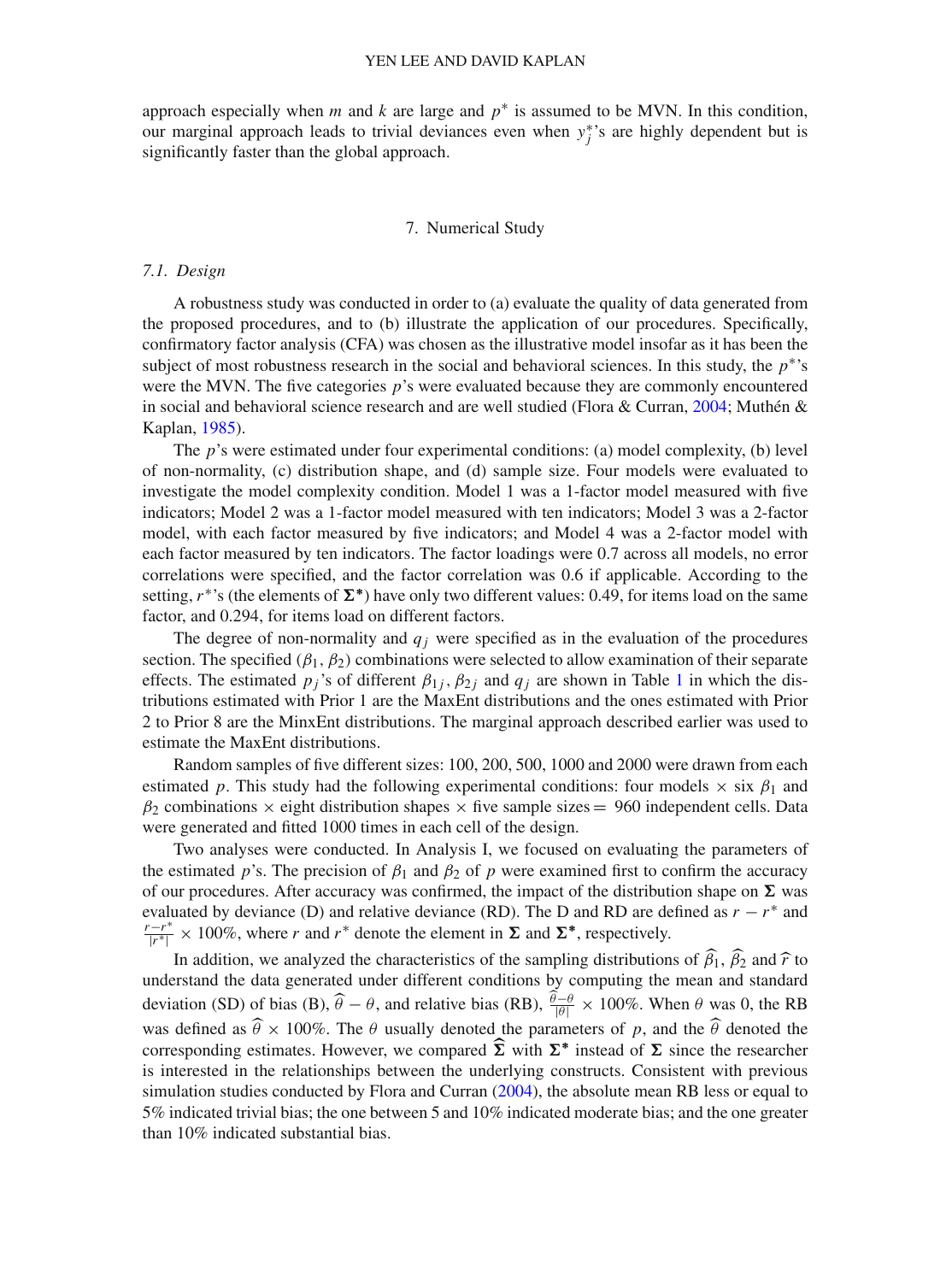approach especially when  $m$  and  $k$  are large and  $p^*$  is assumed to be MVN. In this condition, our marginal approach leads to trivial deviances even when *y*∗ *<sup>j</sup>* 's are highly dependent but is significantly faster than the global approach.

# 7. Numerical Study

#### *7.1. Design*

A robustness study was conducted in order to (a) evaluate the quality of data generated from the proposed procedures, and to (b) illustrate the application of our procedures. Specifically, confirmatory factor analysis (CFA) was chosen as the illustrative model insofar as it has been the subject of most robustness research in the social and behavioral sciences. In this study, the *p*∗'s were the MVN. The five categories *p*'s were evaluated because they are commonly encountered in social and behavioral science research and are well studied (Flora & Curran, [2004](#page-24-10); Muthén & Kaplan, [1985\)](#page-25-7).

The *p*'s were estimated under four experimental conditions: (a) model complexity, (b) level of non-normality, (c) distribution shape, and (d) sample size. Four models were evaluated to investigate the model complexity condition. Model 1 was a 1-factor model measured with five indicators; Model 2 was a 1-factor model measured with ten indicators; Model 3 was a 2-factor model, with each factor measured by five indicators; and Model 4 was a 2-factor model with each factor measured by ten indicators. The factor loadings were 0.7 across all models, no error correlations were specified, and the factor correlation was 0.6 if applicable. According to the setting,  $r^*$ 's (the elements of  $\Sigma^*$ ) have only two different values: 0.49, for items load on the same factor, and 0.294, for items load on different factors.

The degree of non-normality and  $q_i$  were specified as in the evaluation of the procedures section. The specified  $(\beta_1, \beta_2)$  combinations were selected to allow examination of their separate effects. The estimated  $p_j$ 's of different  $\beta_{1j}$  $\beta_{1j}$  $\beta_{1j}$ ,  $\beta_{2j}$  and  $q_j$  are shown in Table 1 in which the distributions estimated with Prior 1 are the MaxEnt distributions and the ones estimated with Prior 2 to Prior 8 are the MinxEnt distributions. The marginal approach described earlier was used to estimate the MaxEnt distributions.

Random samples of five different sizes: 100, 200, 500, 1000 and 2000 were drawn from each estimated *p*. This study had the following experimental conditions: four models  $\times$  six  $\beta_1$  and  $\beta_2$  combinations  $\times$  eight distribution shapes  $\times$  five sample sizes = 960 independent cells. Data were generated and fitted 1000 times in each cell of the design.

Two analyses were conducted. In Analysis I, we focused on evaluating the parameters of the estimated *p*'s. The precision of  $\beta_1$  and  $\beta_2$  of *p* were examined first to confirm the accuracy of our procedures. After accuracy was confirmed, the impact of the distribution shape on  $\Sigma$  was evaluated by deviance (D) and relative deviance (RD). The D and RD are defined as  $r - r^*$  and  $\frac{f(r^*|r^*|}{r^*|} \times 100\%$ , where *r* and *r*<sup>∗</sup> denote the element in  $\Sigma$  and  $\Sigma^*$ , respectively.

In addition, we analyzed the characteristics of the sampling distributions of  $\beta_1$ ,  $\beta$ In addition, we analyzed the characteristics of the sampling distributions of  $\beta_1$ ,  $\beta_2$  and  $\hat{r}$  to understand the data generated under different conditions by computing the mean and standard deviation (SD) of bias (B),  $\hat{\theta} - \theta$ , and relative bias (RB),  $\frac{\hat{\theta} - \theta}{|\theta|} \times 100\%$ . When  $\theta$  was 0, the RB was defined as  $\hat{\theta} \times 100\%$ . The  $\theta$  usually denoted the parameters of p, and the  $\hat{\theta}$  denoted the corresponding estimates. However, we compared  $\Sigma$  with  $\Sigma^*$  instead of  $\Sigma$  since the researcher is interested in the relationships between the underlying constructs. Consistent with previous simulation studies conducted by Flora and Curran [\(2004](#page-24-10)), the absolute mean RB less or equal to 5% indicated trivial bias; the one between 5 and 10% indicated moderate bias; and the one greater than 10% indicated substantial bias.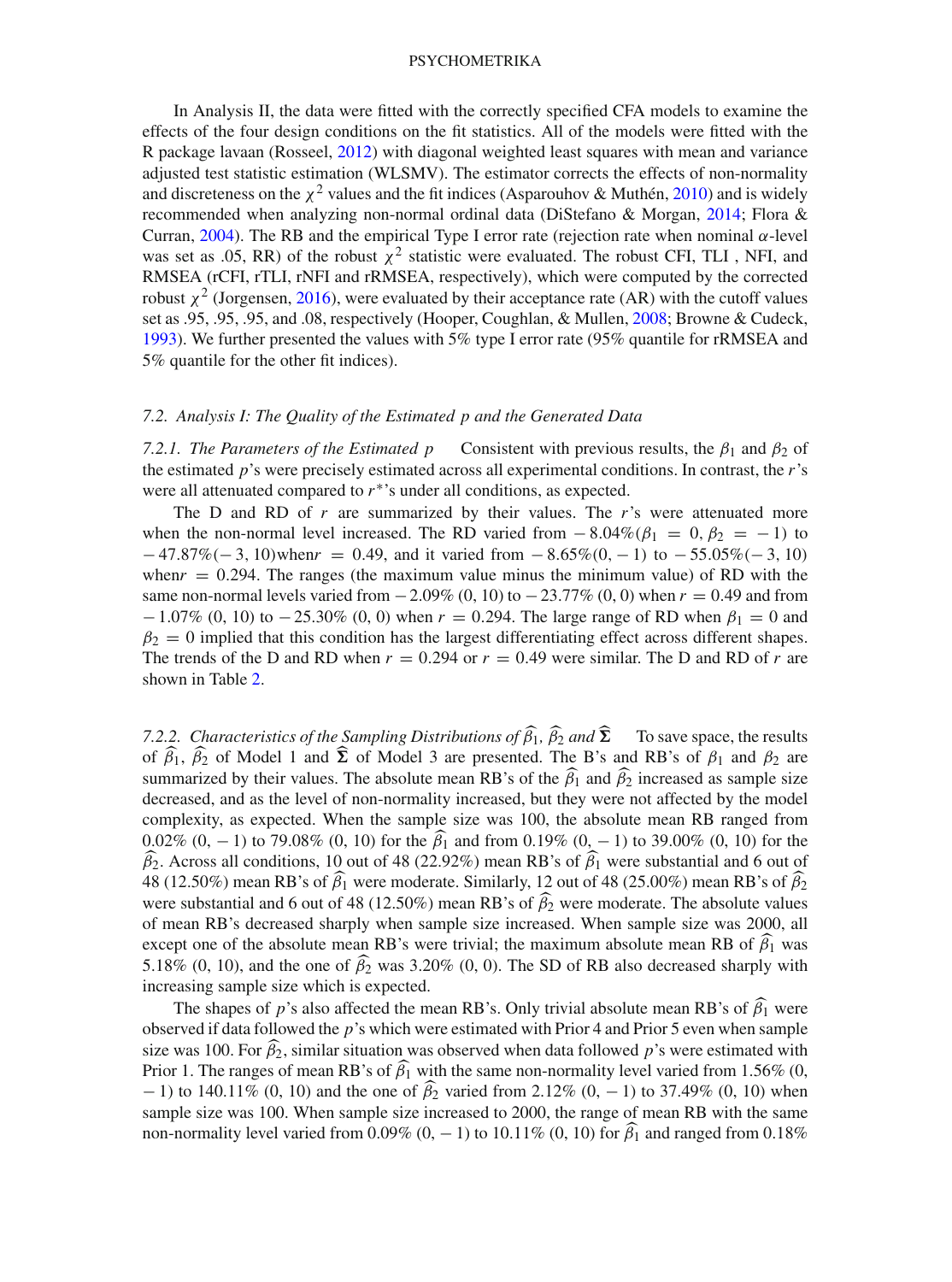In Analysis II, the data were fitted with the correctly specified CFA models to examine the effects of the four design conditions on the fit statistics. All of the models were fitted with the R package lavaan (Rosseel, [2012\)](#page-25-19) with diagonal weighted least squares with mean and variance adjusted test statistic estimation (WLSMV). The estimator corrects the effects of non-normality and discreteness on the  $\chi^2$  values and the fit indices (Asparouhov & Muthén, [2010\)](#page-24-20) and is widely recommended when analyzing non-normal ordinal data (DiStefano & Morgan, [2014](#page-24-21); Flora & Curran, [2004\)](#page-24-10). The RB and the empirical Type I error rate (rejection rate when nominal α-level was set as .05, RR) of the robust  $\chi^2$  statistic were evaluated. The robust CFI, TLI, NFI, and RMSEA (rCFI, rTLI, rNFI and rRMSEA, respectively), which were computed by the corrected robust  $\chi^2$  (Jorgensen, [2016](#page-24-22)), were evaluated by their acceptance rate (AR) with the cutoff values set as .95, .95, .95, and .08, respectively (Hooper, Coughlan, & Mullen, [2008;](#page-24-23) Browne & Cudeck, [1993\)](#page-24-24). We further presented the values with 5% type I error rate (95% quantile for rRMSEA and 5% quantile for the other fit indices).

### *7.2. Analysis I: The Quality of the Estimated p and the Generated Data*

*7.2.1. The Parameters of the Estimated p* Consistent with previous results, the  $\beta_1$  and  $\beta_2$  of the estimated *p*'s were precisely estimated across all experimental conditions. In contrast, the *r*'s were all attenuated compared to  $r^*$ 's under all conditions, as expected.

The D and RD of *r* are summarized by their values. The *r*'s were attenuated more when the non-normal level increased. The RD varied from  $-8.04\%(\beta_1 = 0, \beta_2 = -1)$  to − 47.87%(− 3, 10)when*r* = 0.49, and it varied from − 8.65%(0, − 1) to − 55.05%(− 3, 10) when $r = 0.294$ . The ranges (the maximum value minus the minimum value) of RD with the same non-normal levels varied from  $-2.09\%$  (0, 10) to  $-23.77\%$  (0, 0) when  $r = 0.49$  and from  $-1.07\%$  (0, 10) to  $-25.30\%$  (0, 0) when  $r = 0.294$ . The large range of RD when  $\beta_1 = 0$  and  $\beta_2 = 0$  implied that this condition has the largest differentiating effect across different shapes. The trends of the D and RD when  $r = 0.294$  or  $r = 0.49$  were similar. The D and RD of r are shown in Table [2.](#page-14-0)

*7.2.2. Characteristics of the Sampling Distributions of β<sub>1</sub>, β<sub>2</sub> and Σ<br>* $\epsilon$  *<i>β and* Madel 1 and **δ** and Madel 2 are appropriated. The B's To save space, the results of  $\beta_1$ ,  $\beta_2$  of Model 1 and  $\Sigma$  of Model 3 are presented. The B's and RB's of  $\beta_1$  and  $\beta_2$  are summarized by their values. The absolute mean RB's of the  $\beta_1$  and  $\beta_2$  increased as sample size decreased, and as the level of non-normality increased, but they were not affected by the model complexity, as expected. When the sample size was 100, the absolute mean RB ranged from 0.02%  $(0, -1)$  to 79.08%  $(0, 10)$  for the  $\beta_1$  and from 0.19%  $(0, -1)$  to 39.00%  $(0, 10)$  for the  $\beta_2$ . Across all conditions, 10 out of 48 (22.92%) mean RB's of  $\beta_1$  were substantial and 6 out of  $\beta_2$ 48 (12.50%) mean RB's of  $\beta_1$  were moderate. Similarly, 12 out of 48 (25.00%) mean RB's of  $\beta_2$ were substantial and 6 out of 48 (12.50%) mean RB's of  $\beta_2$  were moderate. The absolute values of mean RB's decreased sharply when sample size increased. When sample size was 2000, all except one of the absolute mean RB's were trivial; the maximum absolute mean RB of  $\beta_1$  was 5.18% (0, 10), and the one of  $\beta_2$  was 3.20% (0, 0). The SD of RB also decreased sharply with increasing sample size which is expected.

The shapes of *p*'s also affected the mean RB's. Only trivial absolute mean RB's of  $\beta_1$  were observed if data followed the *p*'s which were estimated with Prior 4 and Prior 5 even when sample size was 100. For  $\beta_2$ , similar situation was observed when data followed *p*'s were estimated with Prior 1. The ranges of mean RB's of  $\beta_1$  with the same non-normality level varied from 1.56% (0, 0, 1)  $-1$ ) to 140.11% (0, 10) and the one of  $\beta_2$  varied from 2.12% (0, -1) to 37.49% (0, 10) when sample size was 100. When sample size increased to 2000, the range of mean RB with the same non-normality level varied from  $0.09\%$   $(0, -1)$  to  $10.11\%$   $(0, 10)$  for  $\beta_1$  and ranged from  $0.18\%$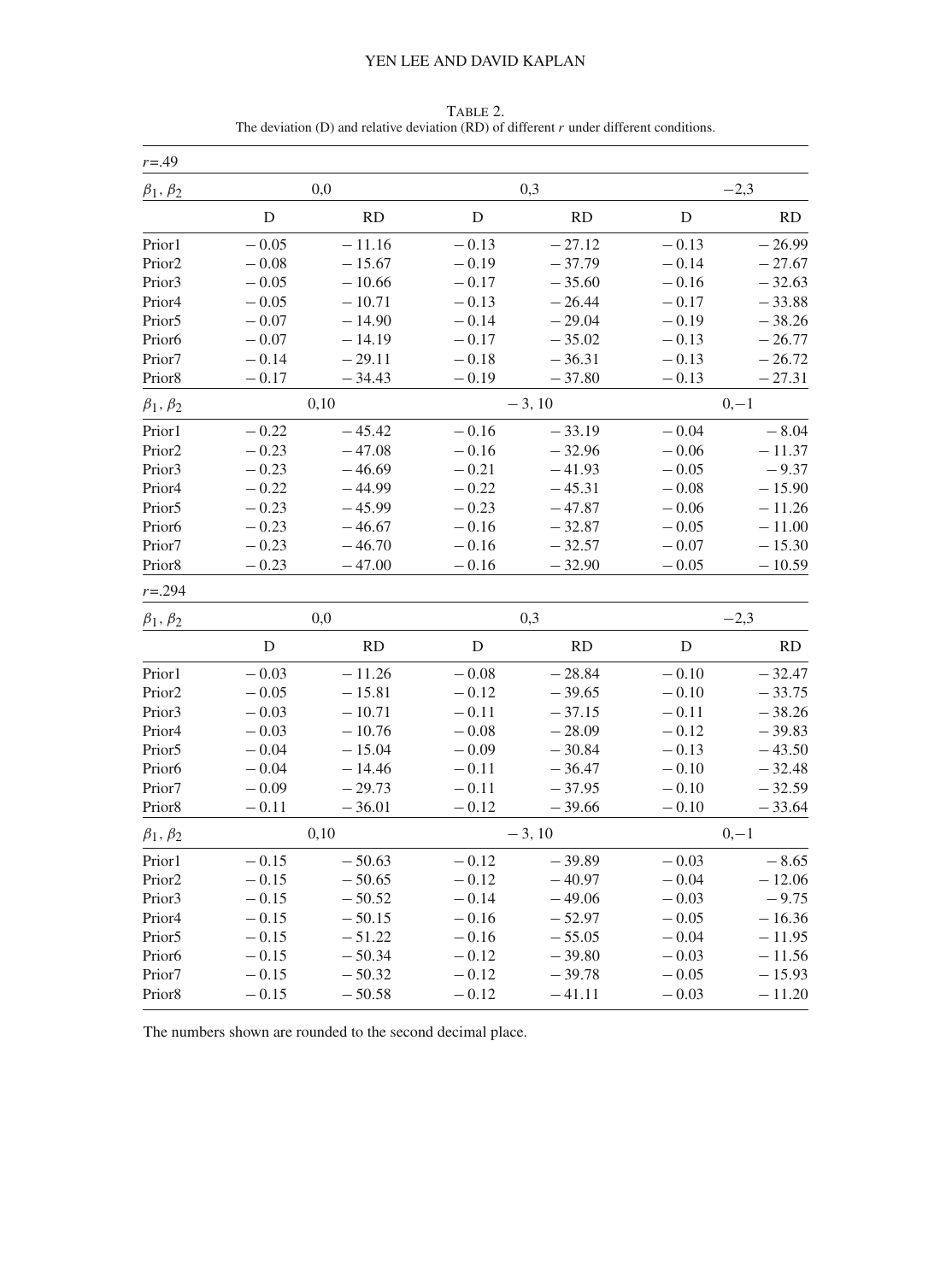| $r = .49$          |             |           |           |           |             |          |
|--------------------|-------------|-----------|-----------|-----------|-------------|----------|
| $\beta_1, \beta_2$ |             | 0,0       |           | 0,3       |             | $-2,3$   |
|                    | ${\rm D}$   | <b>RD</b> | ${\rm D}$ | RD        | $\mathbf D$ | RD       |
| Prior1             | $-0.05$     | $-11.16$  | $-0.13$   | $-27.12$  | $-0.13$     | $-26.99$ |
| Prior <sub>2</sub> | $-0.08$     | $-15.67$  | $-0.19$   | $-37.79$  | $-0.14$     | $-27.67$ |
| Prior3             | $-0.05$     | $-10.66$  | $-0.17$   | $-35.60$  | $-0.16$     | $-32.63$ |
| Prior4             | $-0.05$     | $-10.71$  | $-0.13$   | $-26.44$  | $-0.17$     | $-33.88$ |
| Prior <sub>5</sub> | $-0.07$     | $-14.90$  | $-0.14$   | $-29.04$  | $-0.19$     | $-38.26$ |
| Prior <sub>6</sub> | $-0.07$     | $-14.19$  | $-0.17$   | $-35.02$  | $-0.13$     | $-26.77$ |
| Prior7             | $-0.14$     | $-29.11$  | $-0.18$   | $-36.31$  | $-0.13$     | $-26.72$ |
| Prior8             | $-0.17$     | $-34.43$  | $-0.19$   | $-37.80$  | $-0.13$     | $-27.31$ |
| $\beta_1, \beta_2$ |             | 0,10      |           | $-3, 10$  |             | $0,-1$   |
| Prior1             | $-0.22$     | $-45.42$  | $-0.16$   | $-33.19$  | $-0.04$     | $-8.04$  |
| Prior <sub>2</sub> | $-0.23$     | $-47.08$  | $-0.16$   | $-32.96$  | $-0.06$     | $-11.37$ |
| Prior3             | $-0.23$     | $-46.69$  | $-0.21$   | $-41.93$  | $-0.05$     | $-9.37$  |
| Prior4             | $-0.22$     | $-44.99$  | $-0.22$   | $-45.31$  | $-0.08$     | $-15.90$ |
| Prior <sub>5</sub> | $-0.23$     | $-45.99$  | $-0.23$   | $-47.87$  | $-0.06$     | $-11.26$ |
| Prior <sub>6</sub> | $-0.23$     | $-46.67$  | $-0.16$   | $-32.87$  | $-0.05$     | $-11.00$ |
| Prior7             | $-0.23$     | $-46.70$  | $-0.16$   | $-32.57$  | $-0.07$     | $-15.30$ |
| Prior8             | $-0.23$     | $-47.00$  | $-0.16$   | $-32.90$  | $-0.05$     | $-10.59$ |
| $r = 0.294$        |             |           |           |           |             |          |
| $\beta_1, \beta_2$ |             | 0,0       |           | 0,3       |             | $-2,3$   |
|                    | $\mathbf D$ | <b>RD</b> | ${\rm D}$ | <b>RD</b> | $\mathbf D$ | RD       |
| Prior1             | $-0.03$     | $-11.26$  | $-0.08$   | $-28.84$  | $-0.10$     | $-32.47$ |
| Prior <sub>2</sub> | $-0.05$     | $-15.81$  | $-0.12$   | $-39.65$  | $-0.10$     | $-33.75$ |
| Prior3             | $-0.03$     | $-10.71$  | $-0.11$   | $-37.15$  | $-0.11$     | $-38.26$ |
| Prior <sub>4</sub> | $-0.03$     | $-10.76$  | $-0.08$   | $-28.09$  | $-0.12$     | $-39.83$ |
| Prior5             | $-0.04$     | $-15.04$  | $-0.09$   | $-30.84$  | $-0.13$     | $-43.50$ |
| Prior <sub>6</sub> | $-0.04$     | – 14.46   | $-0.11$   | $-36.47$  | $-0.10$     | $-32.48$ |
| Prior7             | $-0.09$     | $-29.73$  | $-0.11$   | $-37.95$  | $-0.10$     | $-32.59$ |
| Prior8             | $-0.11$     | $-36.01$  | $-0.12$   | $-39.66$  | $-0.10$     | $-33.64$ |
| $\beta_1, \beta_2$ |             | 0,10      |           | $-3, 10$  |             | $0,-1$   |
| Prior1             | $-0.15$     | $-50.63$  | $-0.12$   | $-39.89$  | $-0.03$     | $-8.65$  |
| Prior <sub>2</sub> | $-0.15$     | $-50.65$  | $-0.12$   | $-40.97$  | $-0.04$     | $-12.06$ |
| Prior3             | $-0.15$     | $-50.52$  | $-0.14$   | $-49.06$  | $-0.03$     | $-9.75$  |
| Prior4             | $-0.15$     | $-50.15$  | $-0.16$   | $-52.97$  | $-0.05$     | $-16.36$ |
| Prior <sub>5</sub> | $-0.15$     | $-51.22$  | $-0.16$   | $-55.05$  | $-0.04$     | $-11.95$ |
| Prior <sub>6</sub> | $-0.15$     | $-50.34$  | $-0.12$   | $-39.80$  | $-0.03$     | $-11.56$ |
| Prior7             | $-0.15$     | $-50.32$  | $-0.12$   | $-39.78$  | $-0.05$     | $-15.93$ |
| Prior <sub>8</sub> | $-0.15$     | $-50.58$  | $-0.12$   | $-41.11$  | $-0.03$     | $-11.20$ |

<span id="page-14-0"></span>TABLE 2. The deviation (D) and relative deviation (RD) of different  $r$  under different conditions.

The numbers shown are rounded to the second decimal place.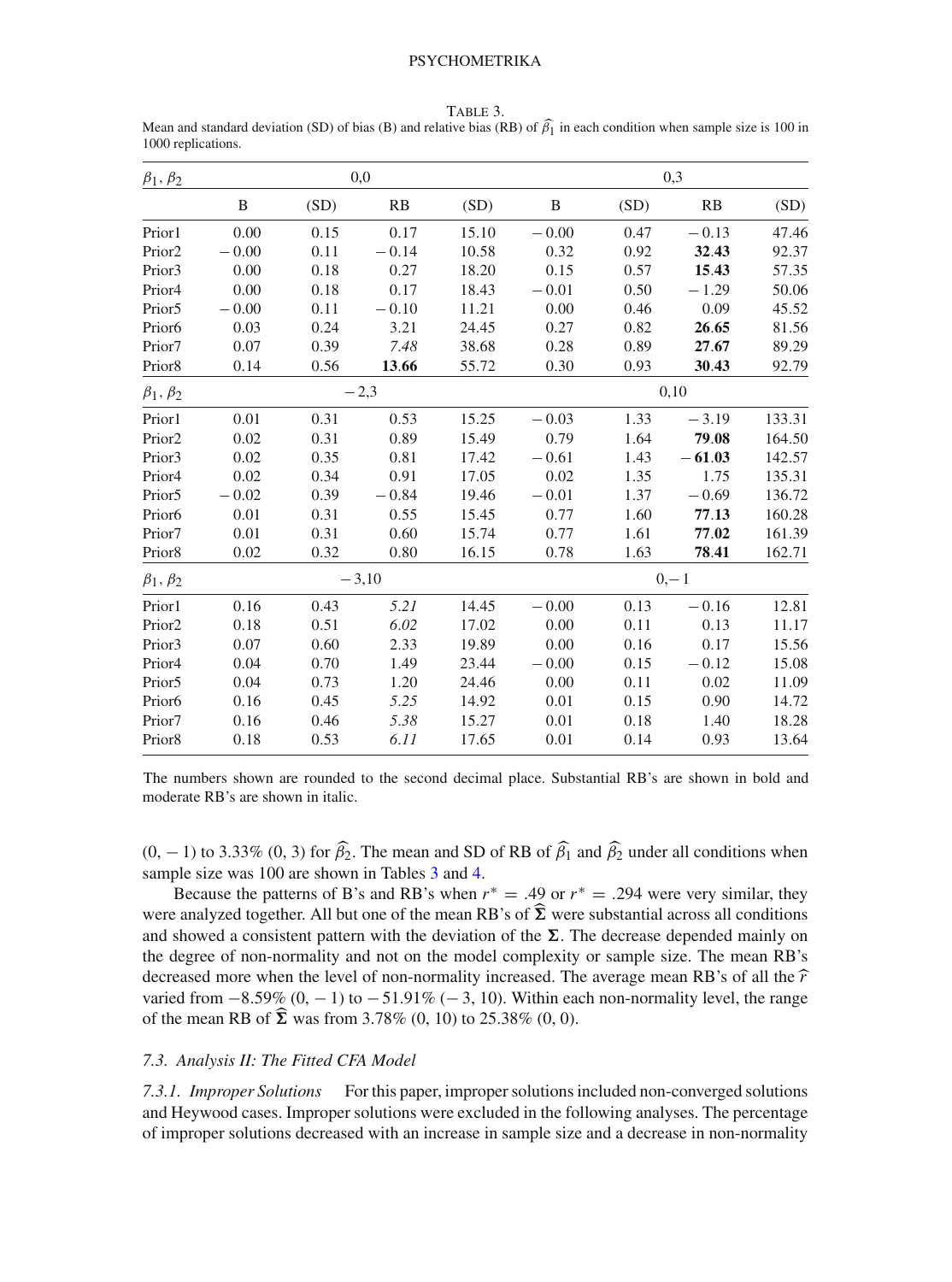| $\beta_1, \beta_2$ |         |      | 0,0     |       | 0,3     |      |          |        |  |  |  |
|--------------------|---------|------|---------|-------|---------|------|----------|--------|--|--|--|
|                    | B       | (SD) | RB      | (SD)  | B       | (SD) | RB       | (SD)   |  |  |  |
| Prior1             | 0.00    | 0.15 | 0.17    | 15.10 | $-0.00$ | 0.47 | $-0.13$  | 47.46  |  |  |  |
| Prior <sub>2</sub> | $-0.00$ | 0.11 | $-0.14$ | 10.58 | 0.32    | 0.92 | 32.43    | 92.37  |  |  |  |
| Prior3             | 0.00    | 0.18 | 0.27    | 18.20 | 0.15    | 0.57 | 15.43    | 57.35  |  |  |  |
| Prior <sub>4</sub> | 0.00    | 0.18 | 0.17    | 18.43 | $-0.01$ | 0.50 | $-1.29$  | 50.06  |  |  |  |
| Prior <sub>5</sub> | $-0.00$ | 0.11 | $-0.10$ | 11.21 | 0.00    | 0.46 | 0.09     | 45.52  |  |  |  |
| Prior <sub>6</sub> | 0.03    | 0.24 | 3.21    | 24.45 | 0.27    | 0.82 | 26.65    | 81.56  |  |  |  |
| Prior7             | 0.07    | 0.39 | 7.48    | 38.68 | 0.28    | 0.89 | 27.67    | 89.29  |  |  |  |
| Prior8             | 0.14    | 0.56 | 13.66   | 55.72 | 0.30    | 0.93 | 30.43    | 92.79  |  |  |  |
| $\beta_1, \beta_2$ |         |      | $-2,3$  |       | 0,10    |      |          |        |  |  |  |
| Prior1             | 0.01    | 0.31 | 0.53    | 15.25 | $-0.03$ | 1.33 | $-3.19$  | 133.31 |  |  |  |
| Prior <sub>2</sub> | 0.02    | 0.31 | 0.89    | 15.49 | 0.79    | 1.64 | 79.08    | 164.50 |  |  |  |
| Prior3             | 0.02    | 0.35 | 0.81    | 17.42 | $-0.61$ | 1.43 | $-61.03$ | 142.57 |  |  |  |
| Prior <sub>4</sub> | 0.02    | 0.34 | 0.91    | 17.05 | 0.02    | 1.35 | 1.75     | 135.31 |  |  |  |
| Prior <sub>5</sub> | $-0.02$ | 0.39 | $-0.84$ | 19.46 | $-0.01$ | 1.37 | $-0.69$  | 136.72 |  |  |  |
| Prior <sub>6</sub> | 0.01    | 0.31 | 0.55    | 15.45 | 0.77    | 1.60 | 77.13    | 160.28 |  |  |  |
| Prior7             | 0.01    | 0.31 | 0.60    | 15.74 | 0.77    | 1.61 | 77.02    | 161.39 |  |  |  |
| Prior <sub>8</sub> | 0.02    | 0.32 | 0.80    | 16.15 | 0.78    | 1.63 | 78.41    | 162.71 |  |  |  |
| $\beta_1, \beta_2$ |         |      | $-3,10$ |       | $0,-1$  |      |          |        |  |  |  |
| Prior1             | 0.16    | 0.43 | 5.21    | 14.45 | $-0.00$ | 0.13 | $-0.16$  | 12.81  |  |  |  |
| Prior <sub>2</sub> | 0.18    | 0.51 | 6.02    | 17.02 | 0.00    | 0.11 | 0.13     | 11.17  |  |  |  |
| Prior3             | 0.07    | 0.60 | 2.33    | 19.89 | 0.00    | 0.16 | 0.17     | 15.56  |  |  |  |
| Prior <sub>4</sub> | 0.04    | 0.70 | 1.49    | 23.44 | $-0.00$ | 0.15 | $-0.12$  | 15.08  |  |  |  |
| Prior <sub>5</sub> | 0.04    | 0.73 | 1.20    | 24.46 | 0.00    | 0.11 | 0.02     | 11.09  |  |  |  |
| Prior <sub>6</sub> | 0.16    | 0.45 | 5.25    | 14.92 | 0.01    | 0.15 | 0.90     | 14.72  |  |  |  |
| Prior7             | 0.16    | 0.46 | 5.38    | 15.27 | 0.01    | 0.18 | 1.40     | 18.28  |  |  |  |
| Prior <sub>8</sub> | 0.18    | 0.53 | 6.11    | 17.65 | 0.01    | 0.14 | 0.93     | 13.64  |  |  |  |

<span id="page-15-0"></span>Table 3. Mean and standard deviation (SD) of bias (B) and relative bias (RB) of  $\beta_1$  in each condition when sample size is 100 in<br>1000 replications 1000 replications.

The numbers shown are rounded to the second decimal place. Substantial RB's are shown in bold and moderate RB's are shown in italic.

 $(0, -1)$  to 3.33%  $(0, 3)$  for  $\beta_2$ . The mean and SD of RB of  $\beta_1$  and  $\beta_2$  under all conditions when sample size was 100 are shown in Tables [3](#page-15-0) and [4.](#page-16-0)

Because the patterns of B's and RB's when  $r^* = .49$  or  $r^* = .294$  were very similar, they were analyzed together. All but one of the mean RB's of  $\Sigma$  were substantial across all conditions and channel a consistent netter with the desiration of the  $\Sigma$ . The degrees depended weight and and showed a consistent pattern with the deviation of the  $\Sigma$ . The decrease depended mainly on the degree of non-normality and not on the model complexity or sample size. The mean RB's decreased more when the level of non-normality increased. The average mean RB's of all the  $\hat{r}$ varied from  $-8.59\%$   $(0, -1)$  to  $-51.91\%$   $(-3, 10)$ . Within each non-normality level, the range of the mean RB of  $\Sigma$  was from 3.78% (0, 10) to 25.38% (0, 0).

## *7.3. Analysis II: The Fitted CFA Model*

*7.3.1. Improper Solutions* For this paper, improper solutions included non-converged solutions and Heywood cases. Improper solutions were excluded in the following analyses. The percentage of improper solutions decreased with an increase in sample size and a decrease in non-normality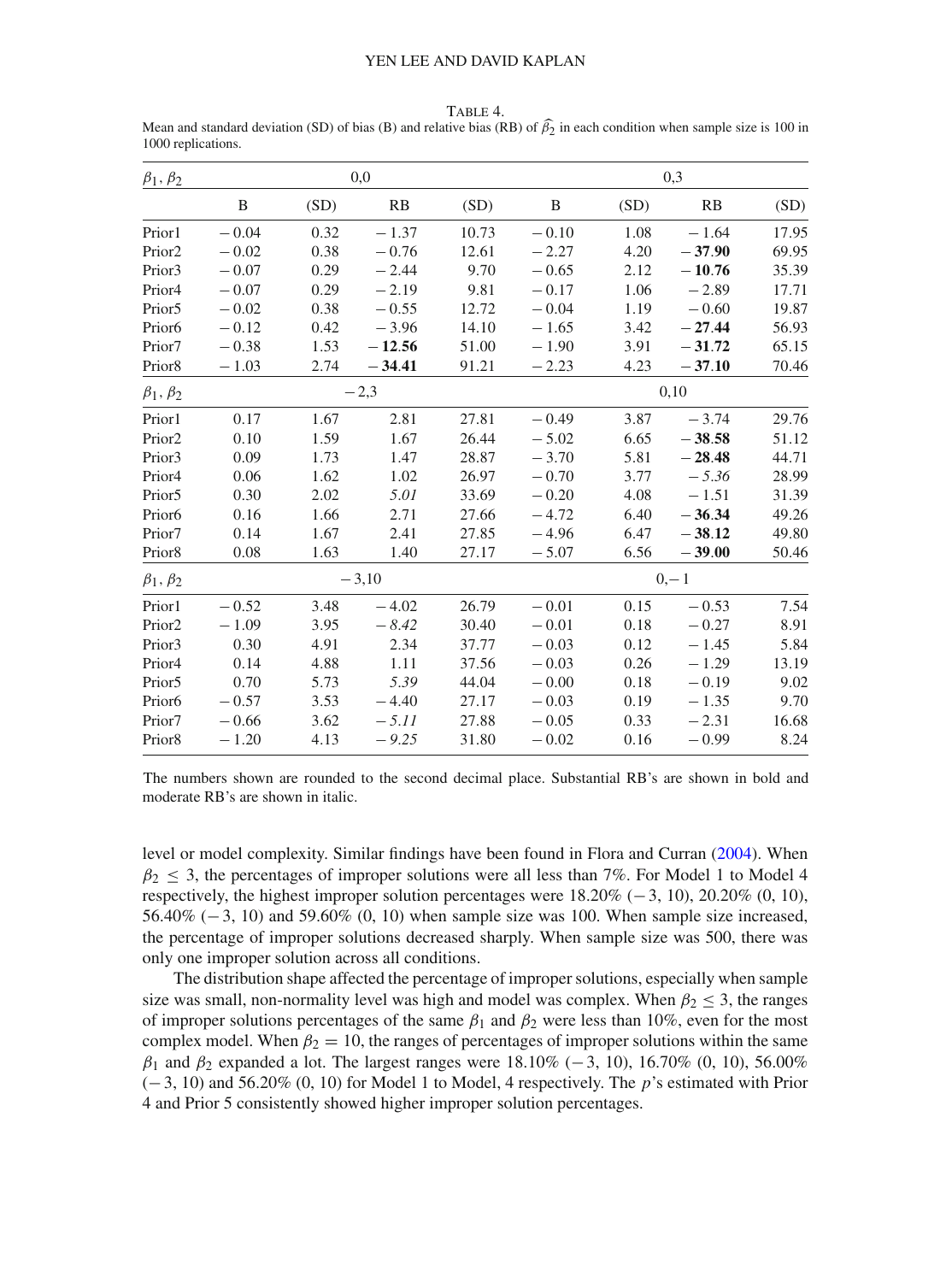| $\beta_1, \beta_2$ |         |      | 0,0      |       |         |      | 0,3      |       |  |  |  |
|--------------------|---------|------|----------|-------|---------|------|----------|-------|--|--|--|
|                    | B       | (SD) | RB       | (SD)  | B       | (SD) | RB       | (SD)  |  |  |  |
| Prior1             | $-0.04$ | 0.32 | $-1.37$  | 10.73 | $-0.10$ | 1.08 | $-1.64$  | 17.95 |  |  |  |
| Prior <sub>2</sub> | $-0.02$ | 0.38 | $-0.76$  | 12.61 | $-2.27$ | 4.20 | $-37.90$ | 69.95 |  |  |  |
| Prior3             | $-0.07$ | 0.29 | $-2.44$  | 9.70  | $-0.65$ | 2.12 | $-10.76$ | 35.39 |  |  |  |
| Prior <sub>4</sub> | $-0.07$ | 0.29 | $-2.19$  | 9.81  | $-0.17$ | 1.06 | $-2.89$  | 17.71 |  |  |  |
| Prior <sub>5</sub> | $-0.02$ | 0.38 | $-0.55$  | 12.72 | $-0.04$ | 1.19 | $-0.60$  | 19.87 |  |  |  |
| Prior <sub>6</sub> | $-0.12$ | 0.42 | $-3.96$  | 14.10 | $-1.65$ | 3.42 | $-27.44$ | 56.93 |  |  |  |
| Prior7             | $-0.38$ | 1.53 | $-12.56$ | 51.00 | $-1.90$ | 3.91 | $-31.72$ | 65.15 |  |  |  |
| Prior <sub>8</sub> | $-1.03$ | 2.74 | $-34.41$ | 91.21 | $-2.23$ | 4.23 | $-37.10$ | 70.46 |  |  |  |
| $\beta_1, \beta_2$ |         |      | $-2,3$   |       | 0,10    |      |          |       |  |  |  |
| Prior1             | 0.17    | 1.67 | 2.81     | 27.81 | $-0.49$ | 3.87 | $-3.74$  | 29.76 |  |  |  |
| Prior <sub>2</sub> | 0.10    | 1.59 | 1.67     | 26.44 | $-5.02$ | 6.65 | $-38.58$ | 51.12 |  |  |  |
| Prior3             | 0.09    | 1.73 | 1.47     | 28.87 | $-3.70$ | 5.81 | $-28.48$ | 44.71 |  |  |  |
| Prior <sub>4</sub> | 0.06    | 1.62 | 1.02     | 26.97 | $-0.70$ | 3.77 | $-5.36$  | 28.99 |  |  |  |
| Prior <sub>5</sub> | 0.30    | 2.02 | 5.01     | 33.69 | $-0.20$ | 4.08 | $-1.51$  | 31.39 |  |  |  |
| Prior <sub>6</sub> | 0.16    | 1.66 | 2.71     | 27.66 | $-4.72$ | 6.40 | $-36.34$ | 49.26 |  |  |  |
| Prior7             | 0.14    | 1.67 | 2.41     | 27.85 | $-4.96$ | 6.47 | $-38.12$ | 49.80 |  |  |  |
| Prior <sub>8</sub> | 0.08    | 1.63 | 1.40     | 27.17 | $-5.07$ | 6.56 | $-39.00$ | 50.46 |  |  |  |
| $\beta_1, \beta_2$ |         |      | $-3,10$  |       | $0,-1$  |      |          |       |  |  |  |
| Prior1             | $-0.52$ | 3.48 | $-4.02$  | 26.79 | $-0.01$ | 0.15 | $-0.53$  | 7.54  |  |  |  |
| Prior <sub>2</sub> | $-1.09$ | 3.95 | $-8.42$  | 30.40 | $-0.01$ | 0.18 | $-0.27$  | 8.91  |  |  |  |
| Prior3             | 0.30    | 4.91 | 2.34     | 37.77 | $-0.03$ | 0.12 | $-1.45$  | 5.84  |  |  |  |
| Prior <sub>4</sub> | 0.14    | 4.88 | 1.11     | 37.56 | $-0.03$ | 0.26 | $-1.29$  | 13.19 |  |  |  |
| Prior <sub>5</sub> | 0.70    | 5.73 | 5.39     | 44.04 | $-0.00$ | 0.18 | $-0.19$  | 9.02  |  |  |  |
| Prior <sub>6</sub> | $-0.57$ | 3.53 | $-4.40$  | 27.17 | $-0.03$ | 0.19 | $-1.35$  | 9.70  |  |  |  |
| Prior7             | $-0.66$ | 3.62 | $-5.11$  | 27.88 | $-0.05$ | 0.33 | $-2.31$  | 16.68 |  |  |  |
| Prior <sub>8</sub> | $-1.20$ | 4.13 | $-9.25$  | 31.80 | $-0.02$ | 0.16 | $-0.99$  | 8.24  |  |  |  |

<span id="page-16-0"></span>Table 4. Mean and standard deviation (SD) of bias (B) and relative bias (RB) of  $\beta_2$  in each condition when sample size is 100 in<br>1000 replications 1000 replications.

The numbers shown are rounded to the second decimal place. Substantial RB's are shown in bold and moderate RB's are shown in italic.

level or model complexity. Similar findings have been found in Flora and Curran [\(2004](#page-24-10)). When  $\beta_2$  < 3, the percentages of improper solutions were all less than 7%. For Model 1 to Model 4 respectively, the highest improper solution percentages were  $18.20\%$  (−3, 10), 20.20% (0, 10), 56.40% (−3, 10) and 59.60% (0, 10) when sample size was 100. When sample size increased, the percentage of improper solutions decreased sharply. When sample size was 500, there was only one improper solution across all conditions.

The distribution shape affected the percentage of improper solutions, especially when sample size was small, non-normality level was high and model was complex. When  $\beta_2 \leq 3$ , the ranges of improper solutions percentages of the same  $\beta_1$  and  $\beta_2$  were less than 10%, even for the most complex model. When  $\beta_2 = 10$ , the ranges of percentages of improper solutions within the same  $β_1$  and  $β_2$  expanded a lot. The largest ranges were 18.10% (-3, 10), 16.70% (0, 10), 56.00% (−3, 10) and 56.20% (0, 10) for Model 1 to Model, 4 respectively. The *p*'s estimated with Prior 4 and Prior 5 consistently showed higher improper solution percentages.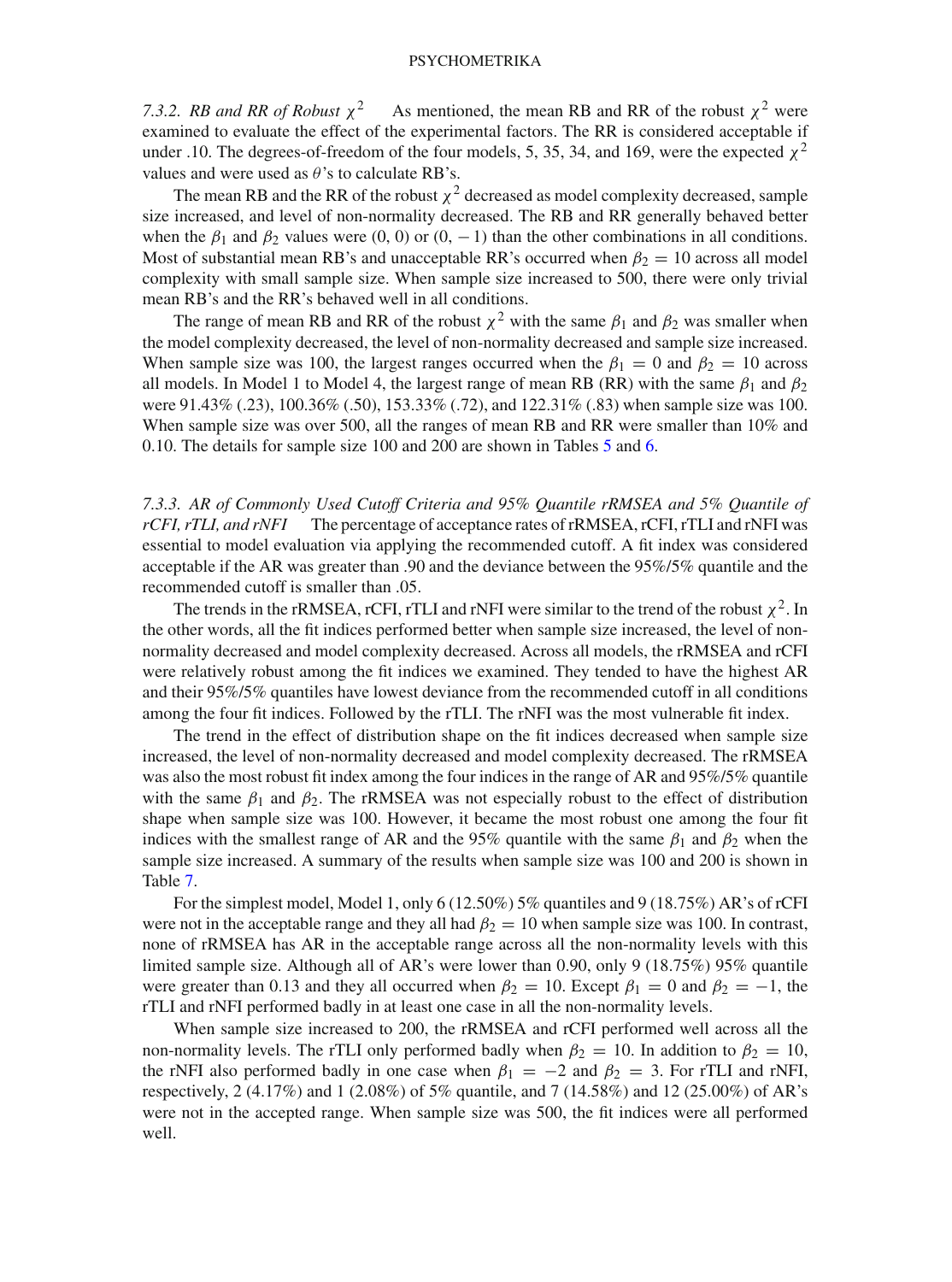*7.3.2. RB and RR of Robust*  $\chi^2$  As mentioned, the mean RB and RR of the robust  $\chi^2$  were examined to evaluate the effect of the experimental factors. The RR is considered acceptable if under .10. The degrees-of-freedom of the four models, 5, 35, 34, and 169, were the expected  $\chi^2$ values and were used as  $\theta$ 's to calculate RB's.

The mean RB and the RR of the robust  $\chi^2$  decreased as model complexity decreased, sample size increased, and level of non-normality decreased. The RB and RR generally behaved better when the  $\beta_1$  and  $\beta_2$  values were (0, 0) or (0, -1) than the other combinations in all conditions. Most of substantial mean RB's and unacceptable RR's occurred when  $\beta_2 = 10$  across all model complexity with small sample size. When sample size increased to 500, there were only trivial mean RB's and the RR's behaved well in all conditions.

The range of mean RB and RR of the robust  $\chi^2$  with the same  $\beta_1$  and  $\beta_2$  was smaller when the model complexity decreased, the level of non-normality decreased and sample size increased. When sample size was 100, the largest ranges occurred when the  $\beta_1 = 0$  and  $\beta_2 = 10$  across all models. In Model 1 to Model 4, the largest range of mean RB (RR) with the same  $\beta_1$  and  $\beta_2$ were 91.43% (.23), 100.36% (.50), 153.33% (.72), and 122.31% (.83) when sample size was 100. When sample size was over 500, all the ranges of mean RB and RR were smaller than 10% and 0.10. The details for sample size 100 and 200 are shown in Tables [5](#page-18-0) and [6.](#page-19-0)

*7.3.3. AR of Commonly Used Cutoff Criteria and 95% Quantile rRMSEA and 5% Quantile of rCFI, rTLI, and rNFI* The percentage of acceptance rates of rRMSEA, rCFI, rTLI and rNFI was essential to model evaluation via applying the recommended cutoff. A fit index was considered acceptable if the AR was greater than .90 and the deviance between the 95%/5% quantile and the recommended cutoff is smaller than .05.

The trends in the rRMSEA, rCFI, rTLI and rNFI were similar to the trend of the robust  $\chi^2$ . In the other words, all the fit indices performed better when sample size increased, the level of nonnormality decreased and model complexity decreased. Across all models, the rRMSEA and rCFI were relatively robust among the fit indices we examined. They tended to have the highest AR and their 95%/5% quantiles have lowest deviance from the recommended cutoff in all conditions among the four fit indices. Followed by the rTLI. The rNFI was the most vulnerable fit index.

The trend in the effect of distribution shape on the fit indices decreased when sample size increased, the level of non-normality decreased and model complexity decreased. The rRMSEA was also the most robust fit index among the four indices in the range of AR and 95%/5% quantile with the same  $\beta_1$  and  $\beta_2$ . The rRMSEA was not especially robust to the effect of distribution shape when sample size was 100. However, it became the most robust one among the four fit indices with the smallest range of AR and the 95% quantile with the same  $\beta_1$  and  $\beta_2$  when the sample size increased. A summary of the results when sample size was 100 and 200 is shown in Table [7.](#page-20-0)

For the simplest model, Model 1, only 6 (12.50%) 5% quantiles and 9 (18.75%) AR's of rCFI were not in the acceptable range and they all had  $\beta_2 = 10$  when sample size was 100. In contrast, none of rRMSEA has AR in the acceptable range across all the non-normality levels with this limited sample size. Although all of AR's were lower than 0.90, only 9 (18.75%) 95% quantile were greater than 0.13 and they all occurred when  $\beta_2 = 10$ . Except  $\beta_1 = 0$  and  $\beta_2 = -1$ , the rTLI and rNFI performed badly in at least one case in all the non-normality levels.

When sample size increased to 200, the rRMSEA and rCFI performed well across all the non-normality levels. The rTLI only performed badly when  $\beta_2 = 10$ . In addition to  $\beta_2 = 10$ , the rNFI also performed badly in one case when  $\beta_1 = -2$  and  $\beta_2 = 3$ . For rTLI and rNFI, respectively, 2 (4.17%) and 1 (2.08%) of 5% quantile, and 7 (14.58%) and 12 (25.00%) of AR's were not in the accepted range. When sample size was 500, the fit indices were all performed well.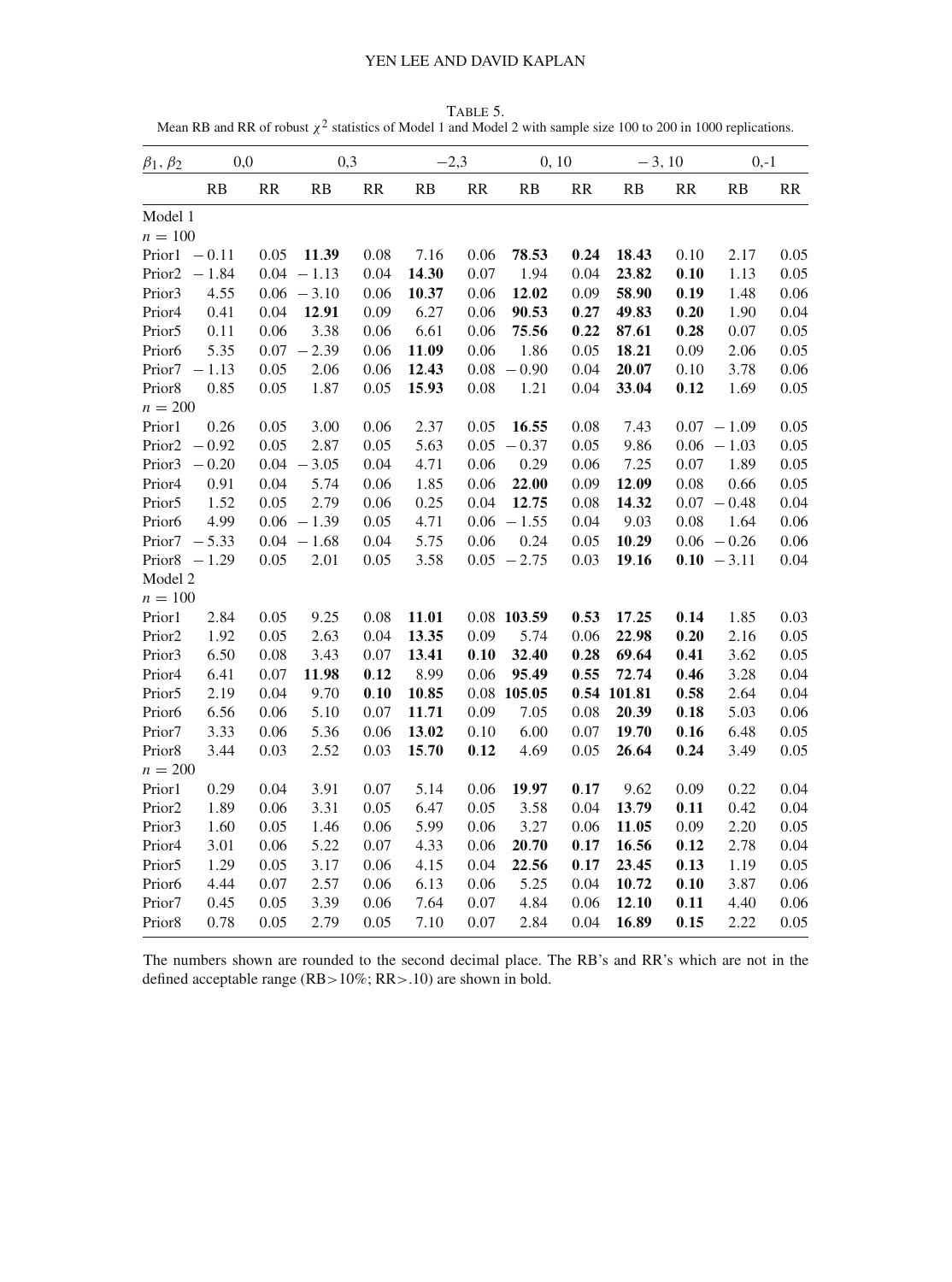Table 5. Mean RB and RR of robust  $\chi^2$  statistics of Model 1 and Model 2 with sample size 100 to 200 in 1000 replications.

<span id="page-18-0"></span>

| $\beta_1, \beta_2$ | 0,0     |      | 0,3           |      | $-2,3$ |      | 0, 10         |      | $-3, 10$    |      | $0,-1$        |      |
|--------------------|---------|------|---------------|------|--------|------|---------------|------|-------------|------|---------------|------|
|                    | RB      | RR   | RB            | RR   | RB     | RR   | RB            | RR   | RB          | RR   | RB            | RR   |
| Model 1            |         |      |               |      |        |      |               |      |             |      |               |      |
| $n = 100$          |         |      |               |      |        |      |               |      |             |      |               |      |
| Prior1             | $-0.11$ | 0.05 | 11.39         | 0.08 | 7.16   | 0.06 | 78.53         | 0.24 | 18.43       | 0.10 | 2.17          | 0.05 |
| Prior <sub>2</sub> | $-1.84$ |      | $0.04 - 1.13$ | 0.04 | 14.30  | 0.07 | 1.94          | 0.04 | 23.82       | 0.10 | 1.13          | 0.05 |
| Prior3             | 4.55    |      | $0.06 - 3.10$ | 0.06 | 10.37  | 0.06 | 12.02         | 0.09 | 58.90       | 0.19 | 1.48          | 0.06 |
| Prior <sub>4</sub> | 0.41    | 0.04 | 12.91         | 0.09 | 6.27   | 0.06 | 90.53         | 0.27 | 49.83       | 0.20 | 1.90          | 0.04 |
| Prior <sub>5</sub> | 0.11    | 0.06 | 3.38          | 0.06 | 6.61   | 0.06 | 75.56         | 0.22 | 87.61       | 0.28 | 0.07          | 0.05 |
| Prior <sub>6</sub> | 5.35    | 0.07 | $-2.39$       | 0.06 | 11.09  | 0.06 | 1.86          | 0.05 | 18.21       | 0.09 | 2.06          | 0.05 |
| Prior7             | $-1.13$ | 0.05 | 2.06          | 0.06 | 12.43  | 0.08 | $-0.90$       | 0.04 | 20.07       | 0.10 | 3.78          | 0.06 |
| Prior8             | 0.85    | 0.05 | 1.87          | 0.05 | 15.93  | 0.08 | 1.21          | 0.04 | 33.04       | 0.12 | 1.69          | 0.05 |
| $n = 200$          |         |      |               |      |        |      |               |      |             |      |               |      |
| Prior1             | 0.26    | 0.05 | 3.00          | 0.06 | 2.37   | 0.05 | 16.55         | 0.08 | 7.43        |      | $0.07 - 1.09$ | 0.05 |
| Prior <sub>2</sub> | $-0.92$ | 0.05 | 2.87          | 0.05 | 5.63   | 0.05 | $-0.37$       | 0.05 | 9.86        |      | $0.06 - 1.03$ | 0.05 |
| Prior3             | $-0.20$ | 0.04 | $-3.05$       | 0.04 | 4.71   | 0.06 | 0.29          | 0.06 | 7.25        | 0.07 | 1.89          | 0.05 |
| Prior <sub>4</sub> | 0.91    | 0.04 | 5.74          | 0.06 | 1.85   | 0.06 | 22.00         | 0.09 | 12.09       | 0.08 | 0.66          | 0.05 |
| Prior5             | 1.52    | 0.05 | 2.79          | 0.06 | 0.25   | 0.04 | 12.75         | 0.08 | 14.32       |      | $0.07 - 0.48$ | 0.04 |
| Prior <sub>6</sub> | 4.99    |      | $0.06 - 1.39$ | 0.05 | 4.71   | 0.06 | $-1.55$       | 0.04 | 9.03        | 0.08 | 1.64          | 0.06 |
| Prior7             | $-5.33$ |      | $0.04 - 1.68$ | 0.04 | 5.75   | 0.06 | 0.24          | 0.05 | 10.29       |      | $0.06 - 0.26$ | 0.06 |
| Prior <sub>8</sub> | $-1.29$ | 0.05 | 2.01          | 0.05 | 3.58   |      | $0.05 - 2.75$ | 0.03 | 19.16       |      | $0.10 - 3.11$ | 0.04 |
| Model 2            |         |      |               |      |        |      |               |      |             |      |               |      |
| $n = 100$          |         |      |               |      |        |      |               |      |             |      |               |      |
| Prior1             | 2.84    | 0.05 | 9.25          | 0.08 | 11.01  |      | 0.08 103.59   | 0.53 | 17.25       | 0.14 | 1.85          | 0.03 |
| Prior <sub>2</sub> | 1.92    | 0.05 | 2.63          | 0.04 | 13.35  | 0.09 | 5.74          | 0.06 | 22.98       | 0.20 | 2.16          | 0.05 |
| Prior <sub>3</sub> | 6.50    | 0.08 | 3.43          | 0.07 | 13.41  | 0.10 | 32.40         | 0.28 | 69.64       | 0.41 | 3.62          | 0.05 |
| Prior <sub>4</sub> | 6.41    | 0.07 | 11.98         | 0.12 | 8.99   | 0.06 | 95.49         | 0.55 | 72.74       | 0.46 | 3.28          | 0.04 |
| Prior <sub>5</sub> | 2.19    | 0.04 | 9.70          | 0.10 | 10.85  |      | $0.08$ 105.05 |      | 0.54 101.81 | 0.58 | 2.64          | 0.04 |
| Prior <sub>6</sub> | 6.56    | 0.06 | 5.10          | 0.07 | 11.71  | 0.09 | 7.05          | 0.08 | 20.39       | 0.18 | 5.03          | 0.06 |
| Prior7             | 3.33    | 0.06 | 5.36          | 0.06 | 13.02  | 0.10 | 6.00          | 0.07 | 19.70       | 0.16 | 6.48          | 0.05 |
| Prior <sub>8</sub> | 3.44    | 0.03 | 2.52          | 0.03 | 15.70  | 0.12 | 4.69          | 0.05 | 26.64       | 0.24 | 3.49          | 0.05 |
| $n = 200$          |         |      |               |      |        |      |               |      |             |      |               |      |
| Prior1             | 0.29    | 0.04 | 3.91          | 0.07 | 5.14   | 0.06 | 19.97         | 0.17 | 9.62        | 0.09 | 0.22          | 0.04 |
| Prior <sub>2</sub> | 1.89    | 0.06 | 3.31          | 0.05 | 6.47   | 0.05 | 3.58          | 0.04 | 13.79       | 0.11 | 0.42          | 0.04 |
| Prior <sub>3</sub> | 1.60    | 0.05 | 1.46          | 0.06 | 5.99   | 0.06 | 3.27          | 0.06 | 11.05       | 0.09 | 2.20          | 0.05 |
| Prior <sub>4</sub> | 3.01    | 0.06 | 5.22          | 0.07 | 4.33   | 0.06 | 20.70         | 0.17 | 16.56       | 0.12 | 2.78          | 0.04 |
| Prior <sub>5</sub> | 1.29    | 0.05 | 3.17          | 0.06 | 4.15   | 0.04 | 22.56         | 0.17 | 23.45       | 0.13 | 1.19          | 0.05 |
| Prior <sub>6</sub> | 4.44    | 0.07 | 2.57          | 0.06 | 6.13   | 0.06 | 5.25          | 0.04 | 10.72       | 0.10 | 3.87          | 0.06 |
| Prior7             | 0.45    | 0.05 | 3.39          | 0.06 | 7.64   | 0.07 | 4.84          | 0.06 | 12.10       | 0.11 | 4.40          | 0.06 |
| Prior <sub>8</sub> | 0.78    | 0.05 | 2.79          | 0.05 | 7.10   | 0.07 | 2.84          | 0.04 | 16.89       | 0.15 | 2.22          | 0.05 |

The numbers shown are rounded to the second decimal place. The RB's and RR's which are not in the defined acceptable range (RB>10%; RR>.10) are shown in bold.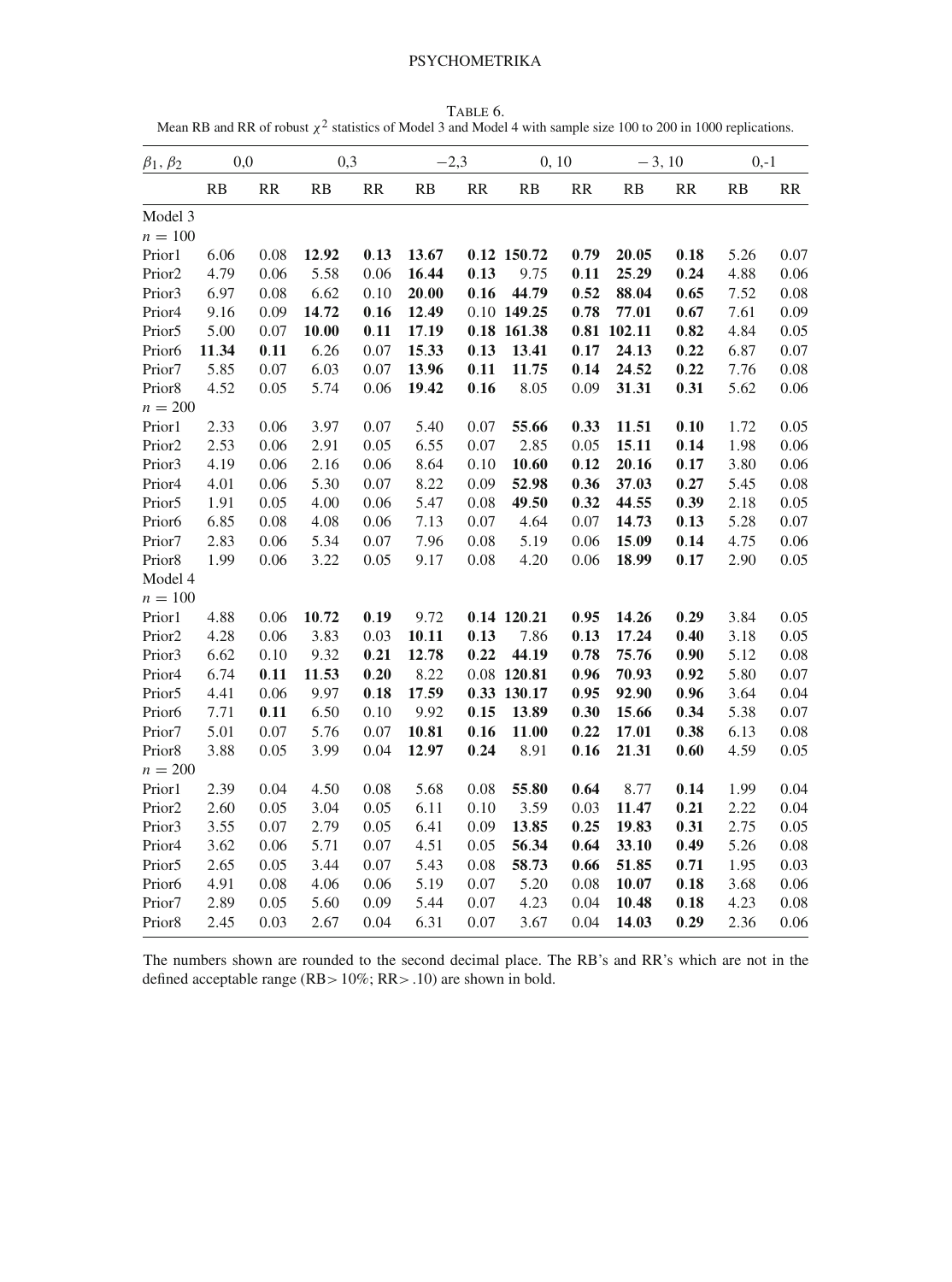TABLE 6. Mean RB and RR of robust  $\chi^2$  statistics of Model 3 and Model 4 with sample size 100 to 200 in 1000 replications.

<span id="page-19-0"></span>

| $\beta_1, \beta_2$ | 0,0   |      | 0,3   |      | $-2,3$ |      | 0, 10         |      | $-3, 10$ |      | $0,-1$ |      |
|--------------------|-------|------|-------|------|--------|------|---------------|------|----------|------|--------|------|
|                    | RB    | RR   | RB    | RR   | RB     | RR   | RB            | RR   | RB       | RR   | RB     | RR   |
| Model 3            |       |      |       |      |        |      |               |      |          |      |        |      |
| $n = 100$          |       |      |       |      |        |      |               |      |          |      |        |      |
| Prior1             | 6.06  | 0.08 | 12.92 | 0.13 | 13.67  |      | 0.12 150.72   | 0.79 | 20.05    | 0.18 | 5.26   | 0.07 |
| Prior <sub>2</sub> | 4.79  | 0.06 | 5.58  | 0.06 | 16.44  | 0.13 | 9.75          | 0.11 | 25.29    | 0.24 | 4.88   | 0.06 |
| Prior3             | 6.97  | 0.08 | 6.62  | 0.10 | 20.00  | 0.16 | 44.79         | 0.52 | 88.04    | 0.65 | 7.52   | 0.08 |
| Prior <sub>4</sub> | 9.16  | 0.09 | 14.72 | 0.16 | 12.49  |      | 0.10 149.25   | 0.78 | 77.01    | 0.67 | 7.61   | 0.09 |
| Prior <sub>5</sub> | 5.00  | 0.07 | 10.00 | 0.11 | 17.19  |      | 0.18 161.38   | 0.81 | 102.11   | 0.82 | 4.84   | 0.05 |
| Prior <sub>6</sub> | 11.34 | 0.11 | 6.26  | 0.07 | 15.33  | 0.13 | 13.41         | 0.17 | 24.13    | 0.22 | 6.87   | 0.07 |
| Prior7             | 5.85  | 0.07 | 6.03  | 0.07 | 13.96  | 0.11 | 11.75         | 0.14 | 24.52    | 0.22 | 7.76   | 0.08 |
| Prior8             | 4.52  | 0.05 | 5.74  | 0.06 | 19.42  | 0.16 | 8.05          | 0.09 | 31.31    | 0.31 | 5.62   | 0.06 |
| $n = 200$          |       |      |       |      |        |      |               |      |          |      |        |      |
| Prior1             | 2.33  | 0.06 | 3.97  | 0.07 | 5.40   | 0.07 | 55.66         | 0.33 | 11.51    | 0.10 | 1.72   | 0.05 |
| Prior <sub>2</sub> | 2.53  | 0.06 | 2.91  | 0.05 | 6.55   | 0.07 | 2.85          | 0.05 | 15.11    | 0.14 | 1.98   | 0.06 |
| Prior3             | 4.19  | 0.06 | 2.16  | 0.06 | 8.64   | 0.10 | 10.60         | 0.12 | 20.16    | 0.17 | 3.80   | 0.06 |
| Prior4             | 4.01  | 0.06 | 5.30  | 0.07 | 8.22   | 0.09 | 52.98         | 0.36 | 37.03    | 0.27 | 5.45   | 0.08 |
| Prior <sub>5</sub> | 1.91  | 0.05 | 4.00  | 0.06 | 5.47   | 0.08 | 49.50         | 0.32 | 44.55    | 0.39 | 2.18   | 0.05 |
| Prior <sub>6</sub> | 6.85  | 0.08 | 4.08  | 0.06 | 7.13   | 0.07 | 4.64          | 0.07 | 14.73    | 0.13 | 5.28   | 0.07 |
| Prior7             | 2.83  | 0.06 | 5.34  | 0.07 | 7.96   | 0.08 | 5.19          | 0.06 | 15.09    | 0.14 | 4.75   | 0.06 |
| Prior <sub>8</sub> | 1.99  | 0.06 | 3.22  | 0.05 | 9.17   | 0.08 | 4.20          | 0.06 | 18.99    | 0.17 | 2.90   | 0.05 |
| Model 4            |       |      |       |      |        |      |               |      |          |      |        |      |
| $n = 100$          |       |      |       |      |        |      |               |      |          |      |        |      |
| Prior1             | 4.88  | 0.06 | 10.72 | 0.19 | 9.72   |      | 0.14 120.21   | 0.95 | 14.26    | 0.29 | 3.84   | 0.05 |
| Prior <sub>2</sub> | 4.28  | 0.06 | 3.83  | 0.03 | 10.11  | 0.13 | 7.86          | 0.13 | 17.24    | 0.40 | 3.18   | 0.05 |
| Prior3             | 6.62  | 0.10 | 9.32  | 0.21 | 12.78  | 0.22 | 44.19         | 0.78 | 75.76    | 0.90 | 5.12   | 0.08 |
| Prior <sub>4</sub> | 6.74  | 0.11 | 11.53 | 0.20 | 8.22   |      | $0.08$ 120.81 | 0.96 | 70.93    | 0.92 | 5.80   | 0.07 |
| Prior <sub>5</sub> | 4.41  | 0.06 | 9.97  | 0.18 | 17.59  |      | 0.33 130.17   | 0.95 | 92.90    | 0.96 | 3.64   | 0.04 |
| Prior <sub>6</sub> | 7.71  | 0.11 | 6.50  | 0.10 | 9.92   | 0.15 | 13.89         | 0.30 | 15.66    | 0.34 | 5.38   | 0.07 |
| Prior7             | 5.01  | 0.07 | 5.76  | 0.07 | 10.81  | 0.16 | 11.00         | 0.22 | 17.01    | 0.38 | 6.13   | 0.08 |
| Prior <sub>8</sub> | 3.88  | 0.05 | 3.99  | 0.04 | 12.97  | 0.24 | 8.91          | 0.16 | 21.31    | 0.60 | 4.59   | 0.05 |
| $n = 200$          |       |      |       |      |        |      |               |      |          |      |        |      |
| Prior1             | 2.39  | 0.04 | 4.50  | 0.08 | 5.68   | 0.08 | 55.80         | 0.64 | 8.77     | 0.14 | 1.99   | 0.04 |
| Prior <sub>2</sub> | 2.60  | 0.05 | 3.04  | 0.05 | 6.11   | 0.10 | 3.59          | 0.03 | 11.47    | 0.21 | 2.22   | 0.04 |
| Prior3             | 3.55  | 0.07 | 2.79  | 0.05 | 6.41   | 0.09 | 13.85         | 0.25 | 19.83    | 0.31 | 2.75   | 0.05 |
| Prior <sub>4</sub> | 3.62  | 0.06 | 5.71  | 0.07 | 4.51   | 0.05 | 56.34         | 0.64 | 33.10    | 0.49 | 5.26   | 0.08 |
| Prior <sub>5</sub> | 2.65  | 0.05 | 3.44  | 0.07 | 5.43   | 0.08 | 58.73         | 0.66 | 51.85    | 0.71 | 1.95   | 0.03 |
| Prior <sub>6</sub> | 4.91  | 0.08 | 4.06  | 0.06 | 5.19   | 0.07 | 5.20          | 0.08 | 10.07    | 0.18 | 3.68   | 0.06 |
| Prior7             | 2.89  | 0.05 | 5.60  | 0.09 | 5.44   | 0.07 | 4.23          | 0.04 | 10.48    | 0.18 | 4.23   | 0.08 |
| Prior <sub>8</sub> | 2.45  | 0.03 | 2.67  | 0.04 | 6.31   | 0.07 | 3.67          | 0.04 | 14.03    | 0.29 | 2.36   | 0.06 |

The numbers shown are rounded to the second decimal place. The RB's and RR's which are not in the defined acceptable range (RB>10%; RR>.10) are shown in bold.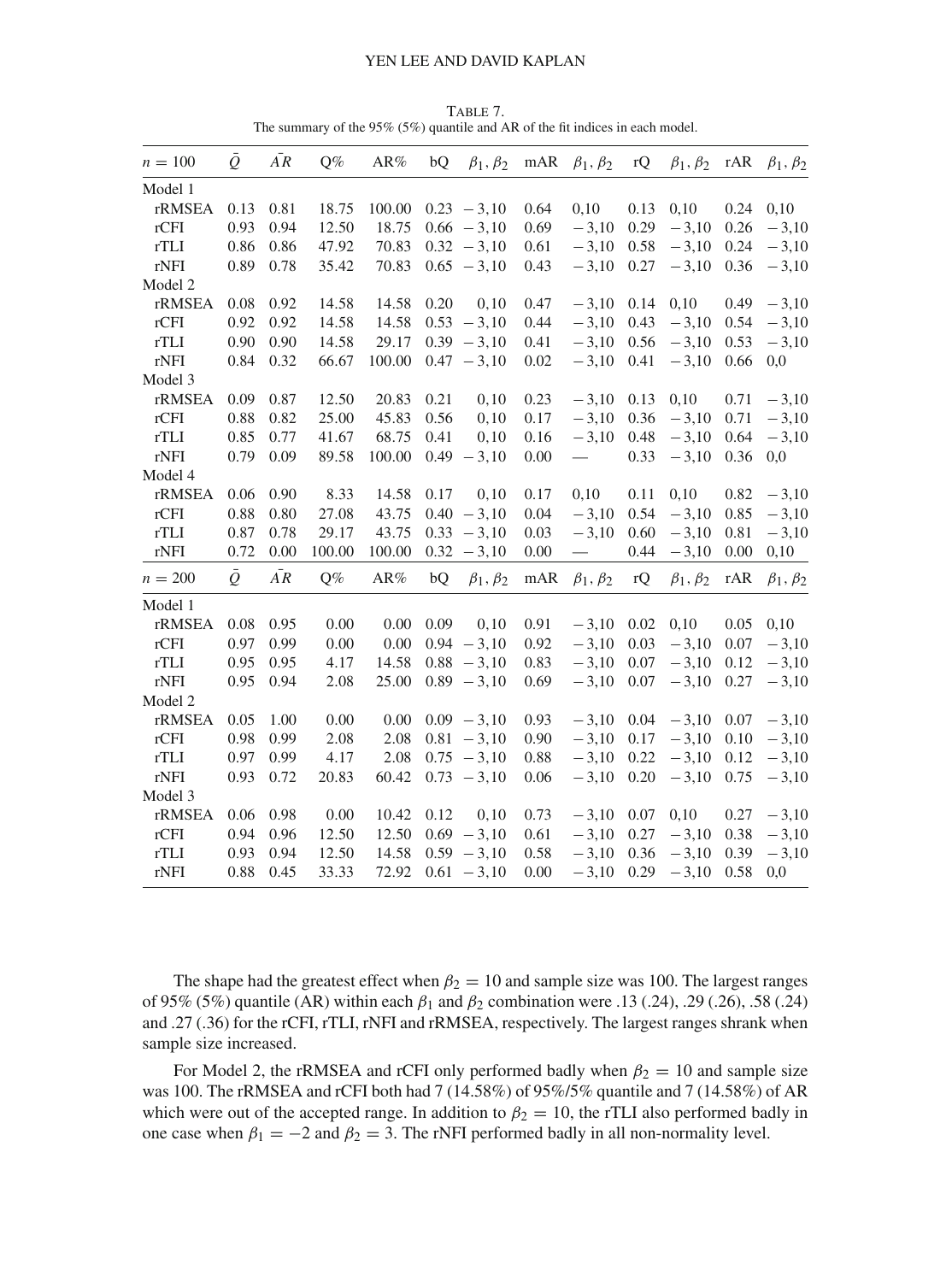| $n = 100$ | $\bar{Q}$ | $\overline{AR}$ | Q%     | AR%           | bQ   | $\beta_1, \beta_2$ | mAR  | $\beta_1, \beta_2$ | rQ   | $\beta_1, \beta_2$ | rAR  | $\beta_1, \beta_2$ |
|-----------|-----------|-----------------|--------|---------------|------|--------------------|------|--------------------|------|--------------------|------|--------------------|
| Model 1   |           |                 |        |               |      |                    |      |                    |      |                    |      |                    |
| rRMSEA    | 0.13      | 0.81            | 18.75  | 100.00        |      | $0.23 - 3.10$      | 0.64 | 0,10               | 0.13 | 0,10               | 0.24 | 0,10               |
| rCFI      | 0.93      | 0.94            | 12.50  | 18.75         |      | $0.66 - 3,10$      | 0.69 | $-3,10$            | 0.29 | $-3,10$            | 0.26 | $-3,10$            |
| rTLI      | 0.86      | 0.86            | 47.92  | 70.83         |      | $0.32 - 3.10$      | 0.61 | $-3,10$            | 0.58 | $-3,10$            | 0.24 | $-3,10$            |
| rNFI      | 0.89      | 0.78            | 35.42  | 70.83         |      | $0.65 - 3,10$      | 0.43 | $-3,10$            | 0.27 | $-3,10$            | 0.36 | $-3,10$            |
| Model 2   |           |                 |        |               |      |                    |      |                    |      |                    |      |                    |
| rRMSEA    | 0.08      | 0.92            | 14.58  | 14.58         | 0.20 | 0,10               | 0.47 | $-3,10$            | 0.14 | 0,10               | 0.49 | $-3,10$            |
| rCFI      | 0.92      | 0.92            | 14.58  | 14.58         |      | $0.53 - 3,10$      | 0.44 | $-3,10$            | 0.43 | $-3,10$            | 0.54 | $-3,10$            |
| rTLI      | 0.90      | 0.90            | 14.58  | 29.17         |      | $0.39 - 3,10$      | 0.41 | $-3,10$            | 0.56 | $-3,10$            | 0.53 | $-3,10$            |
| rNFI      | 0.84      | 0.32            | 66.67  | 100.00        |      | $0.47 - 3.10$      | 0.02 | $-3,10$            | 0.41 | $-3,10$            | 0.66 | 0,0                |
| Model 3   |           |                 |        |               |      |                    |      |                    |      |                    |      |                    |
| rRMSEA    | 0.09      | 0.87            | 12.50  | 20.83         | 0.21 | 0, 10              | 0.23 | $-3,10$            | 0.13 | 0,10               | 0.71 | $-3,10$            |
| rCFI      | 0.88      | 0.82            | 25.00  | 45.83         | 0.56 | 0, 10              | 0.17 | $-3,10$            | 0.36 | $-3,10$            | 0.71 | $-3,10$            |
| rTLI      | 0.85      | 0.77            | 41.67  | 68.75         | 0.41 | 0, 10              | 0.16 | $-3,10$            | 0.48 | $-3,10$            | 0.64 | $-3,10$            |
| rNFI      | 0.79      | 0.09            | 89.58  | 100.00        |      | $0.49 - 3.10$      | 0.00 | $\qquad \qquad$    | 0.33 | $-3,10$            | 0.36 | 0,0                |
| Model 4   |           |                 |        |               |      |                    |      |                    |      |                    |      |                    |
| rRMSEA    | 0.06      | 0.90            | 8.33   | 14.58         | 0.17 | 0, 10              | 0.17 | 0,10               | 0.11 | 0,10               | 0.82 | $-3,10$            |
| rCFI      | 0.88      | 0.80            | 27.08  | 43.75         |      | $0.40 - 3.10$      | 0.04 | $-3,10$            | 0.54 | $-3,10$            | 0.85 | $-3,10$            |
| rTLI      | 0.87      | 0.78            | 29.17  | 43.75         |      | $0.33 - 3.10$      | 0.03 | $-3,10$            | 0.60 | $-3,10$            | 0.81 | $-3,10$            |
| rNFI      | 0.72      | 0.00            | 100.00 | 100.00        |      | $0.32 - 3.10$      | 0.00 |                    | 0.44 | $-3,10$            | 0.00 | 0,10               |
| $n = 200$ | $\bar{Q}$ | $\bar{AR}$      | $Q\%$  | $\text{AR}\%$ | bQ   | $\beta_1, \beta_2$ | mAR  | $\beta_1, \beta_2$ | rQ   | $\beta_1, \beta_2$ | rAR  | $\beta_1, \beta_2$ |
| Model 1   |           |                 |        |               |      |                    |      |                    |      |                    |      |                    |
| rRMSEA    | 0.08      | 0.95            | 0.00   | 0.00          | 0.09 | 0, 10              | 0.91 | $-3,10$            | 0.02 | 0,10               | 0.05 | 0,10               |
| rCFI      | 0.97      | 0.99            | 0.00   | 0.00          |      | $0.94 - 3.10$      | 0.92 | $-3,10$            | 0.03 | $-3,10$            | 0.07 | $-3,10$            |
| rTLI      | 0.95      | 0.95            | 4.17   | 14.58         |      | $0.88 - 3,10$      | 0.83 | $-3,10$            | 0.07 | $-3,10$            | 0.12 | $-3,10$            |
| rNFI      | 0.95      | 0.94            | 2.08   | 25.00         |      | $0.89 - 3.10$      | 0.69 | $-3,10$            | 0.07 | $-3,10$            | 0.27 | $-3,10$            |
| Model 2   |           |                 |        |               |      |                    |      |                    |      |                    |      |                    |
| rRMSEA    | 0.05      | 1.00            | 0.00   | 0.00          |      | $0.09 - 3.10$      | 0.93 | $-3,10$            | 0.04 | $-3,10$            | 0.07 | $-3,10$            |
| rCFI      | 0.98      | 0.99            | 2.08   | 2.08          |      | $0.81 - 3,10$      | 0.90 | $-3,10$            | 0.17 | $-3,10$            | 0.10 | $-3,10$            |
| rTLI      | 0.97      | 0.99            | 4.17   | 2.08          |      | $0.75 - 3.10$      | 0.88 | $-3,10$            | 0.22 | $-3,10$            | 0.12 | $-3,10$            |
| rNFI      | 0.93      | 0.72            | 20.83  | 60.42         |      | $0.73 - 3.10$      | 0.06 | $-3,10$            | 0.20 | $-3,10$            | 0.75 | $-3,10$            |
| Model 3   |           |                 |        |               |      |                    |      |                    |      |                    |      |                    |
| rRMSEA    | 0.06      | 0.98            | 0.00   | 10.42         | 0.12 | 0, 10              | 0.73 | $-3,10$            | 0.07 | 0,10               | 0.27 | $-3,10$            |
| rCFI      | 0.94      | 0.96            | 12.50  | 12.50         |      | $0.69 - 3.10$      | 0.61 | $-3,10$            | 0.27 | $-3,10$            | 0.38 | $-3,10$            |
| rTLI      | 0.93      | 0.94            | 12.50  | 14.58         |      | $0.59 - 3.10$      | 0.58 | $-3,10$            | 0.36 | $-3,10$            | 0.39 | $-3,10$            |
| rNFI      | 0.88      | 0.45            | 33.33  | 72.92         |      | $0.61 - 3,10$      | 0.00 | $-3,10$            | 0.29 | $-3,10$            | 0.58 | 0,0                |
|           |           |                 |        |               |      |                    |      |                    |      |                    |      |                    |

<span id="page-20-0"></span>Table 7. The summary of the 95% (5%) quantile and AR of the fit indices in each model.

The shape had the greatest effect when  $\beta_2 = 10$  and sample size was 100. The largest ranges of 95% (5%) quantile (AR) within each  $\beta_1$  and  $\beta_2$  combination were .13 (.24), .29 (.26), .58 (.24) and .27 (.36) for the rCFI, rTLI, rNFI and rRMSEA, respectively. The largest ranges shrank when sample size increased.

For Model 2, the rRMSEA and rCFI only performed badly when  $\beta_2 = 10$  and sample size was 100. The rRMSEA and rCFI both had 7 (14.58%) of 95%/5% quantile and 7 (14.58%) of AR which were out of the accepted range. In addition to  $\beta_2 = 10$ , the rTLI also performed badly in one case when  $\beta_1 = -2$  and  $\beta_2 = 3$ . The rNFI performed badly in all non-normality level.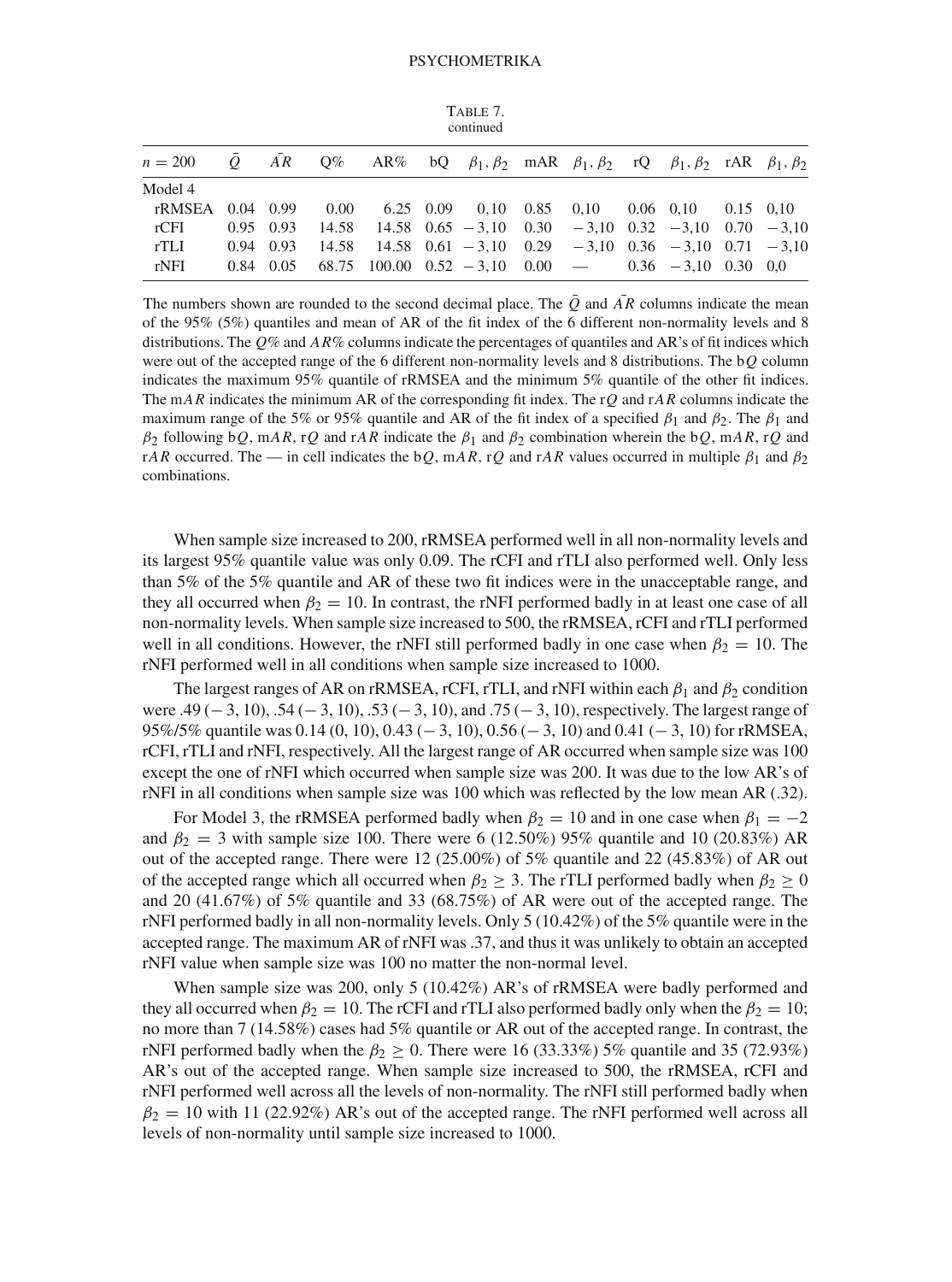| TABLE 7.  |  |
|-----------|--|
| continued |  |

|  |  |  |  |  | $n = 200$ Q AR Q% AR% bQ $\beta_1, \beta_2$ mAR $\beta_1, \beta_2$ rQ $\beta_1, \beta_2$ rAR $\beta_1, \beta_2$<br>rRMSEA 0.04 0.99 0.00 6.25 0.09 0.10 0.85 0.10 0.06 0.10 0.15 0.10<br>$0.95$ $0.93$ $14.58$ $14.58$ $0.65$ $-3.10$ $0.30$ $-3.10$ $0.32$ $-3.10$ $0.70$ $-3.10$<br>$0.94$ $0.93$ $14.58$ $14.58$ $0.61$ $-3.10$ $0.29$ $-3.10$ $0.36$ $-3.10$ $0.71$ $-3.10$<br>$0.84$ $0.05$ $68.75$ $100.00$ $0.52$ $-3.10$ $0.00$ $ 0.36$ $-3.10$ $0.30$ $0.0$ |
|--|--|--|--|--|----------------------------------------------------------------------------------------------------------------------------------------------------------------------------------------------------------------------------------------------------------------------------------------------------------------------------------------------------------------------------------------------------------------------------------------------------------------------|

The numbers shown are rounded to the second decimal place. The  $\overline{Q}$  and  $\overline{AR}$  columns indicate the mean of the 95% (5%) quantiles and mean of AR of the fit index of the 6 different non-normality levels and 8 distributions. The *Q*% and *AR*% columns indicate the percentages of quantiles and AR's of fit indices which were out of the accepted range of the 6 different non-normality levels and 8 distributions. The b*Q* column indicates the maximum 95% quantile of rRMSEA and the minimum 5% quantile of the other fit indices. The m*AR* indicates the minimum AR of the corresponding fit index. The r*Q* and r*AR* columns indicate the maximum range of the 5% or 95% quantile and AR of the fit index of a specified  $\beta_1$  and  $\beta_2$ . The  $\beta_1$  and  $β_2$  following b*Q*, m*AR*, r*Q* and r*AR* indicate the  $β_1$  and  $β_2$  combination wherein the b*Q*, m*AR*, r*Q* and r*AR* occurred. The — in cell indicates the b*Q*, m*AR*, r*Q* and r*AR* values occurred in multiple  $\beta_1$  and  $\beta_2$ combinations.

When sample size increased to 200, rRMSEA performed well in all non-normality levels and its largest 95% quantile value was only 0.09. The rCFI and rTLI also performed well. Only less than 5% of the 5% quantile and AR of these two fit indices were in the unacceptable range, and they all occurred when  $\beta_2 = 10$ . In contrast, the rNFI performed badly in at least one case of all non-normality levels. When sample size increased to 500, the rRMSEA, rCFI and rTLI performed well in all conditions. However, the rNFI still performed badly in one case when  $\beta_2 = 10$ . The rNFI performed well in all conditions when sample size increased to 1000.

The largest ranges of AR on rRMSEA, rCFI, rTLI, and rNFI within each  $\beta_1$  and  $\beta_2$  condition were .49 (− 3, 10), .54 (− 3, 10), .53 (− 3, 10), and .75 (− 3, 10), respectively. The largest range of 95%/5% quantile was 0.14 (0, 10), 0.43 (− 3, 10), 0.56 (− 3, 10) and 0.41 (− 3, 10) for rRMSEA, rCFI, rTLI and rNFI, respectively. All the largest range of AR occurred when sample size was 100 except the one of rNFI which occurred when sample size was 200. It was due to the low AR's of rNFI in all conditions when sample size was 100 which was reflected by the low mean AR (.32).

For Model 3, the rRMSEA performed badly when  $\beta_2 = 10$  and in one case when  $\beta_1 = -2$ and  $\beta_2 = 3$  with sample size 100. There were 6 (12.50%) 95% quantile and 10 (20.83%) AR out of the accepted range. There were 12 (25.00%) of 5% quantile and 22 (45.83%) of AR out of the accepted range which all occurred when  $\beta_2 \geq 3$ . The rTLI performed badly when  $\beta_2 \geq 0$ and 20 (41.67%) of 5% quantile and 33 (68.75%) of AR were out of the accepted range. The rNFI performed badly in all non-normality levels. Only 5 (10.42%) of the 5% quantile were in the accepted range. The maximum AR of rNFI was .37, and thus it was unlikely to obtain an accepted rNFI value when sample size was 100 no matter the non-normal level.

When sample size was 200, only 5 (10.42%) AR's of rRMSEA were badly performed and they all occurred when  $\beta_2 = 10$ . The rCFI and rTLI also performed badly only when the  $\beta_2 = 10$ ; no more than 7 (14.58%) cases had 5% quantile or AR out of the accepted range. In contrast, the rNFI performed badly when the  $\beta_2 \geq 0$ . There were 16 (33.33%) 5% quantile and 35 (72.93%) AR's out of the accepted range. When sample size increased to 500, the rRMSEA, rCFI and rNFI performed well across all the levels of non-normality. The rNFI still performed badly when  $\beta_2 = 10$  with 11 (22.92%) AR's out of the accepted range. The rNFI performed well across all levels of non-normality until sample size increased to 1000.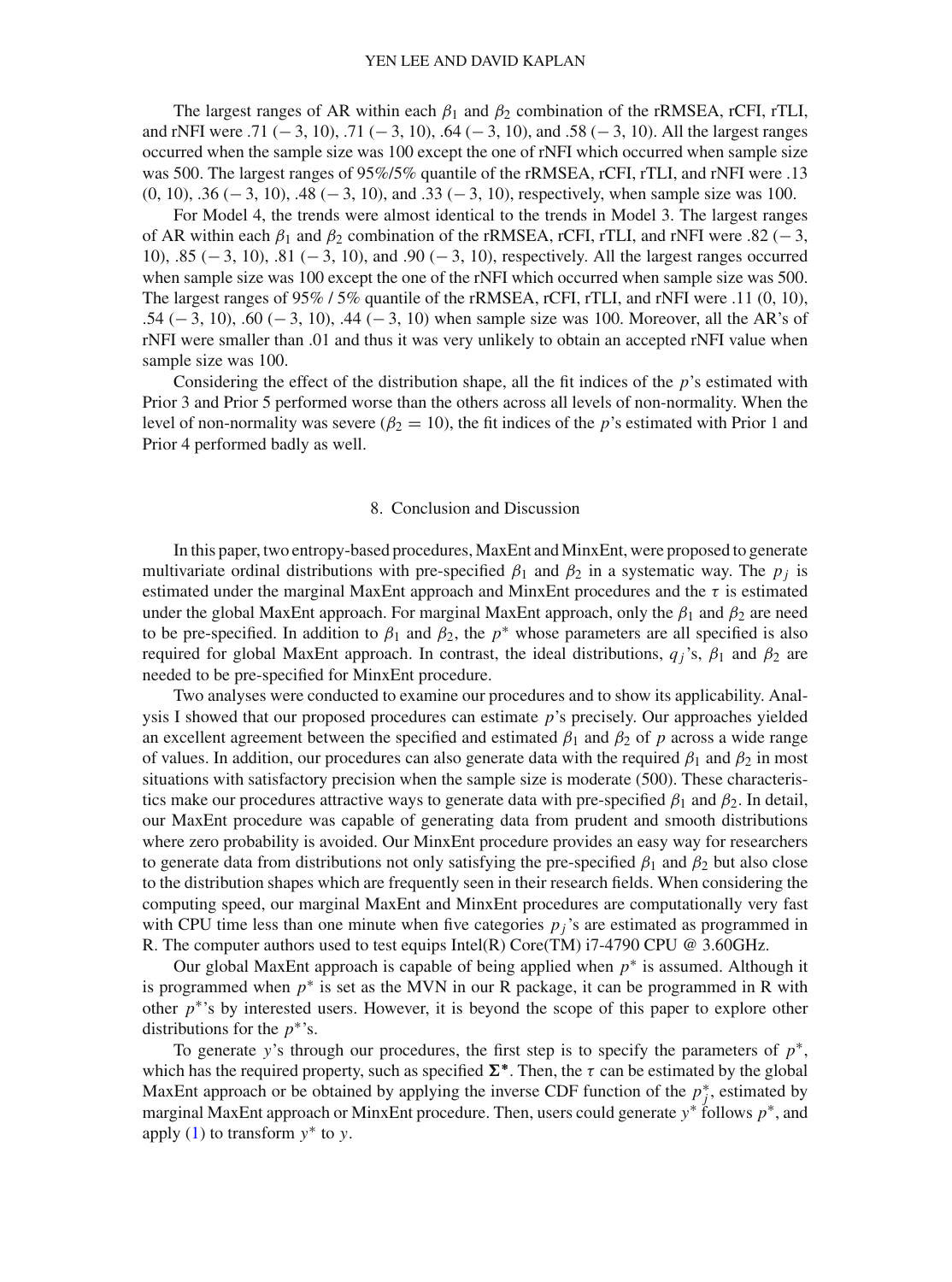The largest ranges of AR within each  $\beta_1$  and  $\beta_2$  combination of the rRMSEA, rCFI, rTLI, and rNFI were .71 (− 3, 10), .71 (− 3, 10), .64 (− 3, 10), and .58 (− 3, 10). All the largest ranges occurred when the sample size was 100 except the one of rNFI which occurred when sample size was 500. The largest ranges of 95%/5% quantile of the rRMSEA, rCFI, rTLI, and rNFI were .13 (0, 10), .36 (− 3, 10), .48 (− 3, 10), and .33 (− 3, 10), respectively, when sample size was 100.

For Model 4, the trends were almost identical to the trends in Model 3. The largest ranges of AR within each  $\beta_1$  and  $\beta_2$  combination of the rRMSEA, rCFI, rTLI, and rNFI were .82 (–3, 10), .85 (− 3, 10), .81 (− 3, 10), and .90 (− 3, 10), respectively. All the largest ranges occurred when sample size was 100 except the one of the rNFI which occurred when sample size was 500. The largest ranges of 95% / 5% quantile of the rRMSEA, rCFI, rTLI, and rNFI were .11 (0, 10), .54 (− 3, 10), .60 (− 3, 10), .44 (− 3, 10) when sample size was 100. Moreover, all the AR's of rNFI were smaller than .01 and thus it was very unlikely to obtain an accepted rNFI value when sample size was 100.

Considering the effect of the distribution shape, all the fit indices of the *p*'s estimated with Prior 3 and Prior 5 performed worse than the others across all levels of non-normality. When the level of non-normality was severe ( $\beta_2 = 10$ ), the fit indices of the *p*'s estimated with Prior 1 and Prior 4 performed badly as well.

### 8. Conclusion and Discussion

In this paper, two entropy-based procedures, MaxEnt and MinxEnt, were proposed to generate multivariate ordinal distributions with pre-specified  $\beta_1$  and  $\beta_2$  in a systematic way. The  $p_i$  is estimated under the marginal MaxEnt approach and MinxEnt procedures and the  $\tau$  is estimated under the global MaxEnt approach. For marginal MaxEnt approach, only the  $\beta_1$  and  $\beta_2$  are need to be pre-specified. In addition to  $\beta_1$  and  $\beta_2$ , the  $p^*$  whose parameters are all specified is also required for global MaxEnt approach. In contrast, the ideal distributions,  $q_i$ 's,  $β_1$  and  $β_2$  are needed to be pre-specified for MinxEnt procedure.

Two analyses were conducted to examine our procedures and to show its applicability. Analysis I showed that our proposed procedures can estimate *p*'s precisely. Our approaches yielded an excellent agreement between the specified and estimated  $\beta_1$  and  $\beta_2$  of *p* across a wide range of values. In addition, our procedures can also generate data with the required  $\beta_1$  and  $\beta_2$  in most situations with satisfactory precision when the sample size is moderate (500). These characteristics make our procedures attractive ways to generate data with pre-specified  $\beta_1$  and  $\beta_2$ . In detail, our MaxEnt procedure was capable of generating data from prudent and smooth distributions where zero probability is avoided. Our MinxEnt procedure provides an easy way for researchers to generate data from distributions not only satisfying the pre-specified  $\beta_1$  and  $\beta_2$  but also close to the distribution shapes which are frequently seen in their research fields. When considering the computing speed, our marginal MaxEnt and MinxEnt procedures are computationally very fast with CPU time less than one minute when five categories  $p_i$ 's are estimated as programmed in R. The computer authors used to test equips Intel(R) Core(TM)  $17-4790$  CPU @ 3.60GHz.

Our global MaxEnt approach is capable of being applied when *p*∗ is assumed. Although it is programmed when  $p^*$  is set as the MVN in our R package, it can be programmed in R with other *p*∗'s by interested users. However, it is beyond the scope of this paper to explore other distributions for the *p*∗'s.

To generate *y*'s through our procedures, the first step is to specify the parameters of *p*∗, which has the required property, such as specified  $\Sigma^*$ . Then, the  $\tau$  can be estimated by the global MaxEnt approach or be obtained by applying the inverse CDF function of the  $p_j^*$ , estimated by marginal MaxEnt approach or MinxEnt procedure. Then, users could generate *y*∗ follows *p*∗, and apply [\(1\)](#page-1-0) to transform *y*∗ to *y*.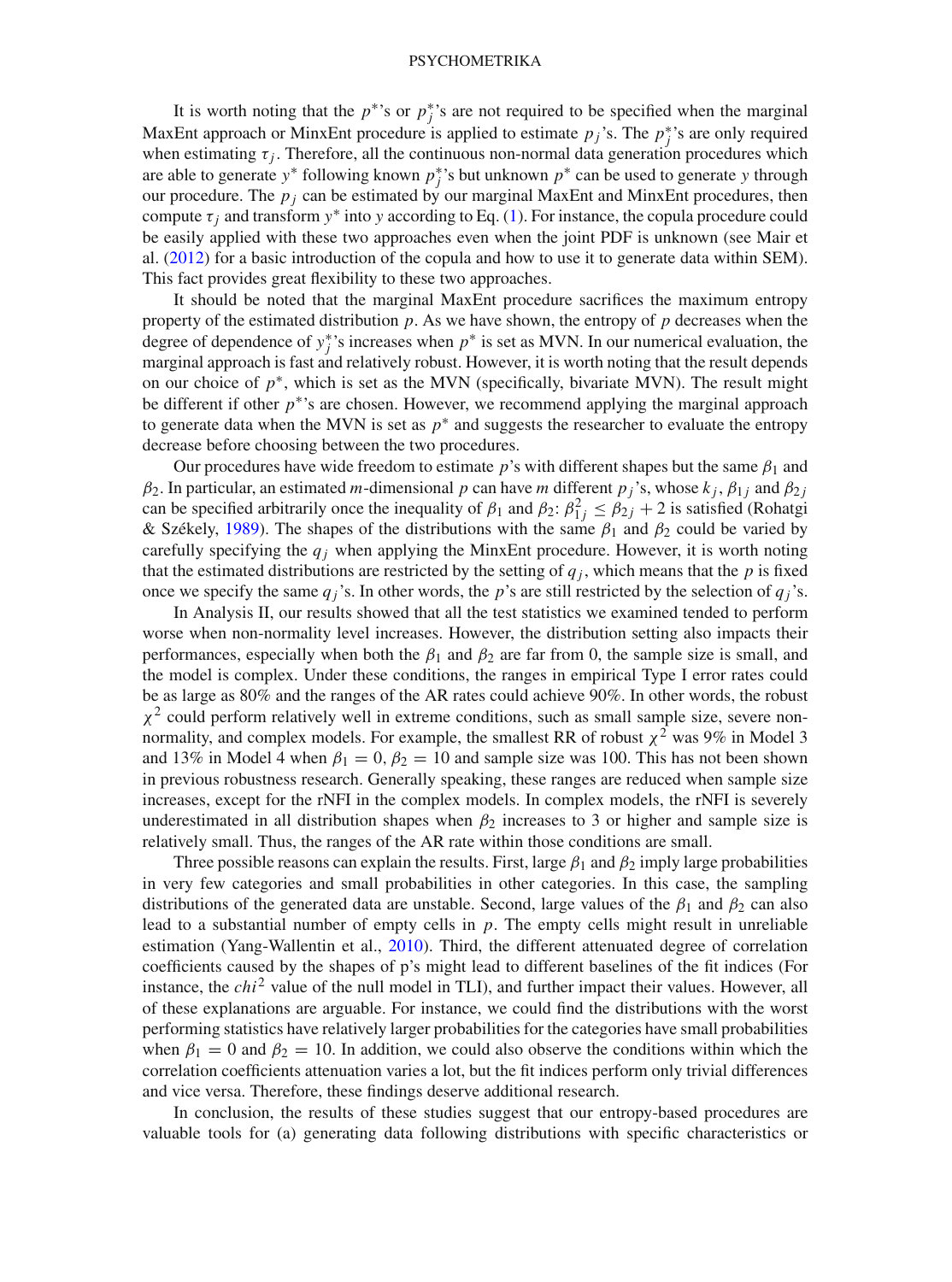It is worth noting that the  $p^*$ 's or  $p_j^*$ 's are not required to be specified when the marginal MaxEnt approach or MinxEnt procedure is applied to estimate  $p_j$ 's. The  $p_j^*$ 's are only required when estimating  $\tau_j$ . Therefore, all the continuous non-normal data generation procedures which are able to generate *y*<sup>\*</sup> following known  $p_j^*$ 's but unknown  $p^*$  can be used to generate *y* through our procedure. The  $p_j$  can be estimated by our marginal MaxEnt and MinxEnt procedures, then compute  $\tau_i$  and transform  $y^*$  into y according to Eq. [\(1\)](#page-1-0). For instance, the copula procedure could be easily applied with these two approaches even when the joint PDF is unknown (see Mair et al. [\(2012](#page-24-5)) for a basic introduction of the copula and how to use it to generate data within SEM). This fact provides great flexibility to these two approaches.

It should be noted that the marginal MaxEnt procedure sacrifices the maximum entropy property of the estimated distribution *p*. As we have shown, the entropy of *p* decreases when the degree of dependence of  $y_j^*$ 's increases when  $p^*$  is set as MVN. In our numerical evaluation, the marginal approach is fast and relatively robust. However, it is worth noting that the result depends on our choice of *p*∗, which is set as the MVN (specifically, bivariate MVN). The result might be different if other *p*∗'s are chosen. However, we recommend applying the marginal approach to generate data when the MVN is set as  $p^*$  and suggests the researcher to evaluate the entropy decrease before choosing between the two procedures.

Our procedures have wide freedom to estimate  $p$ 's with different shapes but the same  $\beta_1$  and  $β_2$ . In particular, an estimated *m*-dimensional *p* can have *m* different *p*<sub>*j*</sub>'s, whose  $k_j$ ,  $β_{1j}$  and  $β_{2j}$ can be specified arbitrarily once the inequality of  $\beta_1$  and  $\beta_2$ :  $\beta_{1j}^2 \le \beta_{2j} + 2$  is satisfied (Rohatgi & Székely, [1989](#page-25-20)). The shapes of the distributions with the same  $\beta_1$  and  $\beta_2$  could be varied by carefully specifying the  $q_i$  when applying the MinxEnt procedure. However, it is worth noting that the estimated distributions are restricted by the setting of  $q_j$ , which means that the  $p$  is fixed once we specify the same  $q_i$ 's. In other words, the *p*'s are still restricted by the selection of  $q_i$ 's.

In Analysis II, our results showed that all the test statistics we examined tended to perform worse when non-normality level increases. However, the distribution setting also impacts their performances, especially when both the  $\beta_1$  and  $\beta_2$  are far from 0, the sample size is small, and the model is complex. Under these conditions, the ranges in empirical Type I error rates could be as large as 80% and the ranges of the AR rates could achieve 90%. In other words, the robust  $\chi^2$  could perform relatively well in extreme conditions, such as small sample size, severe nonnormality, and complex models. For example, the smallest RR of robust  $\chi^2$  was 9% in Model 3 and 13% in Model 4 when  $\beta_1 = 0$ ,  $\beta_2 = 10$  and sample size was 100. This has not been shown in previous robustness research. Generally speaking, these ranges are reduced when sample size increases, except for the rNFI in the complex models. In complex models, the rNFI is severely underestimated in all distribution shapes when  $\beta_2$  increases to 3 or higher and sample size is relatively small. Thus, the ranges of the AR rate within those conditions are small.

Three possible reasons can explain the results. First, large  $\beta_1$  and  $\beta_2$  imply large probabilities in very few categories and small probabilities in other categories. In this case, the sampling distributions of the generated data are unstable. Second, large values of the  $\beta_1$  and  $\beta_2$  can also lead to a substantial number of empty cells in *p*. The empty cells might result in unreliable estimation (Yang-Wallentin et al., [2010](#page-25-9)). Third, the different attenuated degree of correlation coefficients caused by the shapes of p's might lead to different baselines of the fit indices (For instance, the *chi*<sup>2</sup> value of the null model in TLI), and further impact their values. However, all of these explanations are arguable. For instance, we could find the distributions with the worst performing statistics have relatively larger probabilities for the categories have small probabilities when  $\beta_1 = 0$  and  $\beta_2 = 10$ . In addition, we could also observe the conditions within which the correlation coefficients attenuation varies a lot, but the fit indices perform only trivial differences and vice versa. Therefore, these findings deserve additional research.

In conclusion, the results of these studies suggest that our entropy-based procedures are valuable tools for (a) generating data following distributions with specific characteristics or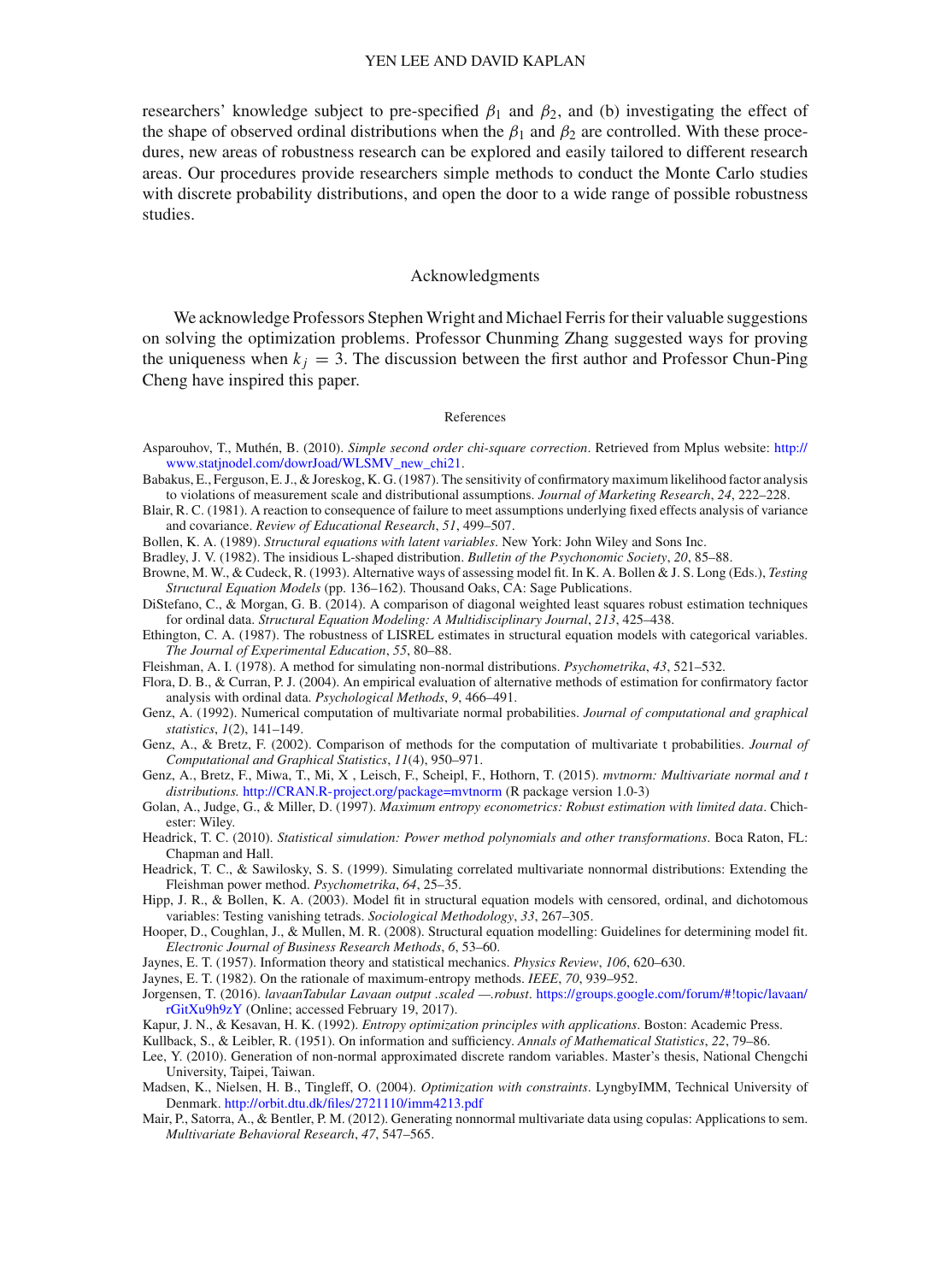researchers' knowledge subject to pre-specified  $\beta_1$  and  $\beta_2$ , and (b) investigating the effect of the shape of observed ordinal distributions when the  $\beta_1$  and  $\beta_2$  are controlled. With these procedures, new areas of robustness research can be explored and easily tailored to different research areas. Our procedures provide researchers simple methods to conduct the Monte Carlo studies with discrete probability distributions, and open the door to a wide range of possible robustness studies.

#### Acknowledgments

We acknowledge Professors Stephen Wright and Michael Ferris for their valuable suggestions on solving the optimization problems. Professor Chunming Zhang suggested ways for proving the uniqueness when  $k_i = 3$ . The discussion between the first author and Professor Chun-Ping Cheng have inspired this paper.

#### References

- <span id="page-24-20"></span>Asparouhov, T., Muthén, B. (2010). *Simple second order chi-square correction*. Retrieved from Mplus website: [http://](http://www.statjnodel.com/dowrJoad/WLSMV_new_chi21) [www.statjnodel.com/dowrJoad/WLSMV\\_new\\_chi21.](http://www.statjnodel.com/dowrJoad/WLSMV_new_chi21)
- <span id="page-24-9"></span>Babakus, E., Ferguson, E. J., & Joreskog, K. G. (1987). The sensitivity of confirmatory maximum likelihood factor analysis to violations of measurement scale and distributional assumptions. *Journal of Marketing Research*, *24*, 222–228.
- <span id="page-24-0"></span>Blair, R. C. (1981). A reaction to consequence of failure to meet assumptions underlying fixed effects analysis of variance and covariance. *Review of Educational Research*, *51*, 499–507.
- <span id="page-24-6"></span>Bollen, K. A. (1989). *Structural equations with latent variables*. New York: John Wiley and Sons Inc.
- <span id="page-24-1"></span>Bradley, J. V. (1982). The insidious L-shaped distribution. *Bulletin of the Psychonomic Society*, *20*, 85–88.
- <span id="page-24-24"></span>Browne, M. W., & Cudeck, R. (1993). Alternative ways of assessing model fit. In K. A. Bollen & J. S. Long (Eds.), *Testing Structural Equation Models* (pp. 136–162). Thousand Oaks, CA: Sage Publications.
- <span id="page-24-21"></span>DiStefano, C., & Morgan, G. B. (2014). A comparison of diagonal weighted least squares robust estimation techniques for ordinal data. *Structural Equation Modeling: A Multidisciplinary Journal*, *213*, 425–438.
- <span id="page-24-8"></span>Ethington, C. A. (1987). The robustness of LISREL estimates in structural equation models with categorical variables. *The Journal of Experimental Education*, *55*, 80–88.
- <span id="page-24-2"></span>Fleishman, A. I. (1978). A method for simulating non-normal distributions. *Psychometrika*, *43*, 521–532.
- <span id="page-24-10"></span>Flora, D. B., & Curran, P. J. (2004). An empirical evaluation of alternative methods of estimation for confirmatory factor analysis with ordinal data. *Psychological Methods*, *9*, 466–491.
- <span id="page-24-19"></span>Genz, A. (1992). Numerical computation of multivariate normal probabilities. *Journal of computational and graphical statistics*, *1*(2), 141–149.
- <span id="page-24-18"></span>Genz, A., & Bretz, F. (2002). Comparison of methods for the computation of multivariate t probabilities. *Journal of Computational and Graphical Statistics*, *11*(4), 950–971.
- <span id="page-24-17"></span>Genz, A., Bretz, F., Miwa, T., Mi, X , Leisch, F., Scheipl, F., Hothorn, T. (2015). *mvtnorm: Multivariate normal and t distributions.* <http://CRAN.R-project.org/package=mvtnorm> (R package version 1.0-3)
- <span id="page-24-11"></span>Golan, A., Judge, G., & Miller, D. (1997). *Maximum entropy econometrics: Robust estimation with limited data*. Chichester: Wiley.
- <span id="page-24-4"></span>Headrick, T. C. (2010). *Statistical simulation: Power method polynomials and other transformations*. Boca Raton, FL: Chapman and Hall.
- <span id="page-24-3"></span>Headrick, T. C., & Sawilosky, S. S. (1999). Simulating correlated multivariate nonnormal distributions: Extending the Fleishman power method. *Psychometrika*, *64*, 25–35.
- <span id="page-24-7"></span>Hipp, J. R., & Bollen, K. A. (2003). Model fit in structural equation models with censored, ordinal, and dichotomous variables: Testing vanishing tetrads. *Sociological Methodology*, *33*, 267–305.
- <span id="page-24-23"></span>Hooper, D., Coughlan, J., & Mullen, M. R. (2008). Structural equation modelling: Guidelines for determining model fit. *Electronic Journal of Business Research Methods*, *6*, 53–60.
- <span id="page-24-12"></span>Jaynes, E. T. (1957). Information theory and statistical mechanics. *Physics Review*, *106*, 620–630.
- <span id="page-24-14"></span>Jaynes, E. T. (1982). On the rationale of maximum-entropy methods. *IEEE*, *70*, 939–952.
- <span id="page-24-22"></span>Jorgensen, T. (2016). *lavaanTabular Lavaan output .scaled —.robust*. [https://groups.google.com/forum/#!topic/lavaan/](https://groups.google.com/forum/#!topic/lavaan/rGitXu9h9zY) [rGitXu9h9zY](https://groups.google.com/forum/#!topic/lavaan/rGitXu9h9zY) (Online; accessed February 19, 2017).
- <span id="page-24-13"></span>Kapur, J. N., & Kesavan, H. K. (1992). *Entropy optimization principles with applications*. Boston: Academic Press.
- <span id="page-24-15"></span>Kullback, S., & Leibler, R. (1951). On information and sufficiency. *Annals of Mathematical Statistics*, *22*, 79–86.
- Lee, Y. (2010). Generation of non-normal approximated discrete random variables. Master's thesis, National Chengchi University, Taipei, Taiwan.
- <span id="page-24-16"></span>Madsen, K., Nielsen, H. B., Tingleff, O. (2004). *Optimization with constraints*. LyngbyIMM, Technical University of Denmark. <http://orbit.dtu.dk/files/2721110/imm4213.pdf>
- <span id="page-24-5"></span>Mair, P., Satorra, A., & Bentler, P. M. (2012). Generating nonnormal multivariate data using copulas: Applications to sem. *Multivariate Behavioral Research*, *47*, 547–565.